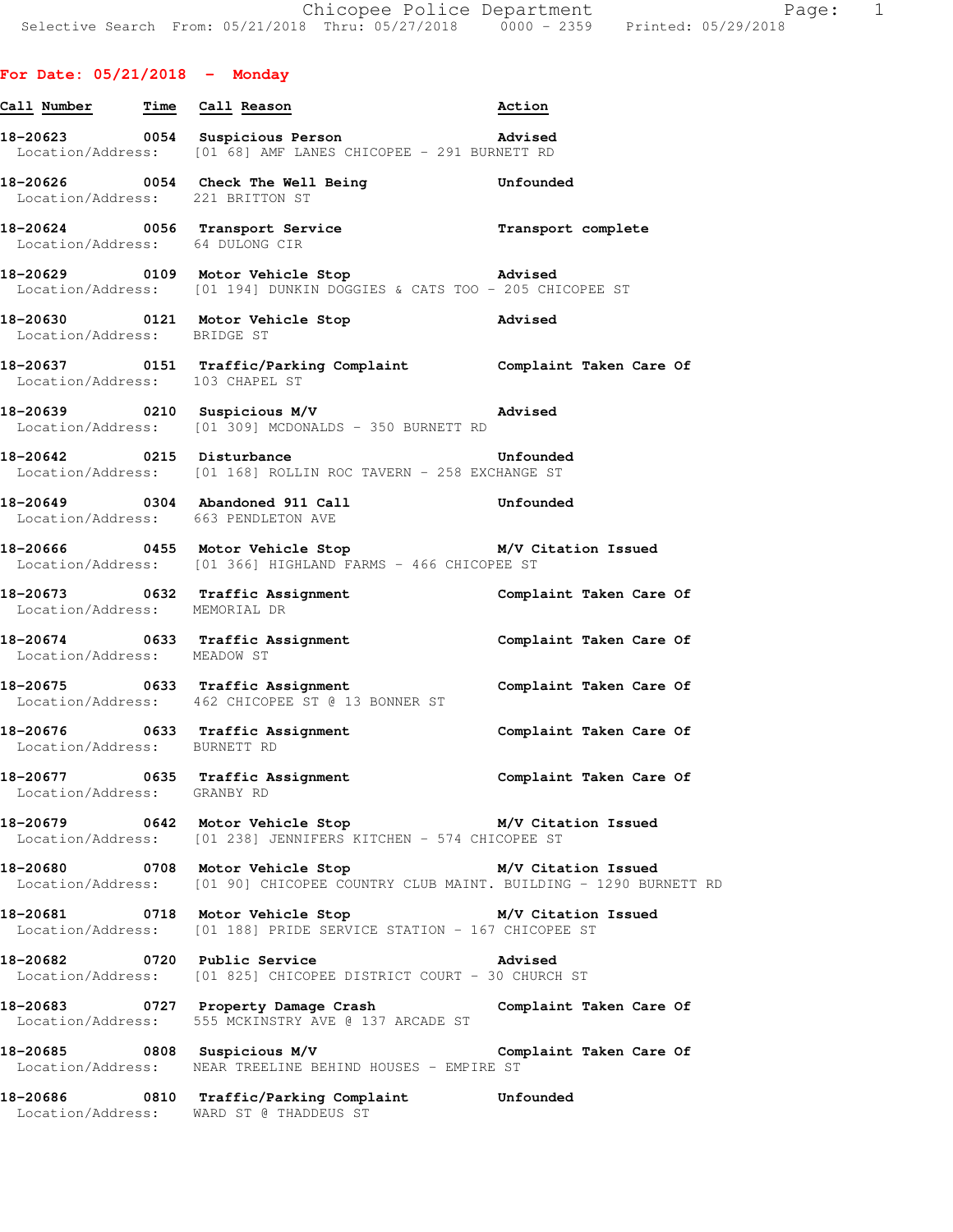## **For Date: 05/21/2018 - Monday**

| Call Number Time Call Reason     |                                                                                                                                           | Action                  |
|----------------------------------|-------------------------------------------------------------------------------------------------------------------------------------------|-------------------------|
|                                  | 18-20623 0054 Suspicious Person<br>Location/Address: [01 68] AMF LANES CHICOPEE - 291 BURNETT RD                                          | Advised                 |
| Location/Address: 221 BRITTON ST | 18-20626   0054   Check The Well Being   Unfounded                                                                                        |                         |
| Location/Address: 64 DULONG CIR  | 18-20624 0056 Transport Service Transment complete                                                                                        |                         |
|                                  | 18-20629   0109   Motor Vehicle Stop   Advised<br>Location/Address: [01 194] DUNKIN DOGGIES & CATS TOO - 205 CHICOPEE ST                  |                         |
|                                  | 18-20630 0121 Motor Vehicle Stop Movised<br>Location/Address: BRIDGE ST                                                                   |                         |
|                                  | 18-20637   0151   Traffic/Parking Complaint   Complaint Taken Care Of Location/Address:   103   CHAPEL ST                                 |                         |
|                                  | 18-20639 0210 Suspicious M/V advised<br>Location/Address: [01 309] MCDONALDS - 350 BURNETT RD                                             |                         |
|                                  | 18-20642 0215 Disturbance<br>Location/Address: [01 168] ROLLIN ROC TAVERN - 258 EXCHANGE ST                                               | <b>Unfounded</b>        |
|                                  | 18-20649  0304 Abandoned 911 Call  Unfounded<br>Location/Address: 663 PENDLETON AVE                                                       |                         |
|                                  | 18-20666 0455 Motor Vehicle Stop M/V Citation Issued<br>Location/Address: [01 366] HIGHLAND FARMS - 466 CHICOPEE ST                       |                         |
| Location/Address: MEMORIAL DR    | 18-20673 0632 Traffic Assignment                                                                                                          | Complaint Taken Care Of |
| Location/Address: MEADOW ST      | 18-20674 0633 Traffic Assignment 18-20674 Complaint Taken Care Of                                                                         |                         |
|                                  | 18-20675 0633 Traffic Assignment<br>Location/Address: 462 CHICOPEE ST @ 13 BONNER ST                                                      | Complaint Taken Care Of |
| Location/Address: BURNETT RD     | 18-20676 0633 Traffic Assignment                                                                                                          | Complaint Taken Care Of |
| Location/Address: GRANBY RD      | 18-20677 0635 Traffic Assignment                                                                                                          | Complaint Taken Care Of |
|                                  | 18-20679 0642 Motor Vehicle Stop M/V Citation Issued<br>Location/Address: [01 238] JENNIFERS KITCHEN - 574 CHICOPEE ST                    |                         |
|                                  | 18-20680 0708 Motor Vehicle Stop M/V Citation Issued<br>Location/Address: [01 90] CHICOPEE COUNTRY CLUB MAINT. BUILDING - 1290 BURNETT RD |                         |
|                                  | 18-20681 0718 Motor Vehicle Stop 6 M/V Citation Issued<br>Location/Address: [01 188] PRIDE SERVICE STATION - 167 CHICOPEE ST              |                         |
|                                  | 18-20682    0720    Public Service    Quantity    Advised<br>Location/Address: [01 825] CHICOPEE DISTRICT COURT - 30 CHURCH ST            |                         |
|                                  | 18-20683 <a> 0727</a> Property Damage Crash Complaint Taken Care Of<br>Location/Address: 555 MCKINSTRY AVE @ 137 ARCADE ST                |                         |
|                                  | 18-20685 0808 Suspicious M/V Complaint Taken Care Of<br>Location/Address: NEAR TREELINE BEHIND HOUSES - EMPIRE ST                         |                         |
|                                  |                                                                                                                                           |                         |

**18-20686 0810 Traffic/Parking Complaint Unfounded**  Location/Address: WARD ST @ THADDEUS ST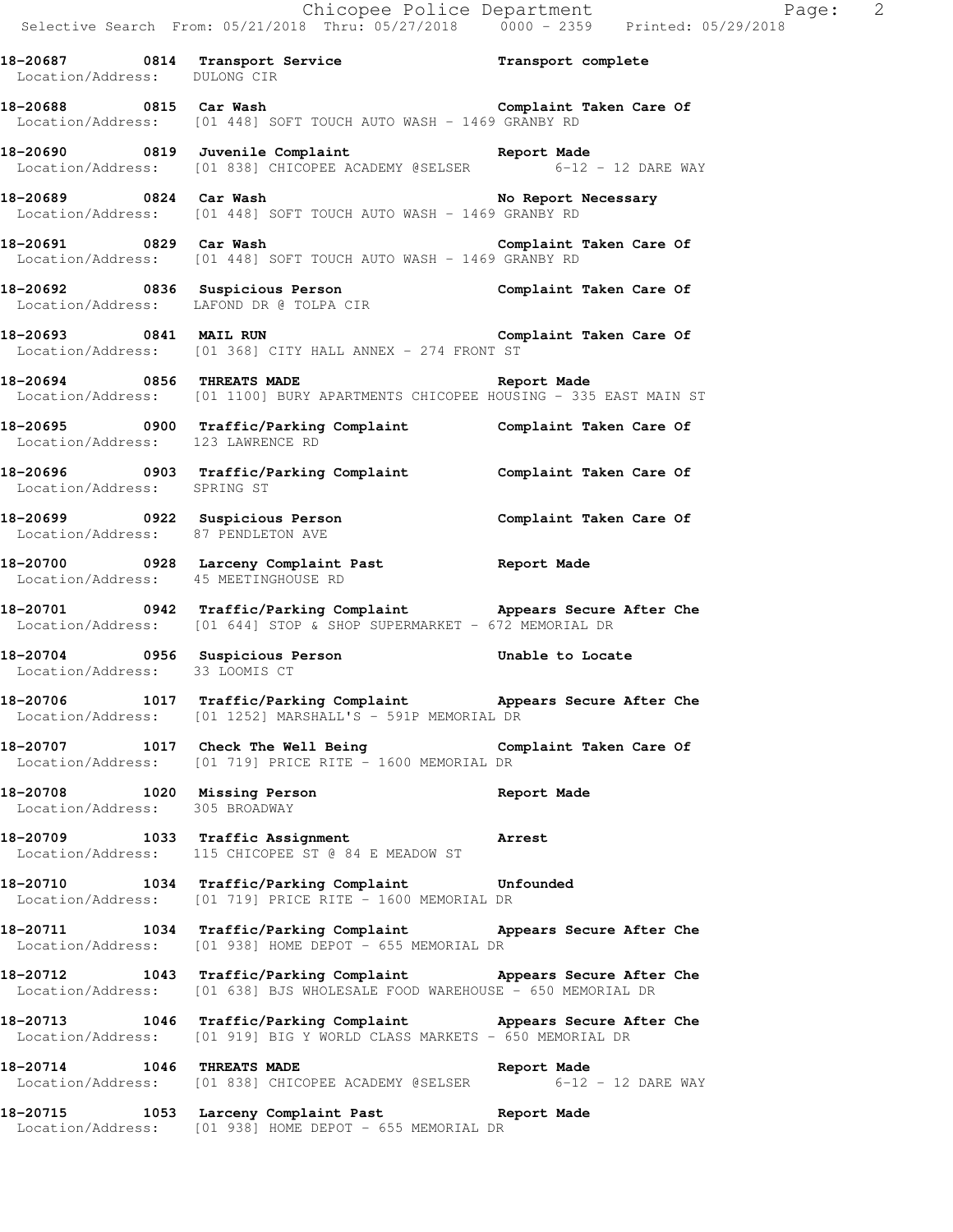|                                | Chicopee Police Department<br>Selective Search From: 05/21/2018 Thru: 05/27/2018 0000 - 2359 Printed: 05/29/2018                                  |             |
|--------------------------------|---------------------------------------------------------------------------------------------------------------------------------------------------|-------------|
|                                | 18-20687 0814 Transport Service Transport complete<br>Location/Address: DULONG CIR                                                                |             |
|                                | 18-20688 0815 Car Wash 18-2068 Complaint Taken Care Of<br>Location/Address: [01 448] SOFT TOUCH AUTO WASH - 1469 GRANBY RD                        |             |
|                                | 18-20690 0819 Juvenile Complaint<br>Location/Address: [01 838] CHICOPEE ACADEMY @SELSER 6-12 - 12 DARE WAY                                        |             |
|                                | Location/Address: [01 448] SOFT TOUCH AUTO WASH - 1469 GRANBY RD                                                                                  |             |
|                                | 18-20691 0829 Car Wash Complaint Taken Care Of Location/Address: [01 448] SOFT TOUCH AUTO WASH - 1469 GRANBY RD                                   |             |
|                                | 18-20692 0836 Suspicious Person Complaint Taken Care Of<br>Location/Address: LAFOND DR @ TOLPA CIR                                                |             |
|                                | 18-20693 0841 MAIL RUN Complaint Taken Care Of<br>Location/Address: [01 368] CITY HALL ANNEX - 274 FRONT ST                                       |             |
|                                | 18-20694 0856 THREATS MADE <b>San American Separation Adde</b><br>Location/Address: [01 1100] BURY APARTMENTS CHICOPEE HOUSING - 335 EAST MAIN ST |             |
|                                | 18-20695 0900 Traffic/Parking Complaint Complaint Taken Care Of<br>Location/Address: 123 LAWRENCE RD                                              |             |
| Location/Address: SPRING ST    | 18-20696 0903 Traffic/Parking Complaint Complaint Taken Care Of                                                                                   |             |
|                                | 18-20699 		 0922 Suspicious Person 		 Complaint Taken Care Of<br>Location/Address: 87 PENDLETON AVE                                               |             |
|                                | 18-20700 0928 Larceny Complaint Past 18-20700 Neport Made<br>Location/Address: 45 MEETINGHOUSE RD                                                 |             |
|                                | 18-20701 0942 Traffic/Parking Complaint Appears Secure After Che<br>Location/Address: [01 644] STOP & SHOP SUPERMARKET - 672 MEMORIAL DR          |             |
|                                | 18-20704 0956 Suspicious Person<br>Location/Address: 33 LOOMIS CT                                                                                 |             |
|                                | 18-20706 1017 Traffic/Parking Complaint Appears Secure After Che<br>Location/Address: [01 1252] MARSHALL'S - 591P MEMORIAL DR                     |             |
|                                | 18-20707 1017 Check The Well Being Complaint Taken Care Of<br>Location/Address: [01 719] PRICE RITE - 1600 MEMORIAL DR                            |             |
| Location/Address: 305 BROADWAY | 18-20708 1020 Missing Person                                                                                                                      | Report Made |
|                                | 18-20709 1033 Traffic Assignment Arrest<br>Location/Address: 115 CHICOPEE ST @ 84 E MEADOW ST                                                     |             |
|                                | 18-20710 1034 Traffic/Parking Complaint Unfounded<br>Location/Address: [01 719] PRICE RITE - 1600 MEMORIAL DR                                     |             |
|                                | 18-20711 1034 Traffic/Parking Complaint Appears Secure After Che<br>Location/Address: [01 938] HOME DEPOT - 655 MEMORIAL DR                       |             |
|                                | 18-20712 1043 Traffic/Parking Complaint Appears Secure After Che<br>Location/Address: [01 638] BJS WHOLESALE FOOD WAREHOUSE - 650 MEMORIAL DR     |             |
|                                | 18-20713 1046 Traffic/Parking Complaint Appears Secure After Che<br>Location/Address: [01 919] BIG Y WORLD CLASS MARKETS - 650 MEMORIAL DR        |             |
| 18-20714 1046 THREATS MADE     | Location/Address: [01 838] CHICOPEE ACADEMY @SELSER 6-12 - 12 DARE WAY                                                                            | Report Made |
|                                |                                                                                                                                                   |             |

**18-20715 1053 Larceny Complaint Past Report Made**  Location/Address: [01 938] HOME DEPOT - 655 MEMORIAL DR

Page:  $2 \atop 18$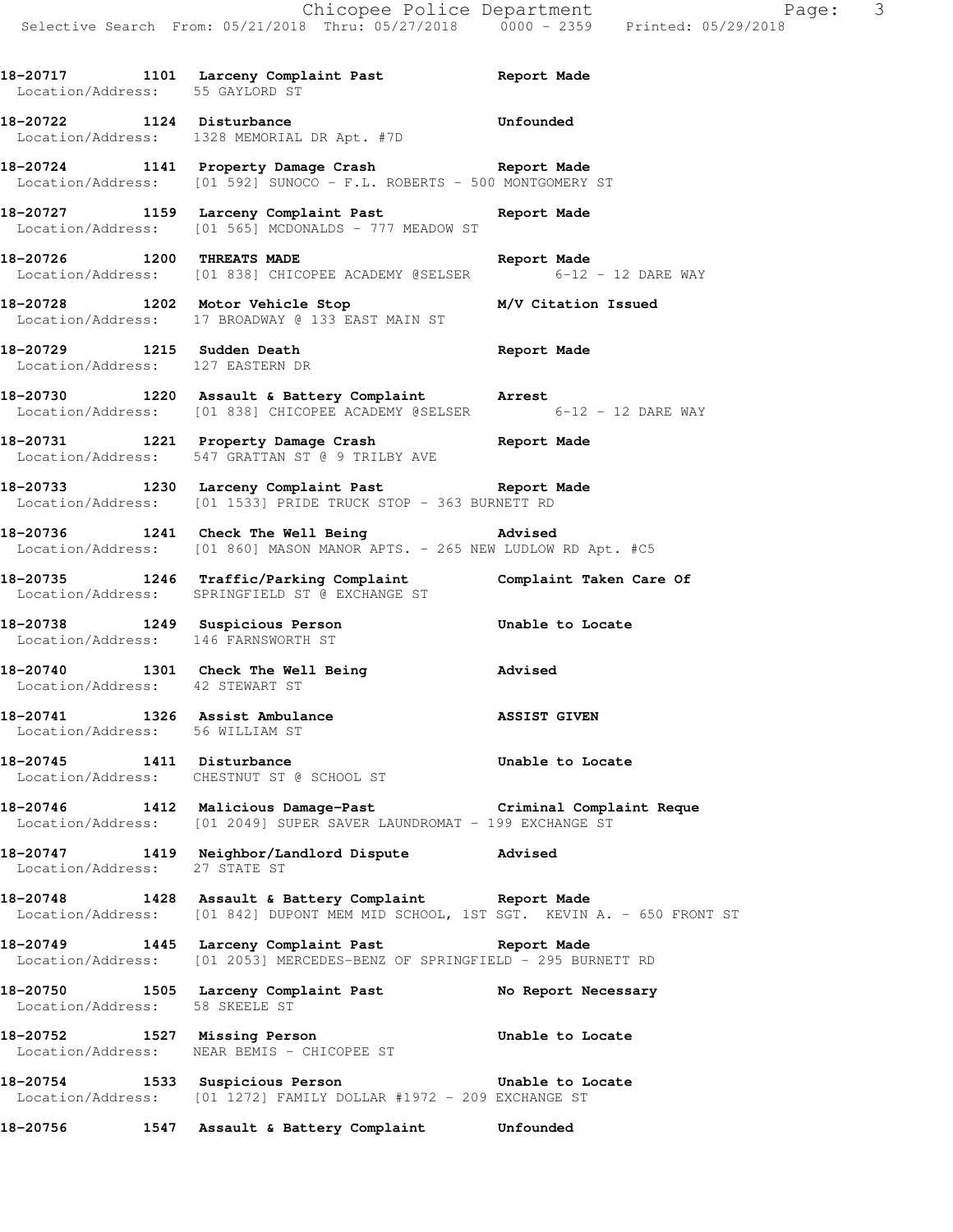**18-20717 1101 Larceny Complaint Past Report Made** 

 Location/Address: 55 GAYLORD ST **18-20722 1124 Disturbance Unfounded**  Location/Address: 1328 MEMORIAL DR Apt. #7D **18-20724 1141 Property Damage Crash Report Made**  Location/Address: [01 592] SUNOCO - F.L. ROBERTS - 500 MONTGOMERY ST **18-20727 1159 Larceny Complaint Past Report Made**  Location/Address: [01 565] MCDONALDS - 777 MEADOW ST **18-20726 1200 THREATS MADE Report Made**  Location/Address: [01 838] CHICOPEE ACADEMY @SELSER 6-12 - 12 DARE WAY **18-20728 1202 Motor Vehicle Stop M/V Citation Issued**  Location/Address: 17 BROADWAY @ 133 EAST MAIN ST **18-20729 1215 Sudden Death Report Made**  Location/Address: 127 EASTERN DR **18-20730 1220 Assault & Battery Complaint Arrest**  Location/Address: [01 838] CHICOPEE ACADEMY @SELSER 6-12 - 12 DARE WAY **18-20731 1221 Property Damage Crash Report Made**  Location/Address: 547 GRATTAN ST @ 9 TRILBY AVE **18-20733 1230 Larceny Complaint Past Report Made**  Location/Address: [01 1533] PRIDE TRUCK STOP - 363 BURNETT RD **18-20736 1241 Check The Well Being Advised**  Location/Address: [01 860] MASON MANOR APTS. - 265 NEW LUDLOW RD Apt. #C5 **18-20735 1246 Traffic/Parking Complaint Complaint Taken Care Of**  Location/Address: SPRINGFIELD ST @ EXCHANGE ST **18-20738 1249 Suspicious Person Unable to Locate**  Location/Address: 146 FARNSWORTH ST **18-20740 1301 Check The Well Being Advised**  Location/Address: 42 STEWART ST **18-20741 1326 Assist Ambulance ASSIST GIVEN**  Location/Address: 56 WILLIAM ST **18-20745 1411 Disturbance Unable to Locate**  Location/Address: CHESTNUT ST @ SCHOOL ST **18-20746 1412 Malicious Damage-Past Criminal Complaint Reque**  Location/Address: [01 2049] SUPER SAVER LAUNDROMAT - 199 EXCHANGE ST **18-20747 1419 Neighbor/Landlord Dispute Advised**  Location/Address: 27 STATE ST **18-20748 1428 Assault & Battery Complaint Report Made**  Location/Address: [01 842] DUPONT MEM MID SCHOOL, 1ST SGT. KEVIN A. - 650 FRONT ST **18-20749 1445 Larceny Complaint Past Report Made**  Location/Address: [01 2053] MERCEDES-BENZ OF SPRINGFIELD - 295 BURNETT RD 18-20750 1505 Larceny Complaint Past **No Report Necessary**  Location/Address: 58 SKEELE ST **18-20752 1527 Missing Person Unable to Locate**  Location/Address: NEAR BEMIS - CHICOPEE ST **18-20754 1533 Suspicious Person Unable to Locate**  Location/Address: [01 1272] FAMILY DOLLAR #1972 - 209 EXCHANGE ST

**18-20756 1547 Assault & Battery Complaint Unfounded**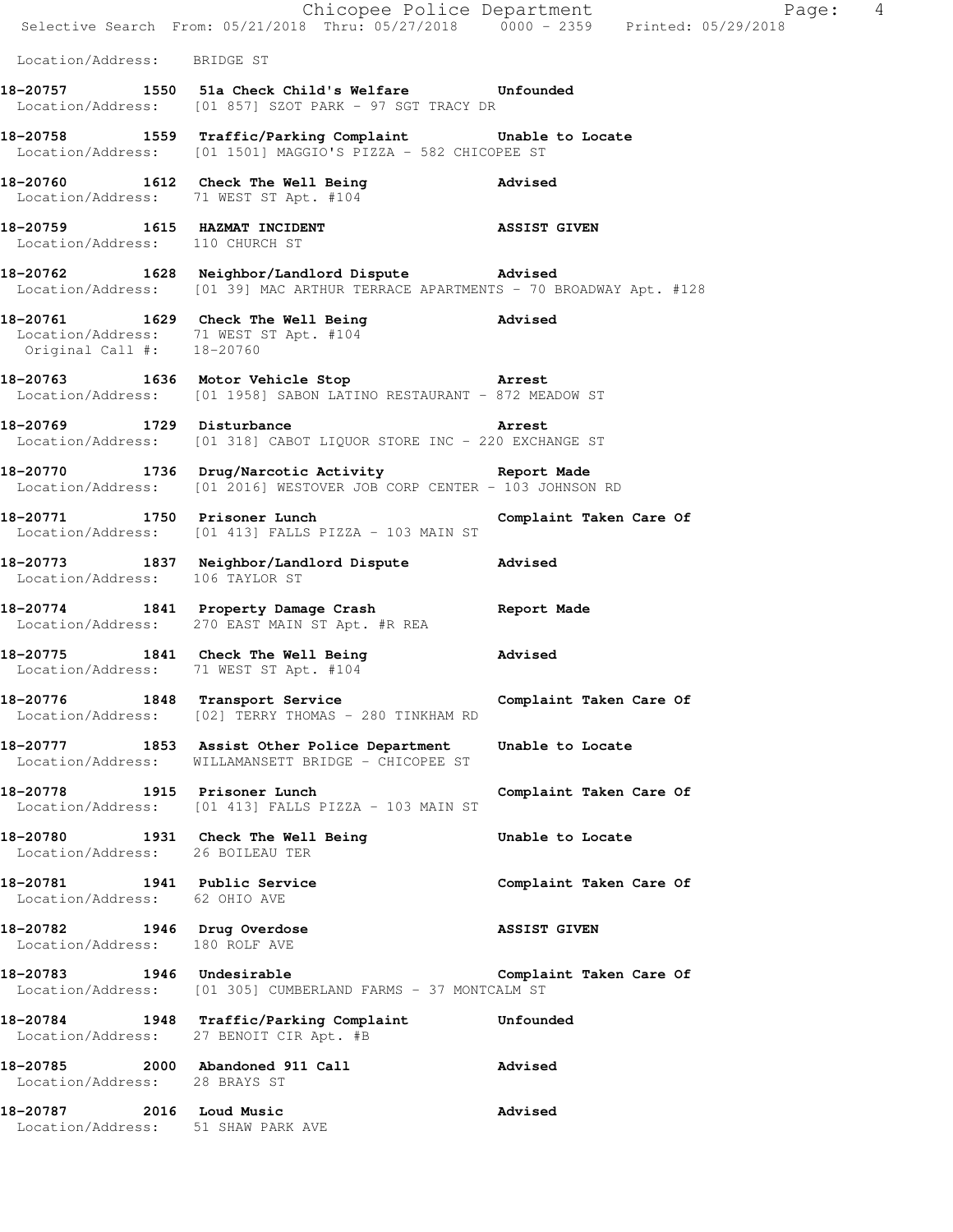|                                                                | E Chicopee Police Department<br>Selective Search From: 05/21/2018 Thru: 05/27/2018 0000 - 2359 Printed: 05/29/2018                 | Page: 4                 |
|----------------------------------------------------------------|------------------------------------------------------------------------------------------------------------------------------------|-------------------------|
| Location/Address: BRIDGE ST                                    |                                                                                                                                    |                         |
|                                                                | 18-20757 1550 51a Check Child's Welfare Unfounded<br>Location/Address: [01 857] SZOT PARK - 97 SGT TRACY DR                        |                         |
|                                                                | 18-20758 1559 Traffic/Parking Complaint Unable to Locate<br>Location/Address: [01 1501] MAGGIO'S PIZZA - 582 CHICOPEE ST           |                         |
|                                                                | 18-20760 1612 Check The Well Being<br>Location/Address: 71 WEST ST Apt. #104                                                       | <b>Advised</b>          |
| Location/Address: 110 CHURCH ST                                | 18-20759 1615 HAZMAT INCIDENT NO ASSIST GIVEN                                                                                      |                         |
|                                                                | 18-20762 1628 Neighbor/Landlord Dispute Advised<br>Location/Address: [01 39] MAC ARTHUR TERRACE APARTMENTS - 70 BROADWAY Apt. #128 |                         |
| Original Call #: 18-20760                                      | 18-20761 1629 Check The Well Being 30 Advised<br>Location/Address: 71 WEST ST Apt. #104                                            |                         |
|                                                                | 18-20763 1636 Motor Vehicle Stop 3 Arrest<br>Location/Address: [01 1958] SABON LATINO RESTAURANT - 872 MEADOW ST                   |                         |
|                                                                | 18-20769 1729 Disturbance 2001 18-20769<br>Location/Address: [01 318] CABOT LIQUOR STORE INC - 220 EXCHANGE ST                     |                         |
|                                                                | 18-20770 1736 Drug/Narcotic Activity 18-20770<br>Location/Address: [01 2016] WESTOVER JOB CORP CENTER - 103 JOHNSON RD             |                         |
|                                                                | 18-20771 1750 Prisoner Lunch 18-20771<br>Location/Address: [01 413] FALLS PIZZA - 103 MAIN ST                                      |                         |
| Location/Address: 106 TAYLOR ST                                | 18-20773 1837 Neighbor/Landlord Dispute Advised                                                                                    |                         |
|                                                                | 18-20774 1841 Property Damage Crash Report Made<br>Location/Address: 270 EAST MAIN ST Apt. #R REA                                  |                         |
|                                                                | 18-20775 1841 Check The Well Being 30 Movised<br>Location/Address: 71 WEST ST Apt. #104                                            |                         |
|                                                                | 18-20776 1848 Transport Service<br>Location/Address: [02] TERRY THOMAS - 280 TINKHAM RD                                            | Complaint Taken Care Of |
|                                                                | 18-20777 1853 Assist Other Police Department<br>Location/Address: WILLAMANSETT BRIDGE - CHICOPEE ST                                | Unable to Locate        |
| 18-20778 1915 Prisoner Lunch                                   | Location/Address: [01 413] FALLS PIZZA - 103 MAIN ST                                                                               | Complaint Taken Care Of |
| Location/Address: 26 BOILEAU TER                               | 18-20780 1931 Check The Well Being                                                                                                 | Unable to Locate        |
| 18-20781 1941 Public Service<br>Location/Address: 62 OHIO AVE  |                                                                                                                                    | Complaint Taken Care Of |
| 18-20782 1946 Drug Overdose<br>Location/Address: 180 ROLF AVE  |                                                                                                                                    | <b>ASSIST GIVEN</b>     |
|                                                                | 18-20783 1946 Undesirable<br>Location/Address: [01 305] CUMBERLAND FARMS - 37 MONTCALM ST                                          | Complaint Taken Care Of |
|                                                                | 18-20784 1948 Traffic/Parking Complaint Unfounded<br>Location/Address: 27 BENOIT CIR Apt. #B                                       |                         |
| Location/Address: 28 BRAYS ST                                  | 18-20785 2000 Abandoned 911 Call                                                                                                   | <b>Advised</b>          |
| 18-20787 2016 Loud Music<br>Location/Address: 51 SHAW PARK AVE |                                                                                                                                    | Advised                 |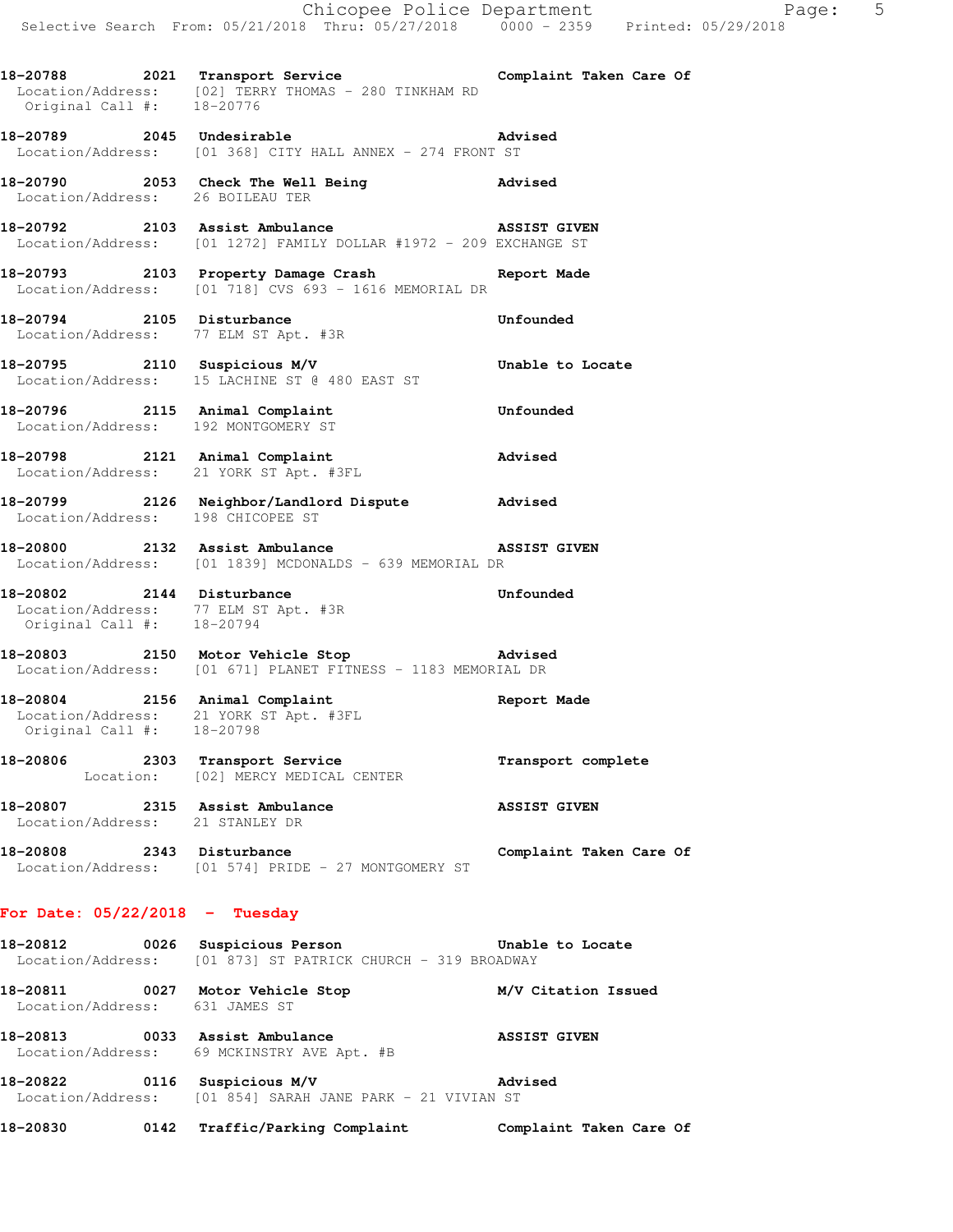18-20788 2021 Transport Service **Complaint Taken Care Of** Location/Address: [02] TERRY THOMAS - 280 TINKHAM RD Original Call #: 18-20776

**18-20789 2045 Undesirable Advised**  Location/Address: [01 368] CITY HALL ANNEX - 274 FRONT ST

**18-20790 2053 Check The Well Being Advised**  Location/Address: 26 BOILEAU TER

**18-20792 2103 Assist Ambulance ASSIST GIVEN**  Location/Address: [01 1272] FAMILY DOLLAR #1972 - 209 EXCHANGE ST

**18-20793 2103 Property Damage Crash Report Made**  Location/Address: [01 718] CVS 693 - 1616 MEMORIAL DR

**18-20794 2105 Disturbance Unfounded**  Location/Address: 77 ELM ST Apt. #3R

**18-20795 2110 Suspicious M/V Unable to Locate**  Location/Address: 15 LACHINE ST @ 480 EAST ST

**18-20796 2115 Animal Complaint Unfounded**  Location/Address: 192 MONTGOMERY ST

**18-20798 2121 Animal Complaint Advised**  Location/Address: 21 YORK ST Apt. #3FL

**18-20799 2126 Neighbor/Landlord Dispute Advised**  Location/Address: 198 CHICOPEE ST

**18-20800 2132 Assist Ambulance ASSIST GIVEN**  Location/Address: [01 1839] MCDONALDS - 639 MEMORIAL DR

**18-20802 2144 Disturbance Unfounded**  Location/Address: 77 ELM ST Apt. #3R Original Call #: 18-20794

**18-20803 2150 Motor Vehicle Stop Advised**  Location/Address: [01 671] PLANET FITNESS - 1183 MEMORIAL DR

**18-20804 2156 Animal Complaint Report Made**  Location/Address: 21 YORK ST Apt. #3FL Original Call #: 18-20798

**18-20806 2303 Transport Service Transport complete**  Location: [02] MERCY MEDICAL CENTER

**18-20807 2315 Assist Ambulance ASSIST GIVEN**  Location/Address: 21 STANLEY DR

**18-20808 2343 Disturbance Complaint Taken Care Of**  Location/Address: [01 574] PRIDE - 27 MONTGOMERY ST

## **For Date: 05/22/2018 - Tuesday**

**18-20812 0026 Suspicious Person Unable to Locate**  Location/Address: [01 873] ST PATRICK CHURCH - 319 BROADWAY

**18-20811 0027 Motor Vehicle Stop M/V Citation Issued**  Location/Address: 631 JAMES ST

**18-20813 0033 Assist Ambulance ASSIST GIVEN**  Location/Address: 69 MCKINSTRY AVE Apt. #B

**18-20822 0116 Suspicious M/V Advised**  Location/Address: [01 854] SARAH JANE PARK - 21 VIVIAN ST

**18-20830 0142 Traffic/Parking Complaint Complaint Taken Care Of**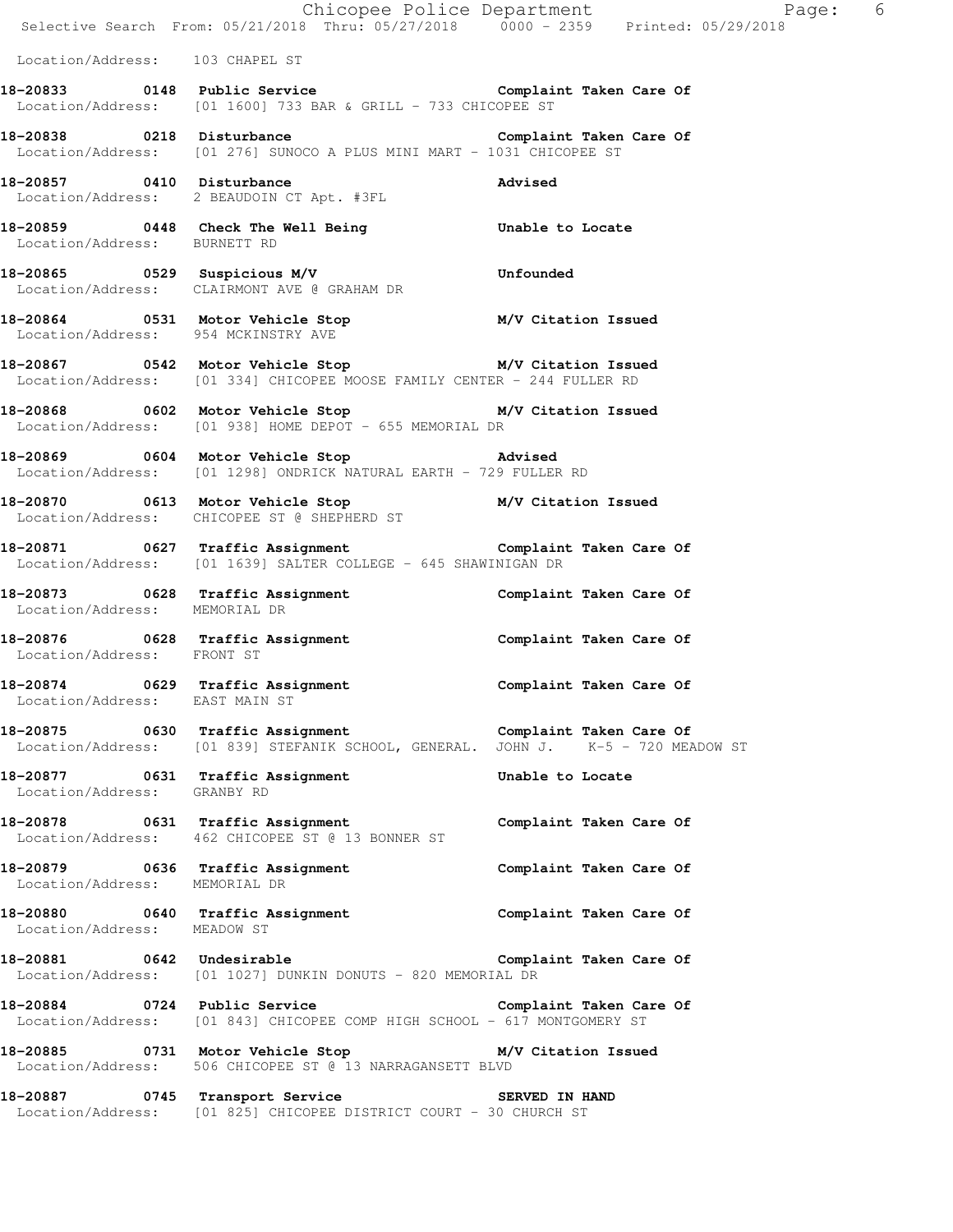|                                                                 | E Chicopee Police Department<br>Selective Search From: 05/21/2018 Thru: 05/27/2018 0000 - 2359 Printed: 05/29/2018                                   | Page: 6                 |
|-----------------------------------------------------------------|------------------------------------------------------------------------------------------------------------------------------------------------------|-------------------------|
| Location/Address: 103 CHAPEL ST                                 |                                                                                                                                                      |                         |
|                                                                 | Location/Address: [01 1600] 733 BAR & GRILL - 733 CHICOPEE ST                                                                                        |                         |
|                                                                 | 18-20838 		 0218 Disturbance 		 Complaint Taken Care Of<br>Location/Address: [01 276] SUNOCO A PLUS MINI MART - 1031 CHICOPEE ST                     |                         |
| 18-20857 0410 Disturbance                                       | Location/Address: 2 BEAUDOIN CT Apt. #3FL                                                                                                            | Advised                 |
| Location/Address: BURNETT RD                                    | 18-20859 0448 Check The Well Being The Unable to Locate                                                                                              |                         |
|                                                                 | 18-20865 0529 Suspicious M/V<br>Location/Address: CLAIRMONT AVE @ GRAHAM DR<br>Location/Address: CLAIRMONT AVE @ GRAHAM DR                           |                         |
|                                                                 | 18-20864   0531   Motor Vehicle Stop   M/V Citation Issued<br>Location/Address: 954   MCKINSTRY AVE                                                  |                         |
|                                                                 | 18-20867 1890 0542 Motor Vehicle Stop 1890 M/V Citation Issued<br>Location/Address: [01 334] CHICOPEE MOOSE FAMILY CENTER - 244 FULLER RD            |                         |
|                                                                 | 18-20868 0602 Motor Vehicle Stop M/V Citation Issued<br>Location/Address: [01 938] HOME DEPOT - 655 MEMORIAL DR                                      |                         |
|                                                                 | 18-20869 0604 Motor Vehicle Stop 30 Movised<br>Location/Address: [01 1298] ONDRICK NATURAL EARTH - 729 FULLER RD                                     |                         |
|                                                                 | 18-20870 0613 Motor Vehicle Stop M/V Citation Issued<br>Location/Address: CHICOPEE ST @ SHEPHERD ST                                                  |                         |
|                                                                 | Location/Address: [01 1639] SALTER COLLEGE - 645 SHAWINIGAN DR                                                                                       |                         |
| Location/Address: MEMORIAL DR                                   |                                                                                                                                                      |                         |
| Location/Address: FRONT ST                                      | 18-20876 0628 Traffic Assignment 10 Complaint Taken Care Of                                                                                          |                         |
| Location/Address: EAST MAIN ST                                  | 18-20874 0629 Traffic Assignment 18-2007 Complaint Taken Care Of                                                                                     |                         |
|                                                                 | 18-20875 0630 Traffic Assignment 18-2007 Complaint Taken Care Of<br>Location/Address: [01 839] STEFANIK SCHOOL, GENERAL. JOHN J. K-5 - 720 MEADOW ST |                         |
| 18-20877 0631 Traffic Assignment<br>Location/Address: GRANBY RD |                                                                                                                                                      | Unable to Locate        |
|                                                                 | 18-20878 0631 Traffic Assignment<br>Location/Address: 462 CHICOPEE ST @ 13 BONNER ST                                                                 | Complaint Taken Care Of |
| Location/Address: MEMORIAL DR                                   | 18-20879 0636 Traffic Assignment                                                                                                                     | Complaint Taken Care Of |
| Location/Address: MEADOW ST                                     | 18-20880 0640 Traffic Assignment                                                                                                                     | Complaint Taken Care Of |
|                                                                 | 18-20881 0642 Undesirable<br>Location/Address: [01 1027] DUNKIN DONUTS - 820 MEMORIAL DR                                                             | Complaint Taken Care Of |
|                                                                 | Location/Address: [01 843] CHICOPEE COMP HIGH SCHOOL - 617 MONTGOMERY ST                                                                             |                         |
|                                                                 | 18-20885 0731 Motor Vehicle Stop 6 M/V Citation Issued<br>Location/Address: 506 CHICOPEE ST @ 13 NARRAGANSETT BLVD                                   |                         |
|                                                                 | 18-20887 0745 Transport Service 6 SERVED IN HAND<br>Location/Address: [01 825] CHICOPEE DISTRICT COURT - 30 CHURCH ST                                |                         |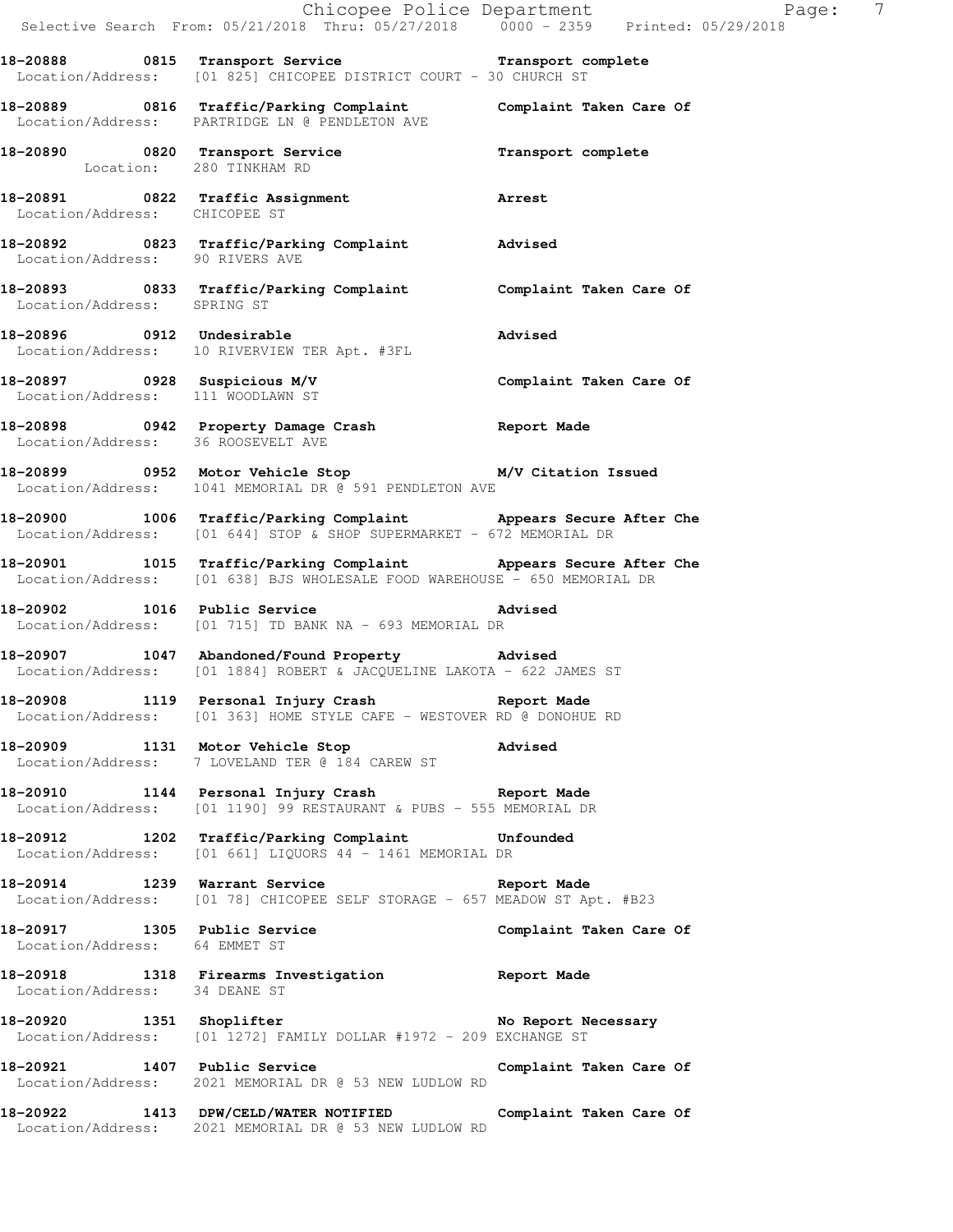|                                    | Selective Search From: 05/21/2018 Thru: 05/27/2018 0000 - 2359 Printed: 05/29/2018                                                            | Chicopee Police Department Page: 7 |
|------------------------------------|-----------------------------------------------------------------------------------------------------------------------------------------------|------------------------------------|
|                                    | 18-20888 0815 Transport Service Transport complete<br>Location/Address: [01 825] CHICOPEE DISTRICT COURT - 30 CHURCH ST                       |                                    |
|                                    | 18-20889 0816 Traffic/Parking Complaint Complaint Taken Care Of<br>Location/Address: PARTRIDGE LN @ PENDLETON AVE                             |                                    |
| Location: 280 TINKHAM RD           | 18-20890 0820 Transport Service Transport Complete                                                                                            |                                    |
| Location/Address: CHICOPEE ST      | 18-20891 0822 Traffic Assignment 18-20891 Arrest                                                                                              |                                    |
|                                    | 18-20892 0823 Traffic/Parking Complaint Advised<br>Location/Address: 90 RIVERS AVE                                                            |                                    |
|                                    | 18-20893 0833 Traffic/Parking Complaint Complaint Taken Care Of Location/Address: SPRING ST                                                   |                                    |
|                                    | 18-20896 0912 Undesirable<br>Location/Address: 10 RIVERVIEW TER Apt. #3FL                                                                     | Advised                            |
| Location/Address: 111 WOODLAWN ST  | 18-20897 0928 Suspicious M/V Complaint Taken Care Of                                                                                          |                                    |
| Location/Address: 36 ROOSEVELT AVE | 18-20898 0942 Property Damage Crash Report Made                                                                                               |                                    |
|                                    | 18-20899 0952 Motor Vehicle Stop M/V Citation Issued<br>Location/Address: 1041 MEMORIAL DR @ 591 PENDLETON AVE                                |                                    |
|                                    | 18-20900 1006 Traffic/Parking Complaint Appears Secure After Che<br>Location/Address: [01 644] STOP & SHOP SUPERMARKET - 672 MEMORIAL DR      |                                    |
|                                    | 18-20901 1015 Traffic/Parking Complaint Appears Secure After Che<br>Location/Address: [01 638] BJS WHOLESALE FOOD WAREHOUSE - 650 MEMORIAL DR |                                    |
| 18-20902 1016 Public Service       | <b>Advised</b><br>Location/Address: [01 715] TD BANK NA - 693 MEMORIAL DR                                                                     |                                    |
|                                    | 18-20907 1047 Abandoned/Found Property Advised<br>Location/Address: [01 1884] ROBERT & JACQUELINE LAKOTA - 622 JAMES ST                       |                                    |
|                                    | 18-20908 1119 Personal Injury Crash Report Made<br>Location/Address: [01 363] HOME STYLE CAFE - WESTOVER RD @ DONOHUE RD                      |                                    |
|                                    | 18-20909 1131 Motor Vehicle Stop Advised<br>Location/Address: 7 LOVELAND TER @ 184 CAREW ST                                                   |                                    |
|                                    | 18-20910 1144 Personal Injury Crash Neport Made<br>Location/Address: [01 1190] 99 RESTAURANT & PUBS - 555 MEMORIAL DR                         |                                    |
|                                    | 18-20912 1202 Traffic/Parking Complaint Unfounded<br>Location/Address: [01 661] LIQUORS 44 - 1461 MEMORIAL DR                                 |                                    |
|                                    | 18-20914 1239 Warrant Service Neport Made<br>Location/Address: [01 78] CHICOPEE SELF STORAGE - 657 MEADOW ST Apt. #B23                        |                                    |
| Location/Address: 64 EMMET ST      | 18-20917 1305 Public Service                                                                                                                  | Complaint Taken Care Of            |
| Location/Address: 34 DEANE ST      | 18-20918 1318 Firearms Investigation Report Made                                                                                              |                                    |
|                                    | 18-20920 1351 Shoplifter 1997 No Report Necessary<br>Location/Address: [01 1272] FAMILY DOLLAR #1972 - 209 EXCHANGE ST                        |                                    |
|                                    | 18-20921 1407 Public Service<br>Location/Address: 2021 MEMORIAL DR @ 53 NEW LUDLOW RD                                                         | Complaint Taken Care Of            |
|                                    | 18-20922 1413 DPW/CELD/WATER NOTIFIED Complaint Taken Care Of Location/Address: 2021 MEMORIAL DR @ 53 NEW LUDLOW RD                           |                                    |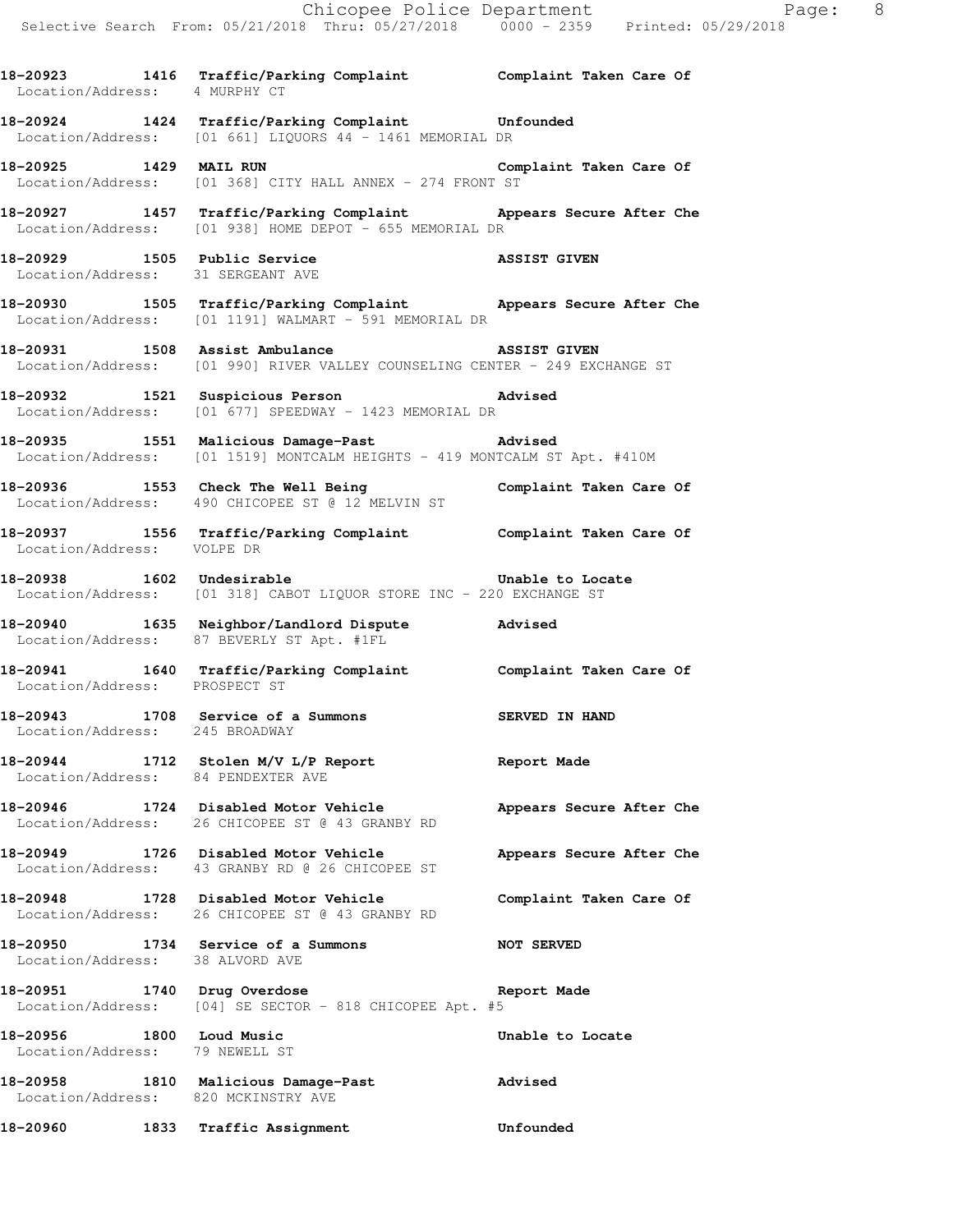**18-20923 1416 Traffic/Parking Complaint Complaint Taken Care Of** 

**18-20924 1424 Traffic/Parking Complaint Unfounded**  Location/Address: [01 661] LIQUORS 44 - 1461 MEMORIAL DR **18-20925 1429 MAIL RUN Complaint Taken Care Of**  Location/Address: [01 368] CITY HALL ANNEX - 274 FRONT ST **18-20927 1457 Traffic/Parking Complaint Appears Secure After Che**  Location/Address: [01 938] HOME DEPOT - 655 MEMORIAL DR **18-20929 1505 Public Service ASSIST GIVEN**  Location/Address: 31 SERGEANT AVE **18-20930 1505 Traffic/Parking Complaint Appears Secure After Che**  Location/Address: [01 1191] WALMART - 591 MEMORIAL DR **18-20931 1508 Assist Ambulance ASSIST GIVEN**  Location/Address: [01 990] RIVER VALLEY COUNSELING CENTER - 249 EXCHANGE ST **18-20932 1521 Suspicious Person Advised**  Location/Address: [01 677] SPEEDWAY - 1423 MEMORIAL DR **18-20935 1551 Malicious Damage-Past Advised**  Location/Address: [01 1519] MONTCALM HEIGHTS - 419 MONTCALM ST Apt. #410M **18-20936 1553 Check The Well Being Complaint Taken Care Of**  Location/Address: 490 CHICOPEE ST @ 12 MELVIN ST **18-20937 1556 Traffic/Parking Complaint Complaint Taken Care Of**  Location/Address: VOLPE DR **18-20938 1602 Undesirable Unable to Locate**  Location/Address: [01 318] CABOT LIQUOR STORE INC - 220 EXCHANGE ST **18-20940 1635 Neighbor/Landlord Dispute Advised**  Location/Address: 87 BEVERLY ST Apt. #1FL **18-20941 1640 Traffic/Parking Complaint Complaint Taken Care Of**  Location/Address: PROSPECT ST **18-20943 1708 Service of a Summons SERVED IN HAND**  Location/Address: 245 BROADWAY **18-20944 1712 Stolen M/V L/P Report Report Made**  Location/Address: 84 PENDEXTER AVE **18-20946 1724 Disabled Motor Vehicle Appears Secure After Che**  Location/Address: 26 CHICOPEE ST @ 43 GRANBY RD **18-20949 1726 Disabled Motor Vehicle Appears Secure After Che**  Location/Address: 43 GRANBY RD @ 26 CHICOPEE ST

**18-20948 1728 Disabled Motor Vehicle Complaint Taken Care Of**  Location/Address: 26 CHICOPEE ST @ 43 GRANBY RD

Location/Address: 4 MURPHY CT

**18-20950 1734 Service of a Summons NOT SERVED**  Location/Address: 38 ALVORD AVE

**18-20951 1740 Drug Overdose Report Made**  Location/Address: [04] SE SECTOR - 818 CHICOPEE Apt. #5

18-20956 1800 Loud Music **1800 Loud Music Unable to Locate**  Location/Address: 79 NEWELL ST **18-20958 1810 Malicious Damage-Past Advised**  Location/Address: 820 MCKINSTRY AVE

**18-20960 1833 Traffic Assignment Unfounded**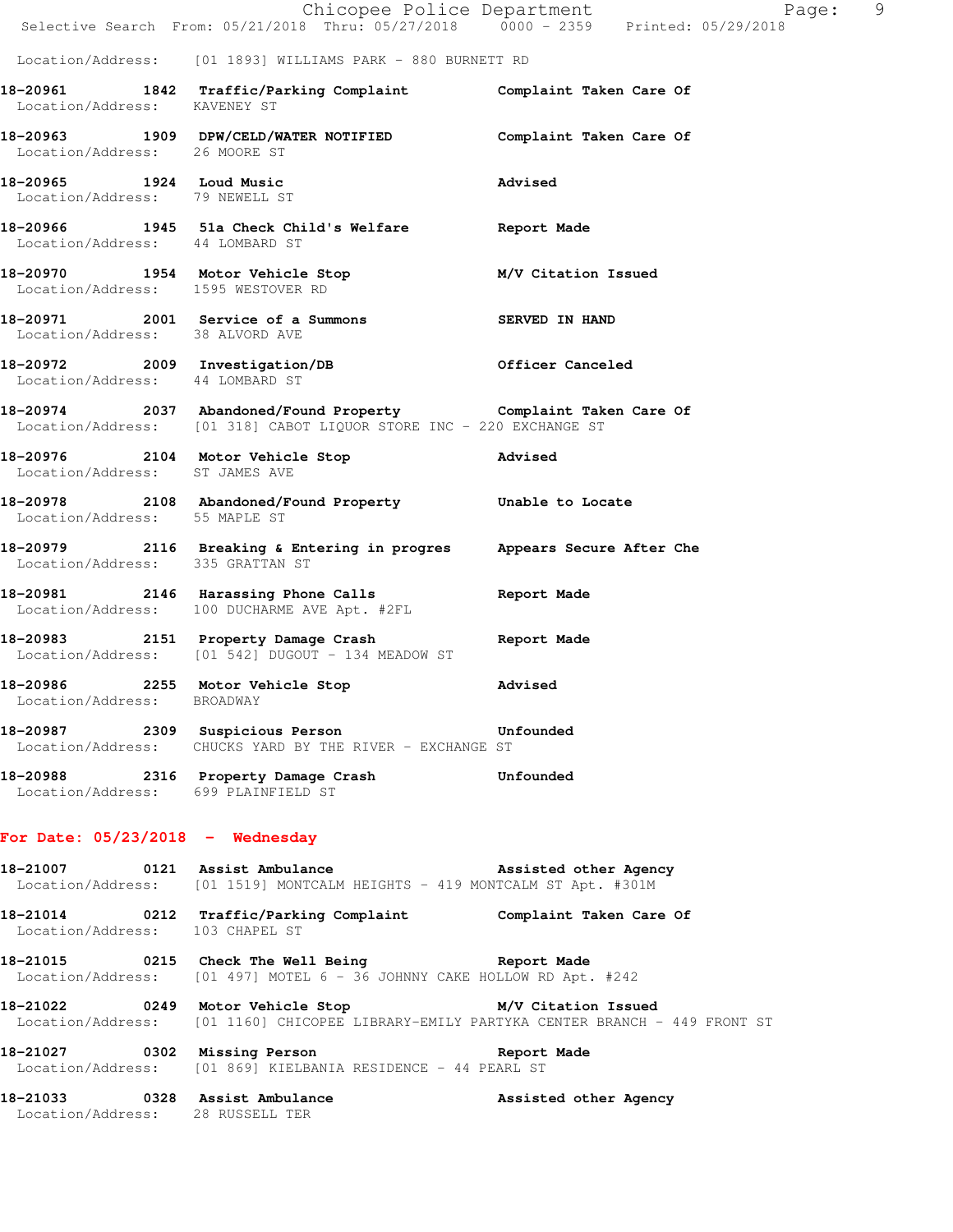|                                        | E Chicopee Police Department<br>Selective Search From: 05/21/2018 Thru: 05/27/2018 0000 - 2359 Printed: 05/29/2018                              | Page: 9        |  |
|----------------------------------------|-------------------------------------------------------------------------------------------------------------------------------------------------|----------------|--|
|                                        | Location/Address: [01 1893] WILLIAMS PARK - 880 BURNETT RD                                                                                      |                |  |
| Location/Address: KAVENEY ST           | 18-20961 1842 Traffic/Parking Complaint Complaint Taken Care Of                                                                                 |                |  |
| Location/Address: 26 MOORE ST          | 18-20963 1909 DPW/CELD/WATER NOTIFIED Complaint Taken Care Of                                                                                   |                |  |
| Location/Address: 79 NEWELL ST         | 18-20965 1924 Loud Music                                                                                                                        | Advised        |  |
| Location/Address: 44 LOMBARD ST        | 18-20966 1945 51a Check Child's Welfare Report Made                                                                                             |                |  |
| Location/Address: 1595 WESTOVER RD     | 18-20970 1954 Motor Vehicle Stop M/V Citation Issued                                                                                            |                |  |
|                                        | 18-20971 2001 Service of a Summons<br>Location/Address: 38 ALVORD AVE                                                                           | SERVED IN HAND |  |
| Location/Address: 44 LOMBARD ST        | 18-20972 2009 Investigation/DB 0fficer Canceled                                                                                                 |                |  |
|                                        | 18-20974 2037 Abandoned/Found Property Complaint Taken Care Of<br>Location/Address: [01 318] CABOT LIQUOR STORE INC - 220 EXCHANGE ST           |                |  |
| Location/Address: ST JAMES AVE         | 18-20976 2104 Motor Vehicle Stop 30 Movised                                                                                                     |                |  |
| Location/Address: 55 MAPLE ST          | 18-20978 2108 Abandoned/Found Property Unable to Locate                                                                                         |                |  |
| Location/Address: 335 GRATTAN ST       | 18-20979 2116 Breaking & Entering in progres Appears Secure After Che                                                                           |                |  |
|                                        | 18-20981 2146 Harassing Phone Calls<br>Location/Address: 100 DUCHARME AVE Apt. #2FL                                                             | Report Made    |  |
|                                        | 18-20983 2151 Property Damage Crash<br>Location/Address: [01 542] DUGOUT - 134 MEADOW ST                                                        | Report Made    |  |
| 18-20986<br>Location/Address: BROADWAY | 2255 Motor Vehicle Stop                                                                                                                         | Advised        |  |
|                                        | 18-20987 2309 Suspicious Person bunfounded<br>Location/Address: CHUCKS YARD BY THE RIVER - EXCHANGE ST                                          |                |  |
| Location/Address: 699 PLAINFIELD ST    | 18-20988 2316 Property Damage Crash Unfounded                                                                                                   |                |  |
| For Date: $05/23/2018$ - Wednesday     |                                                                                                                                                 |                |  |
|                                        | 18-21007 0121 Assist Ambulance Massisted other Agency<br>Location/Address: [01 1519] MONTCALM HEIGHTS - 419 MONTCALM ST Apt. #301M              |                |  |
| Location/Address: 103 CHAPEL ST        | 18-21014 0212 Traffic/Parking Complaint Complaint Taken Care Of                                                                                 |                |  |
|                                        | 18-21015 0215 Check The Well Being The Report Made<br>Location/Address: [01 497] MOTEL 6 - 36 JOHNNY CAKE HOLLOW RD Apt. #242                   |                |  |
|                                        | 18-21022 0249 Motor Vehicle Stop M/V Citation Issued<br>Location/Address: [01 1160] CHICOPEE LIBRARY-EMILY PARTYKA CENTER BRANCH - 449 FRONT ST |                |  |
|                                        | 18-21027 0302 Missing Person 2008 Report Made<br>Location/Address: [01 869] KIELBANIA RESIDENCE - 44 PEARL ST                                   |                |  |
| Location/Address: 28 RUSSELL TER       | 18-21033 0328 Assist Ambulance Massisted other Agency                                                                                           |                |  |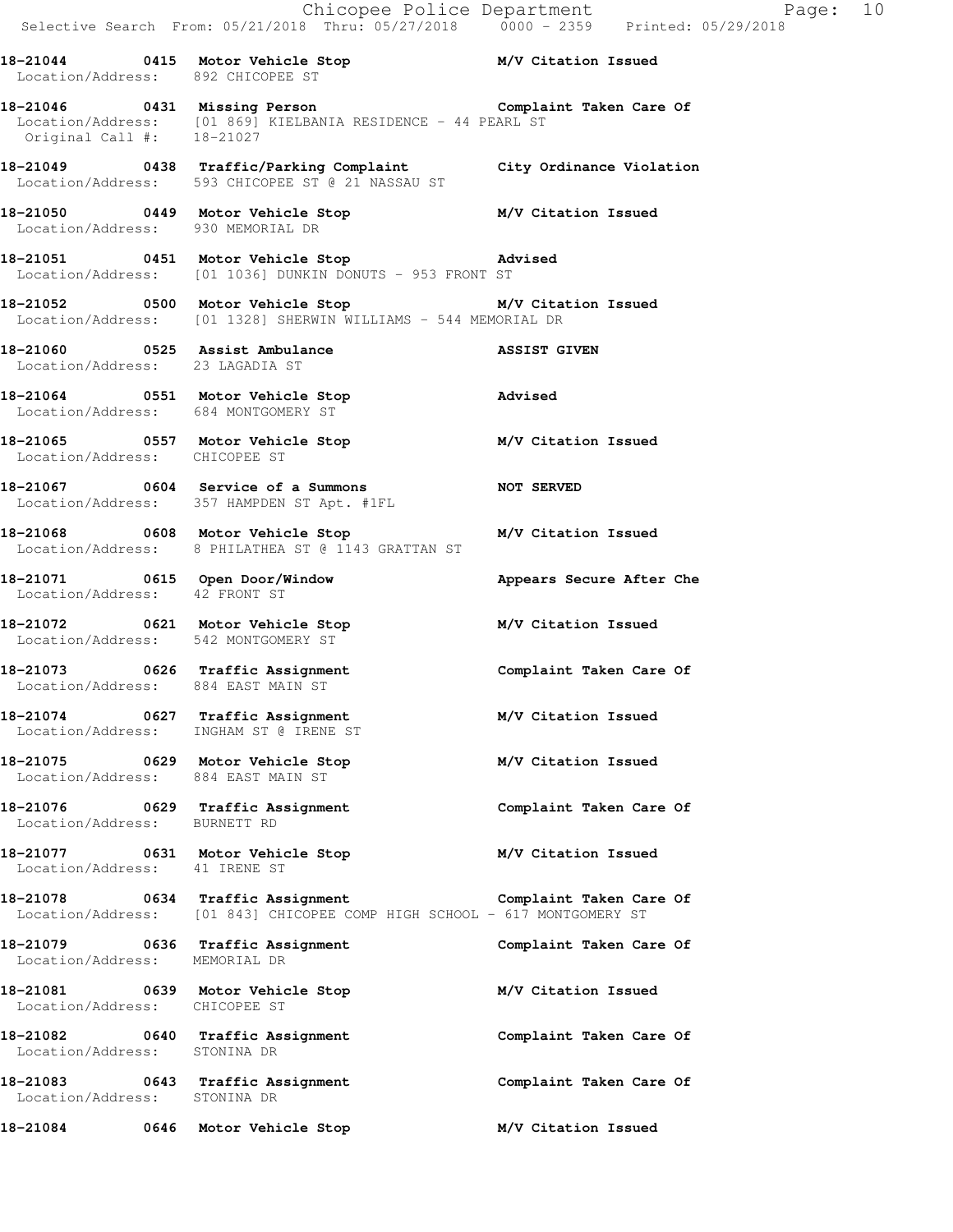**18-21044 0415 Motor Vehicle Stop M/V Citation Issued**  Location/Address: 892 CHICOPEE ST

**18-21046 0431 Missing Person Complaint Taken Care Of**  Location/Address: [01 869] KIELBANIA RESIDENCE - 44 PEARL ST Original Call #: 18-21027

**18-21049 0438 Traffic/Parking Complaint City Ordinance Violation**  Location/Address: 593 CHICOPEE ST @ 21 NASSAU ST

**18-21050 0449 Motor Vehicle Stop M/V Citation Issued**  Location/Address: 930 MEMORIAL DR

**18-21051 0451 Motor Vehicle Stop Advised**  Location/Address: [01 1036] DUNKIN DONUTS - 953 FRONT ST

**18-21052 0500 Motor Vehicle Stop M/V Citation Issued**  Location/Address: [01 1328] SHERWIN WILLIAMS - 544 MEMORIAL DR

**18-21060 0525 Assist Ambulance ASSIST GIVEN**  Location/Address: 23 LAGADIA ST

**18-21064 0551 Motor Vehicle Stop Advised**  Location/Address: 684 MONTGOMERY ST

**18-21065 0557 Motor Vehicle Stop M/V Citation Issued**  Location/Address: CHICOPEE ST

18-21067 **0604** Service of a Summons **NOT SERVED** Location/Address: 357 HAMPDEN ST Apt. #1FL

**18-21068 0608 Motor Vehicle Stop M/V Citation Issued**  Location/Address: 8 PHILATHEA ST @ 1143 GRATTAN ST

**18-21071 0615 Open Door/Window Appears Secure After Che**  Location/Address: 42 FRONT ST

**18-21072 0621 Motor Vehicle Stop M/V Citation Issued**  Location/Address: 542 MONTGOMERY ST

**18-21073 0626 Traffic Assignment Complaint Taken Care Of**  Location/Address: 884 EAST MAIN ST

**18-21074 0627 Traffic Assignment M/V Citation Issued**  Location/Address: INGHAM ST @ IRENE ST

**18-21075 0629 Motor Vehicle Stop M/V Citation Issued**  Location/Address: 884 EAST MAIN ST

**18-21076 0629 Traffic Assignment Complaint Taken Care Of**  Location/Address: BURNETT RD

**18-21077 0631 Motor Vehicle Stop M/V Citation Issued**  Location/Address: 41 IRENE ST

**18-21078 0634 Traffic Assignment Complaint Taken Care Of**  Location/Address: [01 843] CHICOPEE COMP HIGH SCHOOL - 617 MONTGOMERY ST

**18-21079 0636 Traffic Assignment Complaint Taken Care Of**  Location/Address: MEMORIAL DR

**18-21081 0639 Motor Vehicle Stop M/V Citation Issued**  Location/Address: CHICOPEE ST

**18-21082 0640 Traffic Assignment Complaint Taken Care Of**  Location/Address: STONINA DR

18-21083 **18-21083** 0643 Traffic Assignment **Complaint Taken Care Of** Location/Address: STONINA DR

**18-21084 0646 Motor Vehicle Stop M/V Citation Issued**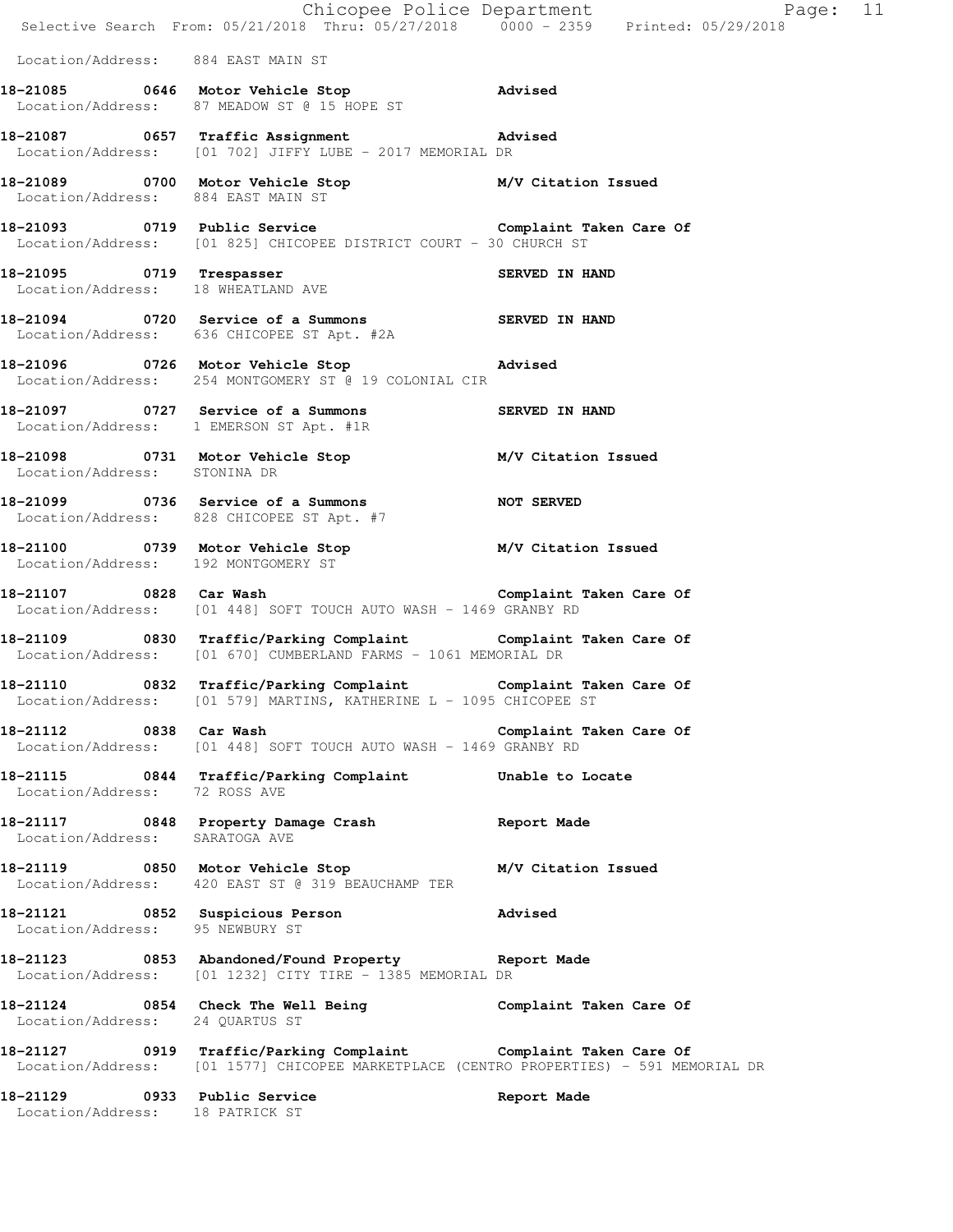|                                                                 | E<br>Chicopee Police Department<br>Selective Search From: 05/21/2018 Thru: 05/27/2018 0000 - 2359 Printed: 05/29/2018                                     | Page: 11                |
|-----------------------------------------------------------------|-----------------------------------------------------------------------------------------------------------------------------------------------------------|-------------------------|
| Location/Address: 884 EAST MAIN ST                              |                                                                                                                                                           |                         |
|                                                                 | 18-21085 0646 Motor Vehicle Stop Advised<br>Location/Address: 87 MEADOW ST @ 15 HOPE ST                                                                   |                         |
|                                                                 | Location/Address: [01 702] JIFFY LUBE - 2017 MEMORIAL DR                                                                                                  |                         |
|                                                                 | 18-21089 0700 Motor Vehicle Stop M/V Citation Issued<br>Location/Address: 884 EAST MAIN ST                                                                |                         |
|                                                                 | 18-21093 0719 Public Service Complaint Taken Care Of<br>Location/Address: [01 825] CHICOPEE DISTRICT COURT - 30 CHURCH ST                                 |                         |
| 18-21095 0719 Trespasser<br>Location/Address: 18 WHEATLAND AVE  |                                                                                                                                                           | SERVED IN HAND          |
|                                                                 | 18-21094 0720 Service of a Summons SERVED IN HAND<br>Location/Address: 636 CHICOPEE ST Apt. #2A                                                           |                         |
|                                                                 | 18-21096 0726 Motor Vehicle Stop 318-21096<br>Location/Address: 254 MONTGOMERY ST @ 19 COLONIAL CIR                                                       |                         |
|                                                                 | 18-21097 0727 Service of a Summons<br>Location/Address: 1 EMERSON ST Apt. #1R<br>1 EMERSON ST Apt. #1R                                                    |                         |
| Location/Address: STONINA DR                                    | 18-21098 0731 Motor Vehicle Stop M/V Citation Issued                                                                                                      |                         |
|                                                                 | 18-21099 0736 Service of a Summons NOT SERVED<br>Location/Address: 828 CHICOPEE ST Apt. #7                                                                |                         |
| Location/Address: 192 MONTGOMERY ST                             | 18-21100 0739 Motor Vehicle Stop M/V Citation Issued                                                                                                      |                         |
| 18-21107 0828 Car Wash                                          | Complaint Taken Care Of<br>Location/Address: [01 448] SOFT TOUCH AUTO WASH - 1469 GRANBY RD                                                               |                         |
|                                                                 | 18-21109 0830 Traffic/Parking Complaint Complaint Taken Care Of<br>Location/Address: [01 670] CUMBERLAND FARMS - 1061 MEMORIAL DR                         |                         |
|                                                                 | 18-21110 0832 Traffic/Parking Complaint Complaint Taken Care Of<br>Location/Address: [01 579] MARTINS, KATHERINE L - 1095 CHICOPEE ST                     |                         |
| 18-21112 0838 Car Wash                                          | Location/Address: [01 448] SOFT TOUCH AUTO WASH - 1469 GRANBY RD                                                                                          | Complaint Taken Care Of |
|                                                                 | 18-21115 0844 Traffic/Parking Complaint Unable to Locate<br>Location/Address: 72 ROSS AVE                                                                 |                         |
| Location/Address: SARATOGA AVE                                  | 18-21117 0848 Property Damage Crash Report Made                                                                                                           |                         |
|                                                                 | 18-21119 0850 Motor Vehicle Stop<br>Location/Address: 420 EAST ST @ 319 BEAUCHAMP TER                                                                     | M/V Citation Issued     |
| Location/Address: 95 NEWBURY ST                                 | 18-21121 0852 Suspicious Person advised                                                                                                                   |                         |
|                                                                 | 18-21123 0853 Abandoned/Found Property Report Made<br>Location/Address: [01 1232] CITY TIRE - 1385 MEMORIAL DR                                            |                         |
| Location/Address: 24 QUARTUS ST                                 | 18-21124 0854 Check The Well Being Complaint Taken Care Of                                                                                                |                         |
|                                                                 | 18-21127 0919 Traffic/Parking Complaint Complaint Taken Care Of<br>Location/Address: [01 1577] CHICOPEE MARKETPLACE (CENTRO PROPERTIES) - 591 MEMORIAL DR |                         |
| 18-21129 0933 Public Service<br>Location/Address: 18 PATRICK ST |                                                                                                                                                           | Report Made             |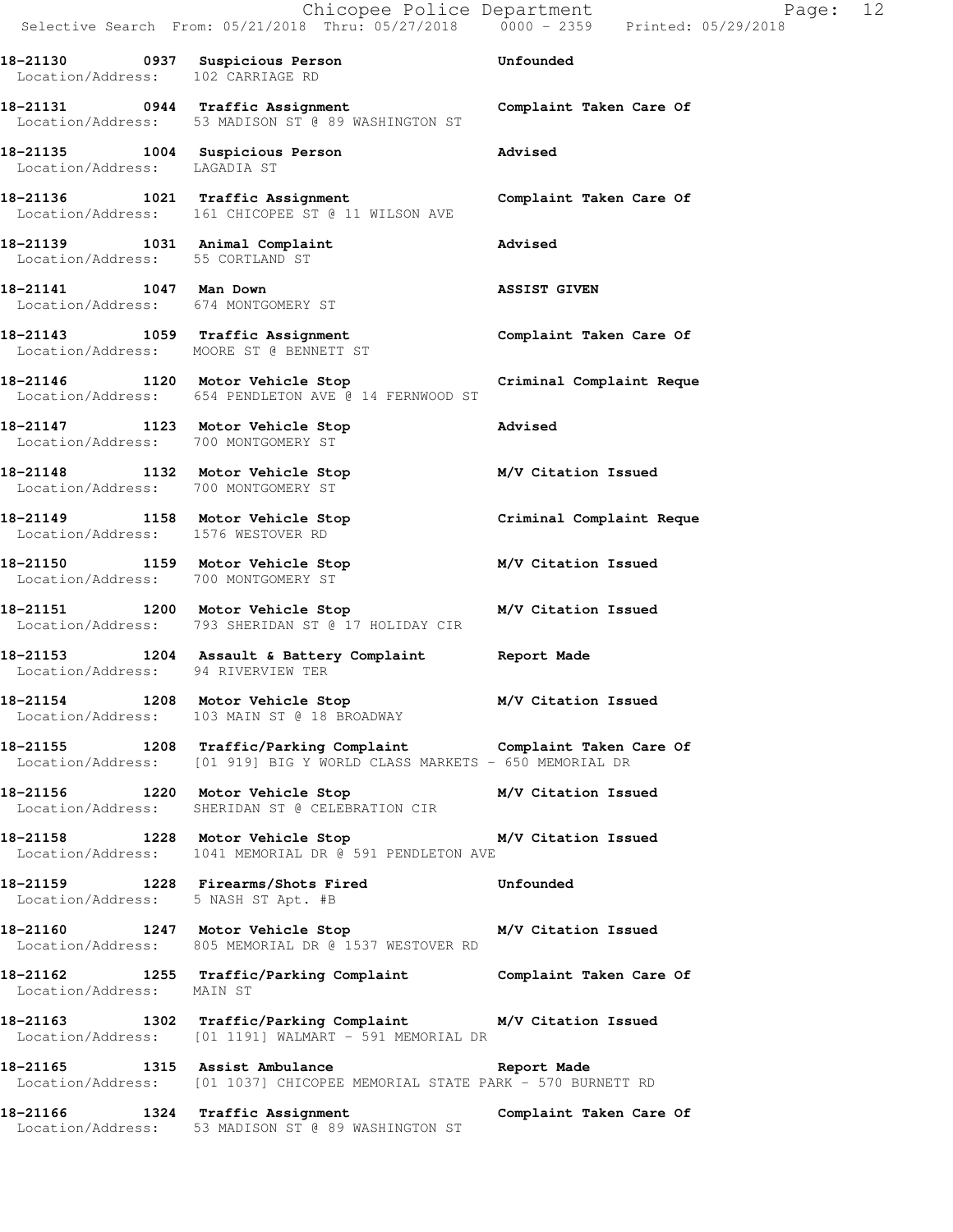Chicopee Police Department Page: 12 Selective Search From: 05/21/2018 Thru: 05/27/2018 0000 - 2359 Printed: 05/29/2018

**18-21130 0937 Suspicious Person Unfounded**  Location/Address: 102 CARRIAGE RD

**18-21131 0944 Traffic Assignment Complaint Taken Care Of**  Location/Address: 53 MADISON ST @ 89 WASHINGTON ST

Location/Address: LAGADIA ST

**18-21135 1004 Suspicious Person Advised** 

**18-21136 1021 Traffic Assignment Complaint Taken Care Of**  Location/Address: 161 CHICOPEE ST @ 11 WILSON AVE

**18-21139 1031 Animal Complaint Advised**  Location/Address: 55 CORTLAND ST

**18-21141 1047 Man Down ASSIST GIVEN**  Location/Address: 674 MONTGOMERY ST

**18-21143 1059 Traffic Assignment Complaint Taken Care Of**  Location/Address: MOORE ST @ BENNETT ST

**18-21146 1120 Motor Vehicle Stop Criminal Complaint Reque**  Location/Address: 654 PENDLETON AVE @ 14 FERNWOOD ST

**18-21147 1123 Motor Vehicle Stop Advised**  Location/Address: 700 MONTGOMERY ST

**18-21148 1132 Motor Vehicle Stop M/V Citation Issued**  Location/Address: 700 MONTGOMERY ST

**18-21149 1158 Motor Vehicle Stop Criminal Complaint Reque**  Location/Address: 1576 WESTOVER RD

**18-21150 1159 Motor Vehicle Stop M/V Citation Issued**  Location/Address: 700 MONTGOMERY ST

**18-21151 1200 Motor Vehicle Stop M/V Citation Issued**  Location/Address: 793 SHERIDAN ST @ 17 HOLIDAY CIR

**18-21153 1204 Assault & Battery Complaint Report Made**  Location/Address: 94 RIVERVIEW TER

**18-21154 1208 Motor Vehicle Stop M/V Citation Issued**  Location/Address: 103 MAIN ST @ 18 BROADWAY

**18-21155 1208 Traffic/Parking Complaint Complaint Taken Care Of**  Location/Address: [01 919] BIG Y WORLD CLASS MARKETS - 650 MEMORIAL DR

**18-21156 1220 Motor Vehicle Stop M/V Citation Issued**  Location/Address: SHERIDAN ST @ CELEBRATION CIR

**18-21158 1228 Motor Vehicle Stop M/V Citation Issued**  Location/Address: 1041 MEMORIAL DR @ 591 PENDLETON AVE

**18-21159 1228 Firearms/Shots Fired Unfounded**  Location/Address: 5 NASH ST Apt. #B

**18-21160 1247 Motor Vehicle Stop M/V Citation Issued**  Location/Address: 805 MEMORIAL DR @ 1537 WESTOVER RD

**18-21162 1255 Traffic/Parking Complaint Complaint Taken Care Of**  Location/Address: MAIN ST

**18-21163 1302 Traffic/Parking Complaint M/V Citation Issued**  Location/Address: [01 1191] WALMART - 591 MEMORIAL DR

**18-21165 1315 Assist Ambulance Report Made**  Location/Address: [01 1037] CHICOPEE MEMORIAL STATE PARK - 570 BURNETT RD

**18-21166 1324 Traffic Assignment Complaint Taken Care Of**  Location/Address: 53 MADISON ST @ 89 WASHINGTON ST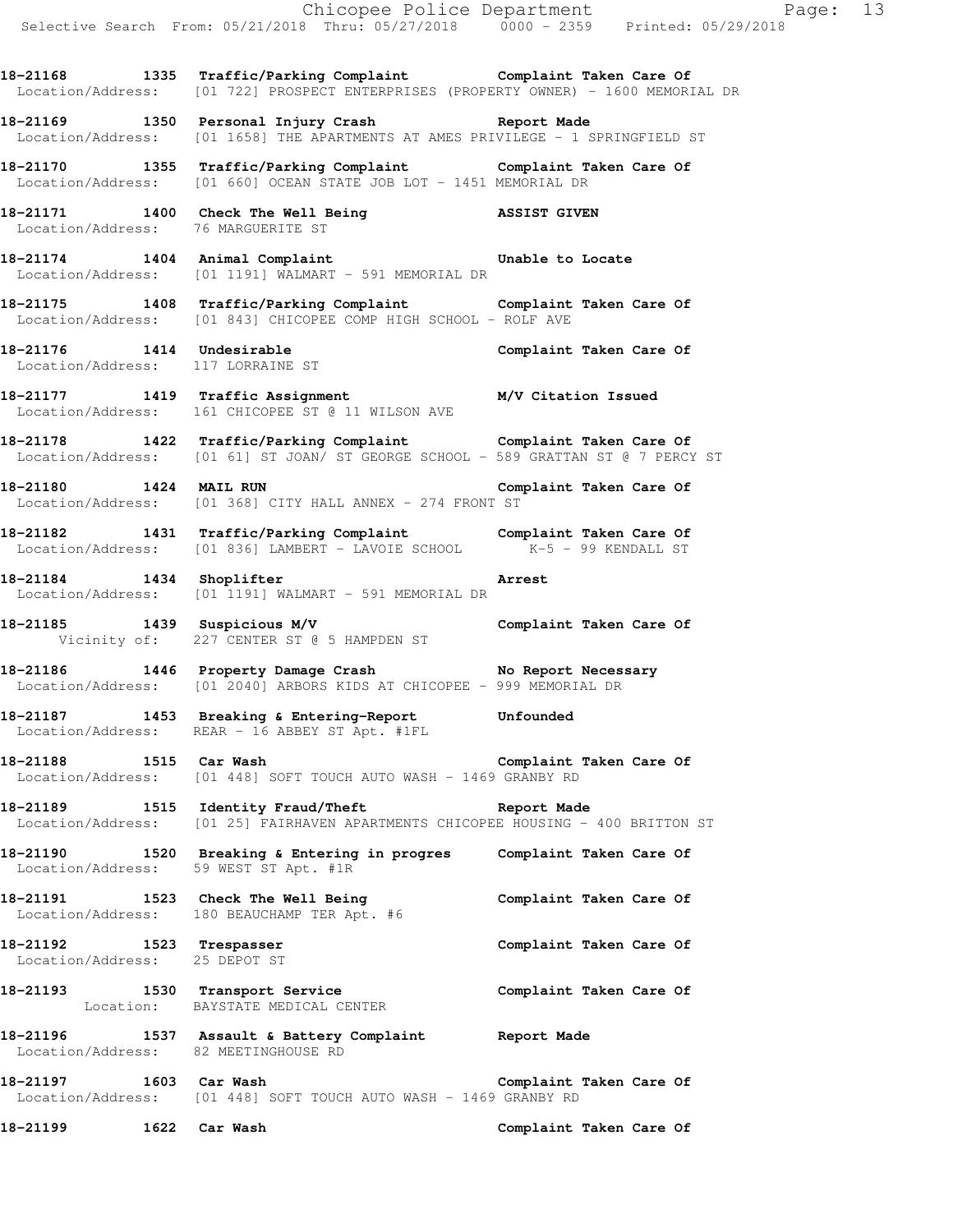|                                                           |                                                                                                                                                      | Chicopee Police Department<br>Selective Search From: 05/21/2018 Thru: 05/27/2018 0000 - 2359 Printed: 05/29/2018 |
|-----------------------------------------------------------|------------------------------------------------------------------------------------------------------------------------------------------------------|------------------------------------------------------------------------------------------------------------------|
|                                                           | 18-21168 1335 Traffic/Parking Complaint Complaint Taken Care Of Location/Address: [01 722] PROSPECT ENTERPRISES (PROPERTY OWNER) - 1600 MEMORIAL DR  |                                                                                                                  |
|                                                           | 18-21169 1350 Personal Injury Crash Report Made<br>Location/Address: [01 1658] THE APARTMENTS AT AMES PRIVILEGE - 1 SPRINGFIELD ST                   |                                                                                                                  |
|                                                           | 18-21170 1355 Traffic/Parking Complaint Complaint Taken Care Of<br>Location/Address: [01 660] OCEAN STATE JOB LOT - 1451 MEMORIAL DR                 |                                                                                                                  |
| Location/Address: 76 MARGUERITE ST                        | 18-21171 1400 Check The Well Being NSSIST GIVEN                                                                                                      |                                                                                                                  |
|                                                           | 18-21174 1404 Animal Complaint Complaint Unable to Locate<br>Location/Address: [01 1191] WALMART - 591 MEMORIAL DR                                   |                                                                                                                  |
|                                                           | 18-21175 1408 Traffic/Parking Complaint Complaint Taken Care Of<br>Location/Address: [01 843] CHICOPEE COMP HIGH SCHOOL - ROLF AVE                   |                                                                                                                  |
|                                                           | 18-21176   1414   Undesirable   Complaint Taken Care Of Location/Address: 117 LORRAINE ST                                                            |                                                                                                                  |
|                                                           | 18-21177 1419 Traffic Assignment 18-21177 1419 1417 Traffic Assignment<br>Location/Address: 161 CHICOPEE ST @ 11 WILSON AVE                          |                                                                                                                  |
|                                                           | 18-21178 1422 Traffic/Parking Complaint Complaint Taken Care Of<br>Location/Address: [01 61] ST JOAN/ ST GEORGE SCHOOL - 589 GRATTAN ST @ 7 PERCY ST |                                                                                                                  |
|                                                           | 18-21180   1424   MAIL RUN   Complaint Taken Care Of Location/Address: [01 368] CITY HALL ANNEX - 274 FRONT ST                                       |                                                                                                                  |
|                                                           | 18-21182 1431 Traffic/Parking Complaint Complaint Taken Care Of<br>Location/Address: [01 836] LAMBERT - LAVOIE SCHOOL K-5 - 99 KENDALL ST            |                                                                                                                  |
|                                                           | 18-21184 1434 Shoplifter<br>Location/Address: [01 1191] WALMART - 591 MEMORIAL DR                                                                    | Arrest                                                                                                           |
|                                                           | 18-21185 1439 Suspicious M/V Complaint Taken Care Of<br>Vicinity of: 227 CENTER ST @ 5 HAMPDEN ST                                                    |                                                                                                                  |
|                                                           | 18-21186 1446 Property Damage Crash No Report Necessary<br>Location/Address: [01 2040] ARBORS KIDS AT CHICOPEE - 999 MEMORIAL DR                     |                                                                                                                  |
|                                                           | 18-21187 1453 Breaking & Entering-Report Unfounded<br>Location/Address: REAR - 16 ABBEY ST Apt. #1FL                                                 |                                                                                                                  |
| 18-21188 1515 Car Wash<br>Location/Address:               | $[01 448]$ SOFT TOUCH AUTO WASH - 1469 GRANBY RD                                                                                                     | Complaint Taken Care Of                                                                                          |
|                                                           | 18-21189 1515 Identity Fraud/Theft 1997 Report Made<br>Location/Address: [01 25] FAIRHAVEN APARTMENTS CHICOPEE HOUSING - 400 BRITTON ST              |                                                                                                                  |
| Location/Address: 59 WEST ST Apt. #1R                     | 18-21190 1520 Breaking & Entering in progres Complaint Taken Care Of                                                                                 |                                                                                                                  |
|                                                           | 18-21191 1523 Check The Well Being<br>Location/Address: 180 BEAUCHAMP TER Apt. #6                                                                    | Complaint Taken Care Of                                                                                          |
| 18-21192 1523 Trespasser<br>Location/Address: 25 DEPOT ST |                                                                                                                                                      | Complaint Taken Care Of                                                                                          |
|                                                           | 18-21193 1530 Transport Service<br>Location: BAYSTATE MEDICAL CENTER                                                                                 | Complaint Taken Care Of                                                                                          |
| Location/Address: 82 MEETINGHOUSE RD                      | 18-21196 1537 Assault & Battery Complaint Report Made                                                                                                |                                                                                                                  |
| 18-21197 1603 Car Wash                                    | Location/Address: [01 448] SOFT TOUCH AUTO WASH - 1469 GRANBY RD                                                                                     | Complaint Taken Care Of                                                                                          |
| 18-21199                                                  | 1622 Car Wash                                                                                                                                        | Complaint Taken Care Of                                                                                          |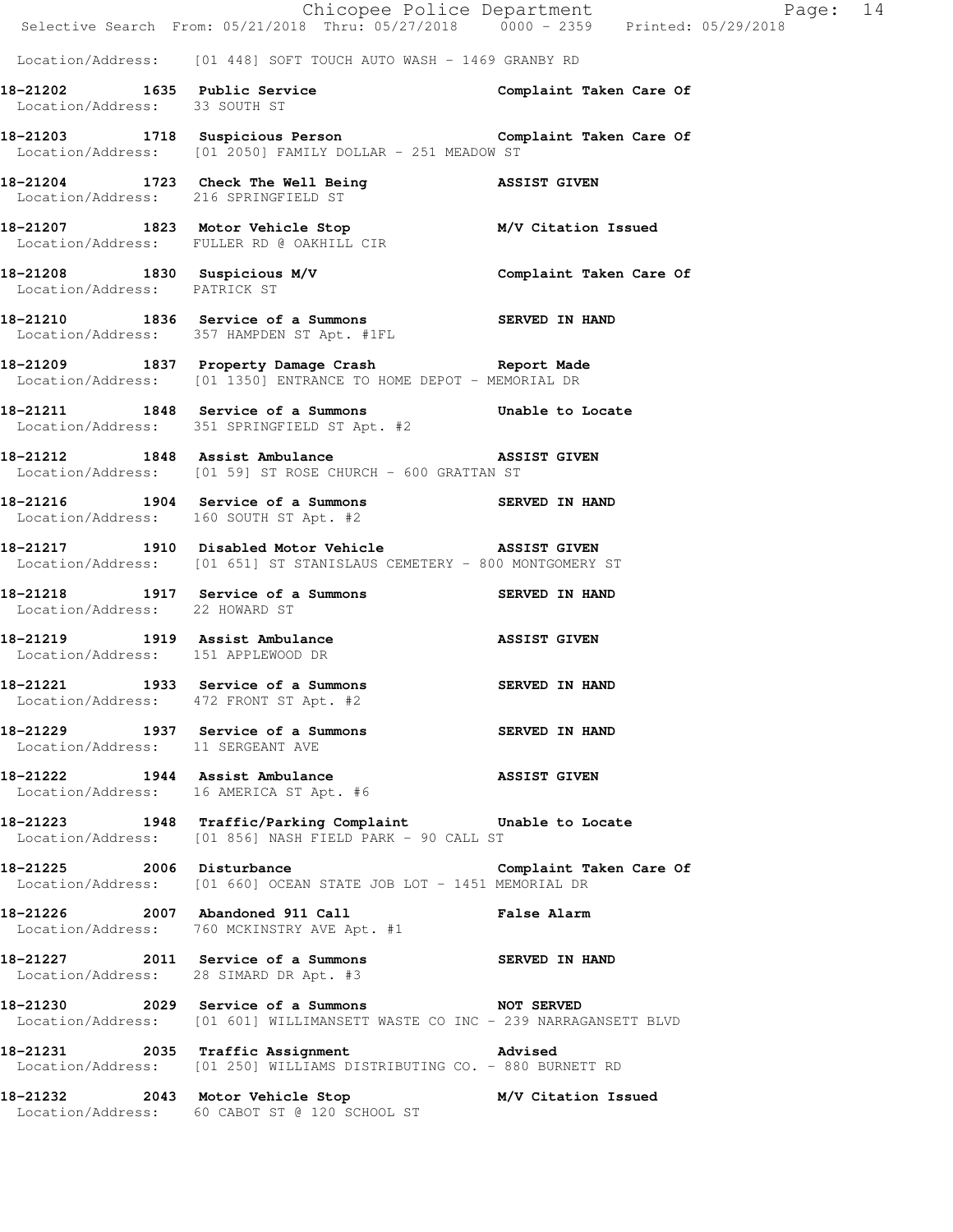|                                      | Chicopee Police Department<br>Selective Search From: 05/21/2018 Thru: 05/27/2018 0000 - 2359 Printed: 05/29/2018              | Page: 14                |
|--------------------------------------|-------------------------------------------------------------------------------------------------------------------------------|-------------------------|
|                                      | Location/Address: [01 448] SOFT TOUCH AUTO WASH - 1469 GRANBY RD                                                              |                         |
| Location/Address: 33 SOUTH ST        |                                                                                                                               |                         |
|                                      | 18-21203 1718 Suspicious Person Complaint Taken Care Of<br>Location/Address: [01 2050] FAMILY DOLLAR - 251 MEADOW ST          |                         |
| Location/Address: 216 SPRINGFIELD ST | 18-21204 1723 Check The Well Being 3SSIST GIVEN                                                                               |                         |
|                                      | 18-21207 1823 Motor Vehicle Stop M/V Citation Issued<br>Location/Address: FULLER RD @ OAKHILL CIR                             |                         |
| Location/Address: PATRICK ST         | 18-21208 1830 Suspicious M/V Complaint Taken Care Of                                                                          |                         |
|                                      | 18-21210 1836 Service of a Summons SERVED IN HAND<br>Location/Address: 357 HAMPDEN ST Apt. #1FL                               |                         |
|                                      | 18-21209 1837 Property Damage Crash Report Made<br>Location/Address: [01 1350] ENTRANCE TO HOME DEPOT - MEMORIAL DR           |                         |
|                                      | 18-21211 1848 Service of a Summons Unable to Locate<br>Location/Address: 351 SPRINGFIELD ST Apt. #2                           |                         |
|                                      | 18-21212 1848 Assist Ambulance ASSIST GIVEN<br>Location/Address: [01 59] ST ROSE CHURCH - 600 GRATTAN ST                      |                         |
|                                      | 18-21216 1904 Service of a Summons SERVED IN HAND<br>Location/Address: 160 SOUTH ST Apt. #2                                   |                         |
|                                      | 18-21217 1910 Disabled Motor Vehicle ASSIST GIVEN<br>Location/Address: [01 651] ST STANISLAUS CEMETERY - 800 MONTGOMERY ST    |                         |
| Location/Address: 22 HOWARD ST       | 18-21218 1917 Service of a Summons SERVED IN HAND                                                                             |                         |
| Location/Address: 151 APPLEWOOD DR   | 18-21219 1919 Assist Ambulance                                                                                                | <b>ASSIST GIVEN</b>     |
|                                      | 18-21221 1933 Service of a Summons<br>Location/Address: 472 FRONT ST Apt. #2                                                  | SERVED IN HAND          |
| Location/Address: 11 SERGEANT AVE    | 18-21229 1937 Service of a Summons SERVED IN HAND                                                                             |                         |
|                                      | 18-21222 1944 Assist Ambulance<br>Location/Address: 16 AMERICA ST Apt. #6                                                     | <b>ASSIST GIVEN</b>     |
|                                      | 18-21223 1948 Traffic/Parking Complaint Unable to Locate<br>Location/Address: [01 856] NASH FIELD PARK - 90 CALL ST           |                         |
|                                      | 18-21225 2006 Disturbance<br>Location/Address: [01 660] OCEAN STATE JOB LOT - 1451 MEMORIAL DR                                | Complaint Taken Care Of |
|                                      | 18-21226 2007 Abandoned 911 Call 2008 False Alarm<br>Location/Address: 760 MCKINSTRY AVE Apt. #1                              |                         |
|                                      | 18-21227 2011 Service of a Summons SERVED IN HAND<br>Location/Address: 28 SIMARD DR Apt. #3                                   |                         |
|                                      | 18-21230 2029 Service of a Summons NOT SERVED<br>Location/Address: [01 601] WILLIMANSETT WASTE CO INC - 239 NARRAGANSETT BLVD |                         |
|                                      | 18-21231 2035 Traffic Assignment 18-21231<br>Location/Address: [01 250] WILLIAMS DISTRIBUTING CO. - 880 BURNETT RD            |                         |
|                                      | 18-21232 2043 Motor Vehicle Stop M/V Citation Issued<br>Location/Address: 60 CABOT ST @ 120 SCHOOL ST                         |                         |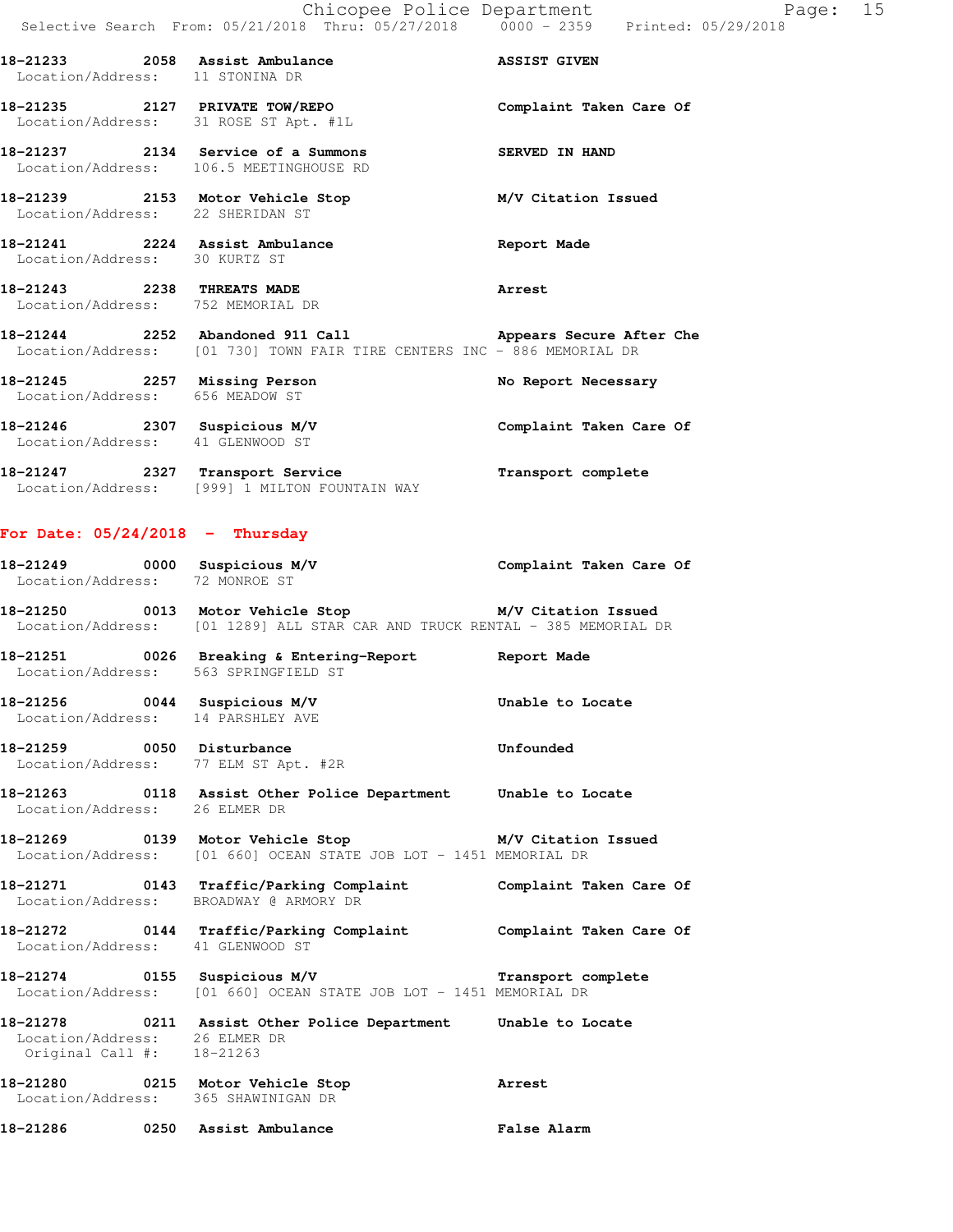Chicopee Police Department Fage: 15 Selective Search From: 05/21/2018 Thru: 05/27/2018 0000 - 2359 Printed: 05/29/2018

18-21233 2058 Assist Ambulance **ASSIST GIVEN** Location/Address: 11 STONINA DR

**18-21235 2127 PRIVATE TOW/REPO Complaint Taken Care Of**  Location/Address: 31 ROSE ST Apt. #1L

**18-21237 2134 Service of a Summons SERVED IN HAND**  Location/Address: 106.5 MEETINGHOUSE RD

**18-21239 2153 Motor Vehicle Stop M/V Citation Issued**  Location/Address: 22 SHERIDAN ST

**18-21241 2224 Assist Ambulance Report Made**  Location/Address: 30 KURTZ ST

**18-21243 2238 THREATS MADE Arrest**  Location/Address: 752 MEMORIAL DR

**18-21244 2252 Abandoned 911 Call Appears Secure After Che**  Location/Address: [01 730] TOWN FAIR TIRE CENTERS INC - 886 MEMORIAL DR

18-21245 2257 Missing Person **No Report Necessary**  Location/Address: 656 MEADOW ST **18-21246 2307 Suspicious M/V Complaint Taken Care Of** 

Location/Address: 41 GLENWOOD ST

**18-21247 2327 Transport Service Transport complete**  Location/Address: [999] 1 MILTON FOUNTAIN WAY

## **For Date: 05/24/2018 - Thursday**

**18-21249 0000 Suspicious M/V Complaint Taken Care Of**  Location/Address: 72 MONROE ST **18-21250 0013 Motor Vehicle Stop M/V Citation Issued**  Location/Address: [01 1289] ALL STAR CAR AND TRUCK RENTAL - 385 MEMORIAL DR

**18-21251 0026 Breaking & Entering-Report Report Made** 

Location/Address: 563 SPRINGFIELD ST

**18-21256 0044 Suspicious M/V Unable to Locate**  Location/Address: 14 PARSHLEY AVE

18-21259 0050 Disturbance **18-21259** Unfounded Location/Address: 77 ELM ST Apt. #2R

**18-21263 0118 Assist Other Police Department Unable to Locate**  Location/Address: 26 ELMER DR

**18-21269 0139 Motor Vehicle Stop M/V Citation Issued**  Location/Address: [01 660] OCEAN STATE JOB LOT - 1451 MEMORIAL DR

**18-21271 0143 Traffic/Parking Complaint Complaint Taken Care Of**  Location/Address: BROADWAY @ ARMORY DR

**18-21272 0144 Traffic/Parking Complaint Complaint Taken Care Of**  Location/Address: 41 GLENWOOD ST

**18-21274 0155 Suspicious M/V Transport complete**  Location/Address: [01 660] OCEAN STATE JOB LOT - 1451 MEMORIAL DR

**18-21278 0211 Assist Other Police Department Unable to Locate**  Location/Address: 26 ELMER DR Original Call #: 18-21263

**18-21280 0215 Motor Vehicle Stop Arrest**  Location/Address: 365 SHAWINIGAN DR

**18-21286 0250 Assist Ambulance False Alarm**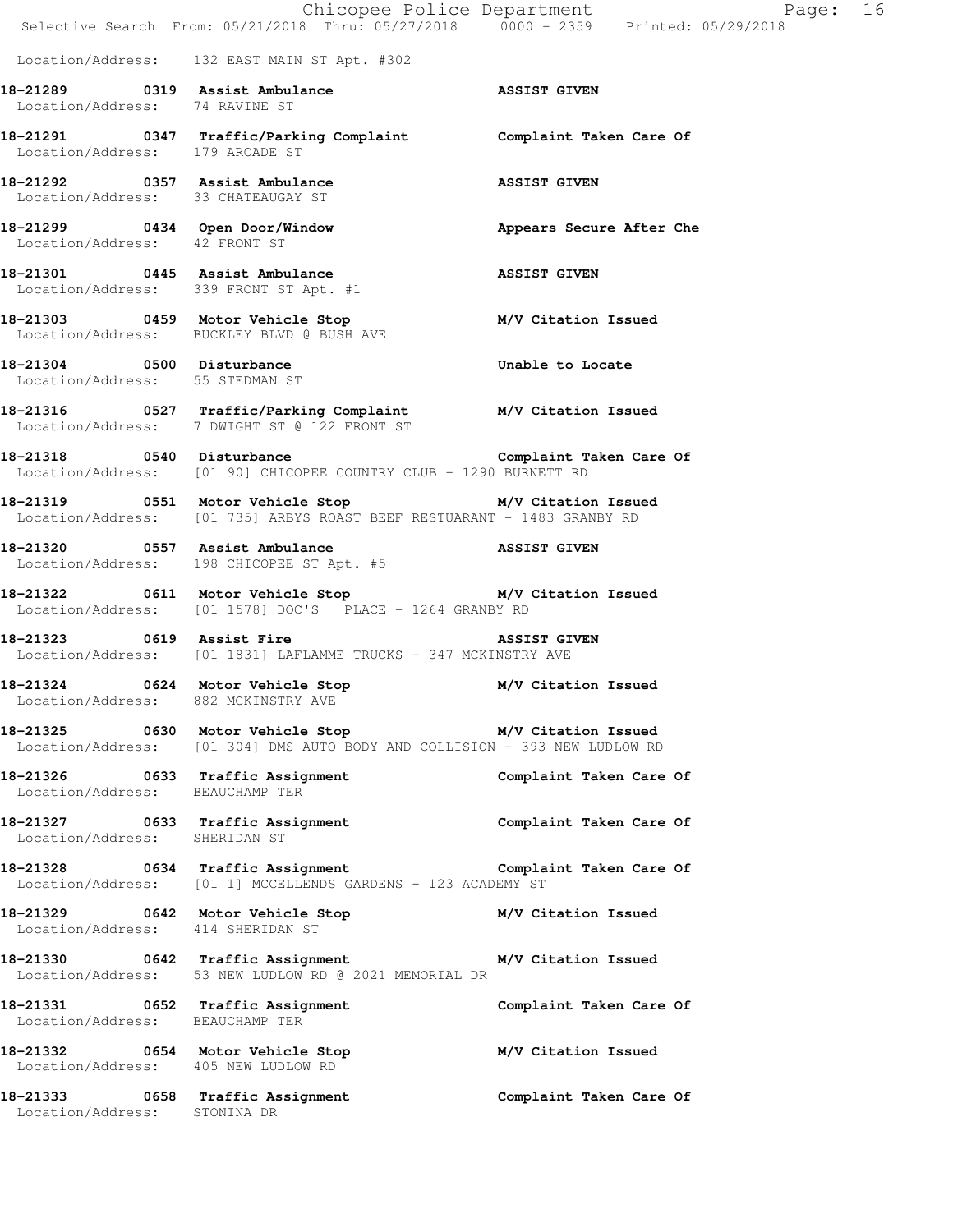|                                                                      | E Chicopee Police Department<br>Selective Search From: 05/21/2018 Thru: 05/27/2018 0000 - 2359 Printed: 05/29/2018                    | Page: 16                 |  |
|----------------------------------------------------------------------|---------------------------------------------------------------------------------------------------------------------------------------|--------------------------|--|
|                                                                      | Location/Address: 132 EAST MAIN ST Apt. #302                                                                                          |                          |  |
| Location/Address: 74 RAVINE ST                                       | 18-21289 0319 Assist Ambulance ASSIST GIVEN                                                                                           |                          |  |
| Location/Address: 179 ARCADE ST                                      | 18-21291 		 0347 Traffic/Parking Complaint 		 Complaint Taken Care Of                                                                 |                          |  |
| 18-21292 0357 Assist Ambulance<br>Location/Address: 33 CHATEAUGAY ST | ASSIST GIVEN                                                                                                                          |                          |  |
| Location/Address: 42 FRONT ST                                        | 18-21299 0434 Open Door/Window                                                                                                        | Appears Secure After Che |  |
|                                                                      | 18-21301 0445 Assist Ambulance<br>Location/Address: 339 FRONT ST Apt. #1                                                              | <b>ASSIST GIVEN</b>      |  |
|                                                                      | 18-21303 0459 Motor Vehicle Stop<br>Location/Address: BUCKLEY BLVD @ BUSH AVE                                                         | M/V Citation Issued      |  |
| 18-21304 0500 Disturbance<br>Location/Address: 55 STEDMAN ST         |                                                                                                                                       | Unable to Locate         |  |
|                                                                      | 18-21316 0527 Traffic/Parking Complaint M/V Citation Issued<br>Location/Address: 7 DWIGHT ST @ 122 FRONT ST                           |                          |  |
|                                                                      | Location/Address: [01 90] CHICOPEE COUNTRY CLUB - 1290 BURNETT RD                                                                     |                          |  |
|                                                                      | 18-21319 		 0551 Motor Vehicle Stop 		 M/V Citation Issued<br>Location/Address: [01 735] ARBYS ROAST BEEF RESTUARANT - 1483 GRANBY RD |                          |  |
|                                                                      | 18-21320 0557 Assist Ambulance<br>Location/Address: 198 CHICOPEE ST Apt. #5                                                           | <b>ASSIST GIVEN</b>      |  |
|                                                                      | 18-21322 0611 Motor Vehicle Stop M/V Citation Issued<br>Location/Address: [01 1578] DOC'S PLACE - 1264 GRANBY RD                      |                          |  |
|                                                                      | 18-21323 0619 Assist Fire <b>ASSIST</b> GIVEN<br>Location/Address: [01 1831] LAFLAMME TRUCKS - 347 MCKINSTRY AVE                      |                          |  |
|                                                                      | 18-21324 0624 Motor Vehicle Stop M/V Citation Issued<br>Location/Address: 882 MCKINSTRY AVE                                           |                          |  |
|                                                                      | 18-21325 0630 Motor Vehicle Stop M/V Citation Issued<br>Location/Address: [01 304] DMS AUTO BODY AND COLLISION - 393 NEW LUDLOW RD    |                          |  |
|                                                                      | 18-21326 0633 Traffic Assignment<br>Location/Address: BEAUCHAMP TER                                                                   | Complaint Taken Care Of  |  |
| Location/Address: SHERIDAN ST                                        | 18-21327 0633 Traffic Assignment Complaint Taken Care Of                                                                              |                          |  |
|                                                                      | 18-21328 0634 Traffic Assignment Complaint Taken Care Of<br>Location/Address: [01 1] MCCELLENDS GARDENS - 123 ACADEMY ST              |                          |  |
| Location/Address: 414 SHERIDAN ST                                    | 18-21329 0642 Motor Vehicle Stop M/V Citation Issued                                                                                  |                          |  |
|                                                                      | 18-21330 0642 Traffic Assignment M/V Citation Issued<br>Location/Address: 53 NEW LUDLOW RD @ 2021 MEMORIAL DR                         |                          |  |
| Location/Address: BEAUCHAMP TER                                      | 18-21331 0652 Traffic Assignment                                                                                                      | Complaint Taken Care Of  |  |
| Location/Address: 405 NEW LUDLOW RD                                  | 18-21332 0654 Motor Vehicle Stop M/V Citation Issued                                                                                  |                          |  |
| Location/Address: STONINA DR                                         | 18-21333 0658 Traffic Assignment                                                                                                      | Complaint Taken Care Of  |  |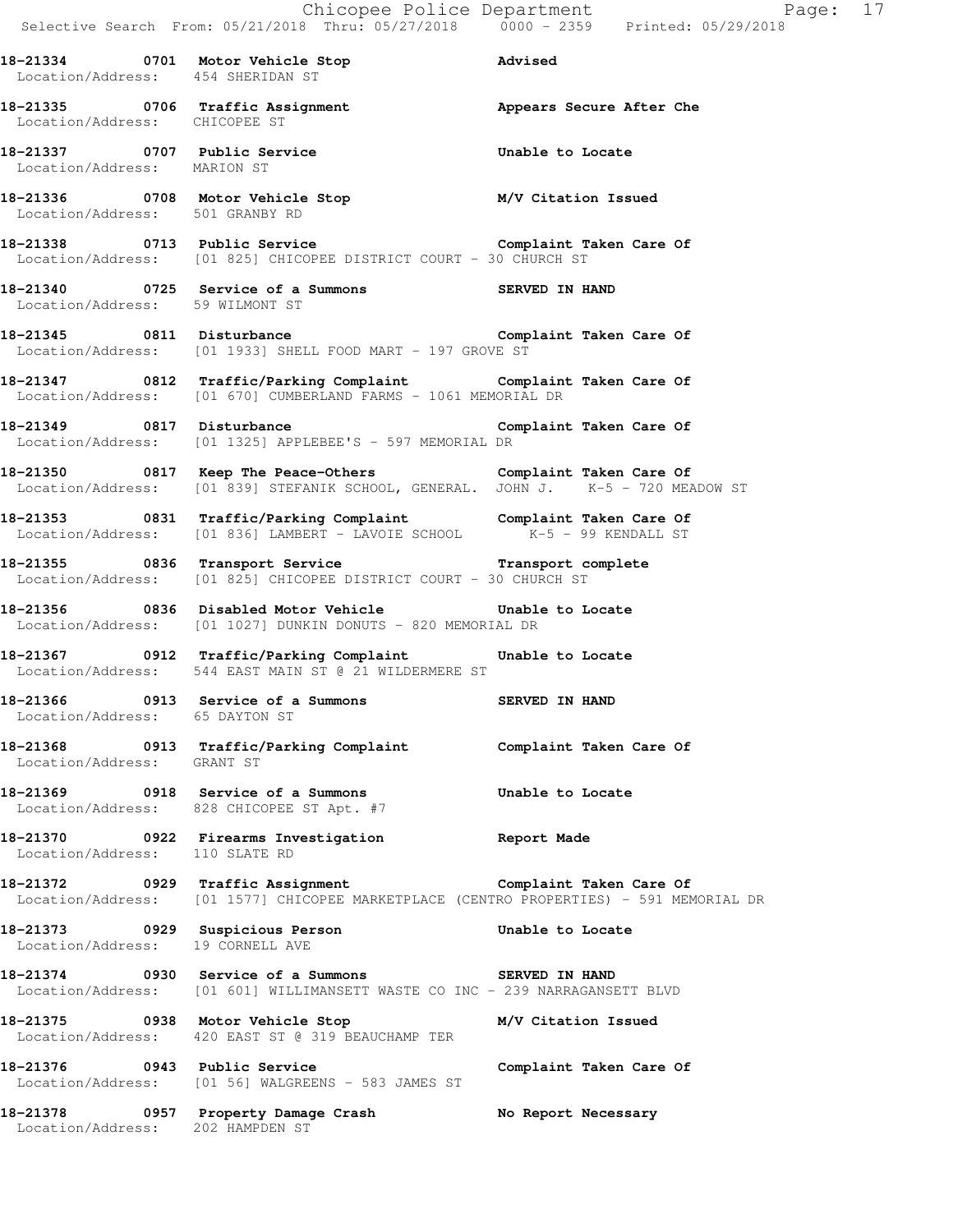|                                   |                                                                                                                                                          | Chicopee Police Department<br>Selective Search From: 05/21/2018 Thru: 05/27/2018 0000 - 2359 Printed: 05/29/2018 |
|-----------------------------------|----------------------------------------------------------------------------------------------------------------------------------------------------------|------------------------------------------------------------------------------------------------------------------|
| Location/Address: 454 SHERIDAN ST | 18-21334 0701 Motor Vehicle Stop 31 Advised                                                                                                              |                                                                                                                  |
| Location/Address: CHICOPEE ST     | 18-21335 0706 Traffic Assignment <b>18-21335</b> appears Secure After Che                                                                                |                                                                                                                  |
| Location/Address: MARION ST       | 18-21337 0707 Public Service 2012 Unable to Locate                                                                                                       |                                                                                                                  |
|                                   | 18-21336 0708 Motor Vehicle Stop M/V Citation Issued<br>Location/Address: 501 GRANBY RD                                                                  |                                                                                                                  |
|                                   | 18-21338 0713 Public Service<br>Location/Address: [01 825] CHICOPEE DISTRICT COURT - 30 CHURCH ST                                                        |                                                                                                                  |
| Location/Address: 59 WILMONT ST   | 18-21340 0725 Service of a Summons SERVED IN HAND                                                                                                        |                                                                                                                  |
|                                   | 18-21345 0811 Disturbance Complaint Taken Care Of<br>Location/Address: [01 1933] SHELL FOOD MART - 197 GROVE ST                                          |                                                                                                                  |
|                                   | 18-21347 0812 Traffic/Parking Complaint Complaint Taken Care Of<br>Location/Address: [01 670] CUMBERLAND FARMS - 1061 MEMORIAL DR                        |                                                                                                                  |
|                                   | 18-21349 0817 Disturbance Complaint Taken Care Of<br>Location/Address: [01 1325] APPLEBEE'S - 597 MEMORIAL DR                                            |                                                                                                                  |
|                                   | 18-21350 0817 Keep The Peace-Others Complaint Taken Care Of<br>Location/Address: [01 839] STEFANIK SCHOOL, GENERAL. JOHN J. K-5 - 720 MEADOW ST          |                                                                                                                  |
|                                   | 18-21353 0831 Traffic/Parking Complaint Complaint Taken Care Of<br>Location/Address: [01 836] LAMBERT - LAVOIE SCHOOL K-5 - 99 KENDALL ST                |                                                                                                                  |
|                                   | 18-21355 0836 Transport Service <b>18-21355</b> Complete<br>Location/Address: [01 825] CHICOPEE DISTRICT COURT - 30 CHURCH ST                            |                                                                                                                  |
|                                   | 18-21356 0836 Disabled Motor Vehicle Contrable to Locate<br>Location/Address: [01 1027] DUNKIN DONUTS - 820 MEMORIAL DR                                  |                                                                                                                  |
|                                   | 18-21367 0912 Traffic/Parking Complaint Unable to Locate<br>Location/Address: 544 EAST MAIN ST @ 21 WILDERMERE ST                                        |                                                                                                                  |
| Location/Address: 65 DAYTON ST    | 18-21366 0913 Service of a Summons                                                                                                                       | SERVED IN HAND                                                                                                   |
| Location/Address: GRANT ST        | 18-21368 0913 Traffic/Parking Complaint Complaint Taken Care Of                                                                                          |                                                                                                                  |
|                                   | 18-21369 0918 Service of a Summons<br>Location/Address: 828 CHICOPEE ST Apt. #7                                                                          | Unable to Locate                                                                                                 |
| Location/Address: 110 SLATE RD    | 18-21370 0922 Firearms Investigation Report Made                                                                                                         |                                                                                                                  |
|                                   | 18-21372 		 0929 Traffic Assignment 		 Complaint Taken Care Of<br>Location/Address: [01 1577] CHICOPEE MARKETPLACE (CENTRO PROPERTIES) - 591 MEMORIAL DR |                                                                                                                  |
| Location/Address: 19 CORNELL AVE  | 18-21373 0929 Suspicious Person 1992 Unable to Locate                                                                                                    |                                                                                                                  |
|                                   | 18-21374 0930 Service of a Summons SERVED IN HAND<br>Location/Address: [01 601] WILLIMANSETT WASTE CO INC - 239 NARRAGANSETT BLVD                        |                                                                                                                  |
|                                   | 18-21375 0938 Motor Vehicle Stop M/V Citation Issued<br>Location/Address: 420 EAST ST @ 319 BEAUCHAMP TER                                                |                                                                                                                  |
| 18-21376 0943 Public Service      | Location/Address: [01 56] WALGREENS - 583 JAMES ST                                                                                                       | Complaint Taken Care Of                                                                                          |
|                                   | 18-21378   0957   Property Damage Crash   No Report Necessary<br>Location/Address: 202 HAMPDEN ST                                                        |                                                                                                                  |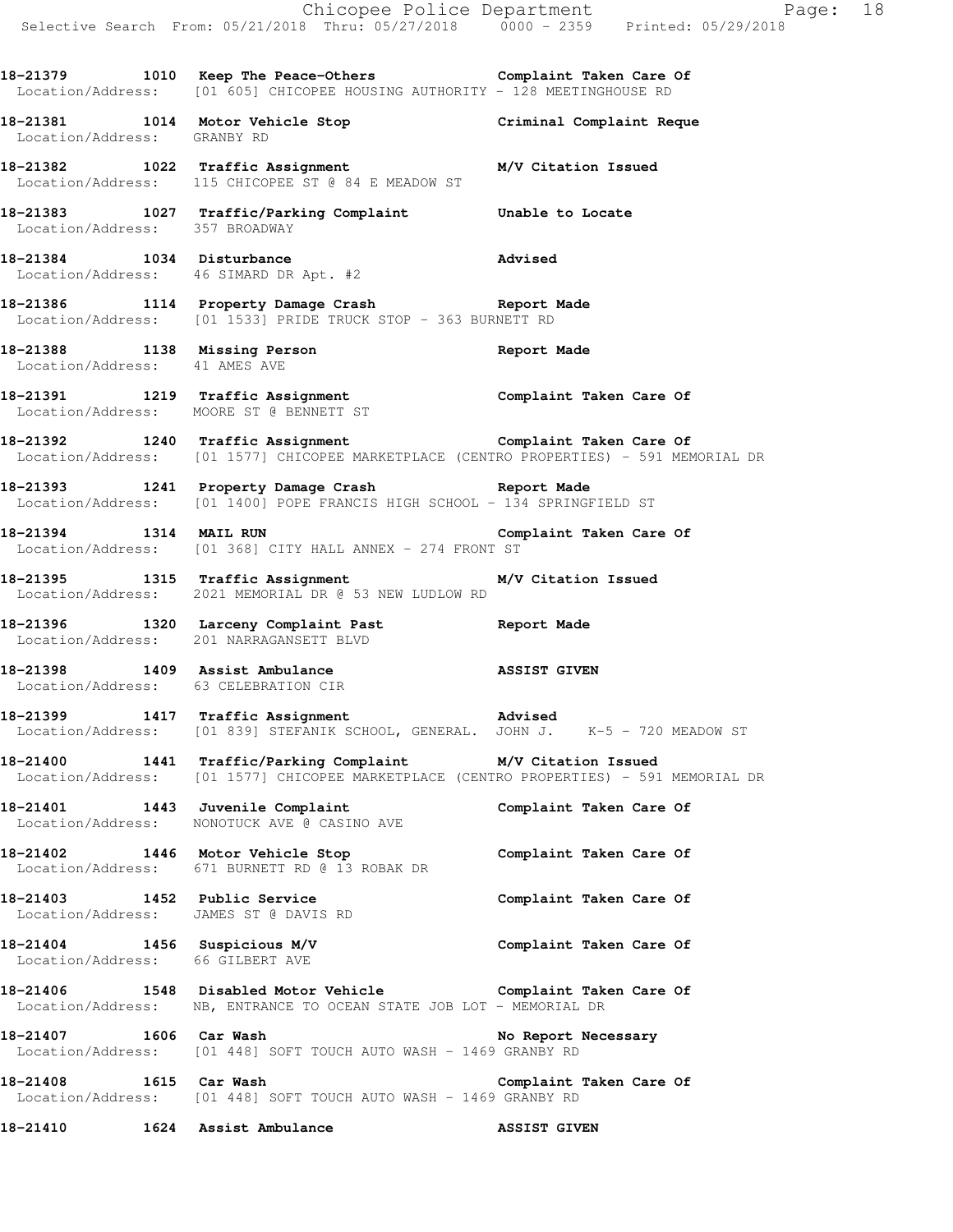**18-21379 1010 Keep The Peace-Others Complaint Taken Care Of**  Location/Address: [01 605] CHICOPEE HOUSING AUTHORITY - 128 MEETINGHOUSE RD

**18-21381 1014 Motor Vehicle Stop Criminal Complaint Reque**  Location/Address: GRANBY RD

**18-21382 1022 Traffic Assignment M/V Citation Issued**  Location/Address: 115 CHICOPEE ST @ 84 E MEADOW ST

**18-21383 1027 Traffic/Parking Complaint Unable to Locate**  Location/Address: 357 BROADWAY

**18-21384 1034 Disturbance Advised**  Location/Address: 46 SIMARD DR Apt. #2

**18-21386 1114 Property Damage Crash Report Made**  Location/Address: [01 1533] PRIDE TRUCK STOP - 363 BURNETT RD

**18-21388 1138 Missing Person Report Made**  Location/Address: 41 AMES AVE

**18-21391 1219 Traffic Assignment Complaint Taken Care Of**  Location/Address: MOORE ST @ BENNETT ST

**18-21392 1240 Traffic Assignment Complaint Taken Care Of**  Location/Address: [01 1577] CHICOPEE MARKETPLACE (CENTRO PROPERTIES) - 591 MEMORIAL DR

**18-21393 1241 Property Damage Crash Report Made**  Location/Address: [01 1400] POPE FRANCIS HIGH SCHOOL - 134 SPRINGFIELD ST

**18-21394 1314 MAIL RUN Complaint Taken Care Of**  Location/Address: [01 368] CITY HALL ANNEX - 274 FRONT ST

**18-21395 1315 Traffic Assignment M/V Citation Issued**  Location/Address: 2021 MEMORIAL DR @ 53 NEW LUDLOW RD

**18-21396 1320 Larceny Complaint Past Report Made**  Location/Address: 201 NARRAGANSETT BLVD

**18-21398 1409 Assist Ambulance ASSIST GIVEN**  Location/Address: 63 CELEBRATION CIR

**18-21399 1417 Traffic Assignment Advised**  Location/Address: [01 839] STEFANIK SCHOOL, GENERAL. JOHN J. K-5 - 720 MEADOW ST

**18-21400 1441 Traffic/Parking Complaint M/V Citation Issued**  Location/Address: [01 1577] CHICOPEE MARKETPLACE (CENTRO PROPERTIES) - 591 MEMORIAL DR

**18-21401 1443 Juvenile Complaint Complaint Taken Care Of**  Location/Address: NONOTUCK AVE @ CASINO AVE

**18-21402 1446 Motor Vehicle Stop Complaint Taken Care Of**  Location/Address: 671 BURNETT RD @ 13 ROBAK DR

**18-21403 1452 Public Service Complaint Taken Care Of**  Location/Address: JAMES ST @ DAVIS RD

**18-21404 1456 Suspicious M/V Complaint Taken Care Of**  Location/Address: 66 GILBERT AVE

**18-21406 1548 Disabled Motor Vehicle Complaint Taken Care Of**  Location/Address: NB, ENTRANCE TO OCEAN STATE JOB LOT - MEMORIAL DR

18-21407 1606 Car Wash **No Report Necessary** Location/Address: [01 448] SOFT TOUCH AUTO WASH - 1469 GRANBY RD

**18-21408 1615 Car Wash Complaint Taken Care Of**  Location/Address: [01 448] SOFT TOUCH AUTO WASH - 1469 GRANBY RD

**18-21410 1624 Assist Ambulance ASSIST GIVEN**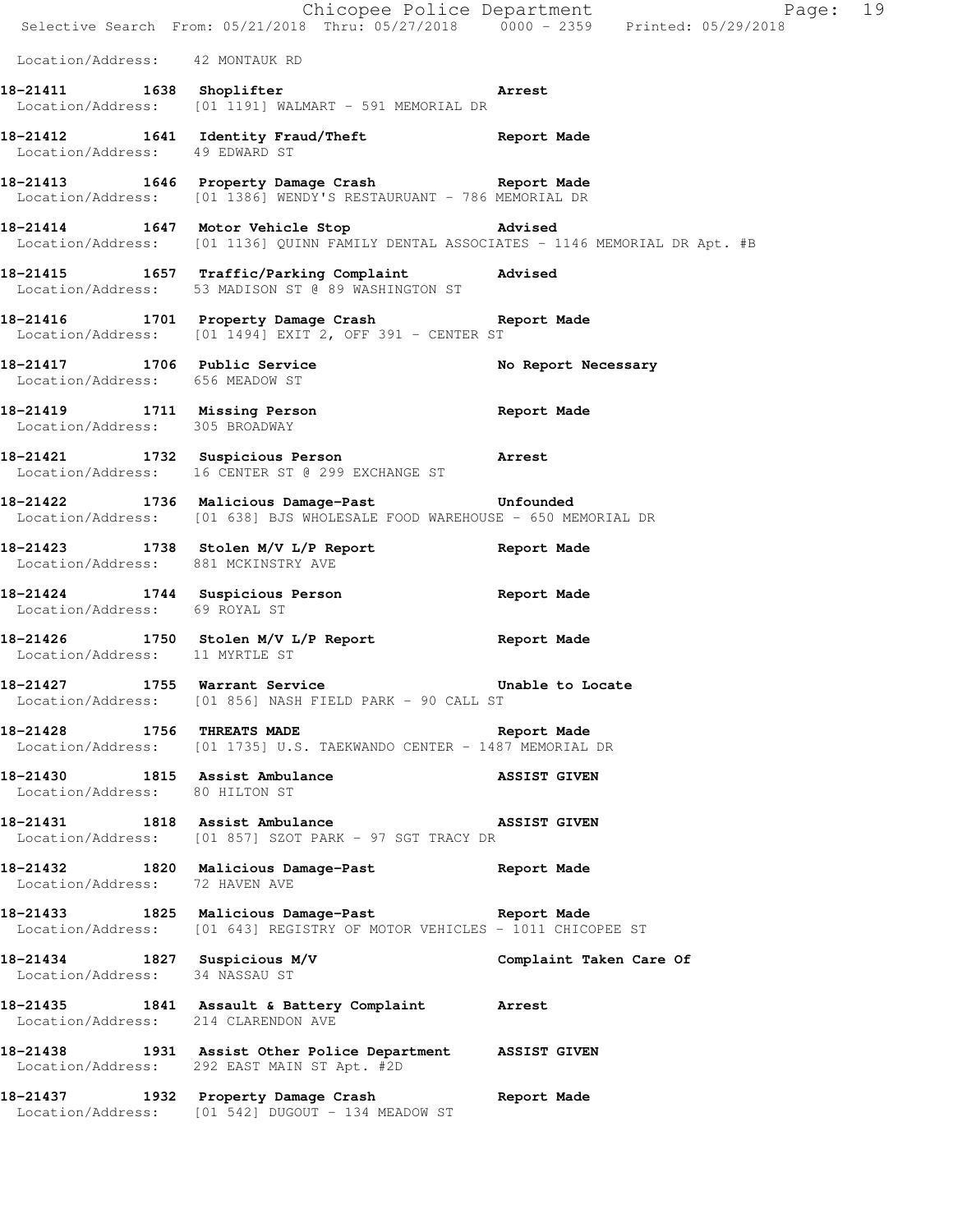Chicopee Police Department Fage: 19 Selective Search From: 05/21/2018 Thru: 05/27/2018 0000 - 2359 Printed: 05/29/2018 Location/Address: 42 MONTAUK RD **18-21411 1638 Shoplifter Arrest**  Location/Address: [01 1191] WALMART - 591 MEMORIAL DR **18-21412 1641 Identity Fraud/Theft Report Made**  Location/Address: 49 EDWARD ST **18-21413 1646 Property Damage Crash Report Made**  Location/Address: [01 1386] WENDY'S RESTAURUANT - 786 MEMORIAL DR **18-21414 1647 Motor Vehicle Stop Advised**  Location/Address: [01 1136] QUINN FAMILY DENTAL ASSOCIATES - 1146 MEMORIAL DR Apt. #B **18-21415 1657 Traffic/Parking Complaint Advised**  Location/Address: 53 MADISON ST @ 89 WASHINGTON ST **18-21416 1701 Property Damage Crash Report Made**  Location/Address: [01 1494] EXIT 2, OFF 391 - CENTER ST **18-21417 1706 Public Service No Report Necessary**  Location/Address: 656 MEADOW ST **18-21419 1711 Missing Person Report Made**  Location/Address: 305 BROADWAY **18-21421 1732 Suspicious Person Arrest**  Location/Address: 16 CENTER ST @ 299 EXCHANGE ST **18-21422 1736 Malicious Damage-Past Unfounded**  Location/Address: [01 638] BJS WHOLESALE FOOD WAREHOUSE - 650 MEMORIAL DR **18-21423 1738 Stolen M/V L/P Report Report Made**  Location/Address: 881 MCKINSTRY AVE **18-21424 1744 Suspicious Person Report Made**  Location/Address: 69 ROYAL ST **18-21426 1750 Stolen M/V L/P Report Report Made**  Location/Address: 11 MYRTLE ST **18-21427 1755 Warrant Service Unable to Locate**  Location/Address: [01 856] NASH FIELD PARK - 90 CALL ST **18-21428 1756 THREATS MADE Report Made**  Location/Address: [01 1735] U.S. TAEKWANDO CENTER - 1487 MEMORIAL DR **18-21430 1815 Assist Ambulance ASSIST GIVEN**  Location/Address: 80 HILTON ST **18-21431 1818 Assist Ambulance ASSIST GIVEN**  Location/Address: [01 857] SZOT PARK - 97 SGT TRACY DR **18-21432 1820 Malicious Damage-Past Report Made**  Location/Address: 72 HAVEN AVE **18-21433 1825 Malicious Damage-Past Report Made**  Location/Address: [01 643] REGISTRY OF MOTOR VEHICLES - 1011 CHICOPEE ST **18-21434 1827 Suspicious M/V Complaint Taken Care Of**  Location/Address: 34 NASSAU ST **18-21435 1841 Assault & Battery Complaint Arrest**  Location/Address: 214 CLARENDON AVE **18-21438 1931 Assist Other Police Department ASSIST GIVEN**  Location/Address: 292 EAST MAIN ST Apt. #2D **18-21437 1932 Property Damage Crash Report Made**  Location/Address: [01 542] DUGOUT - 134 MEADOW ST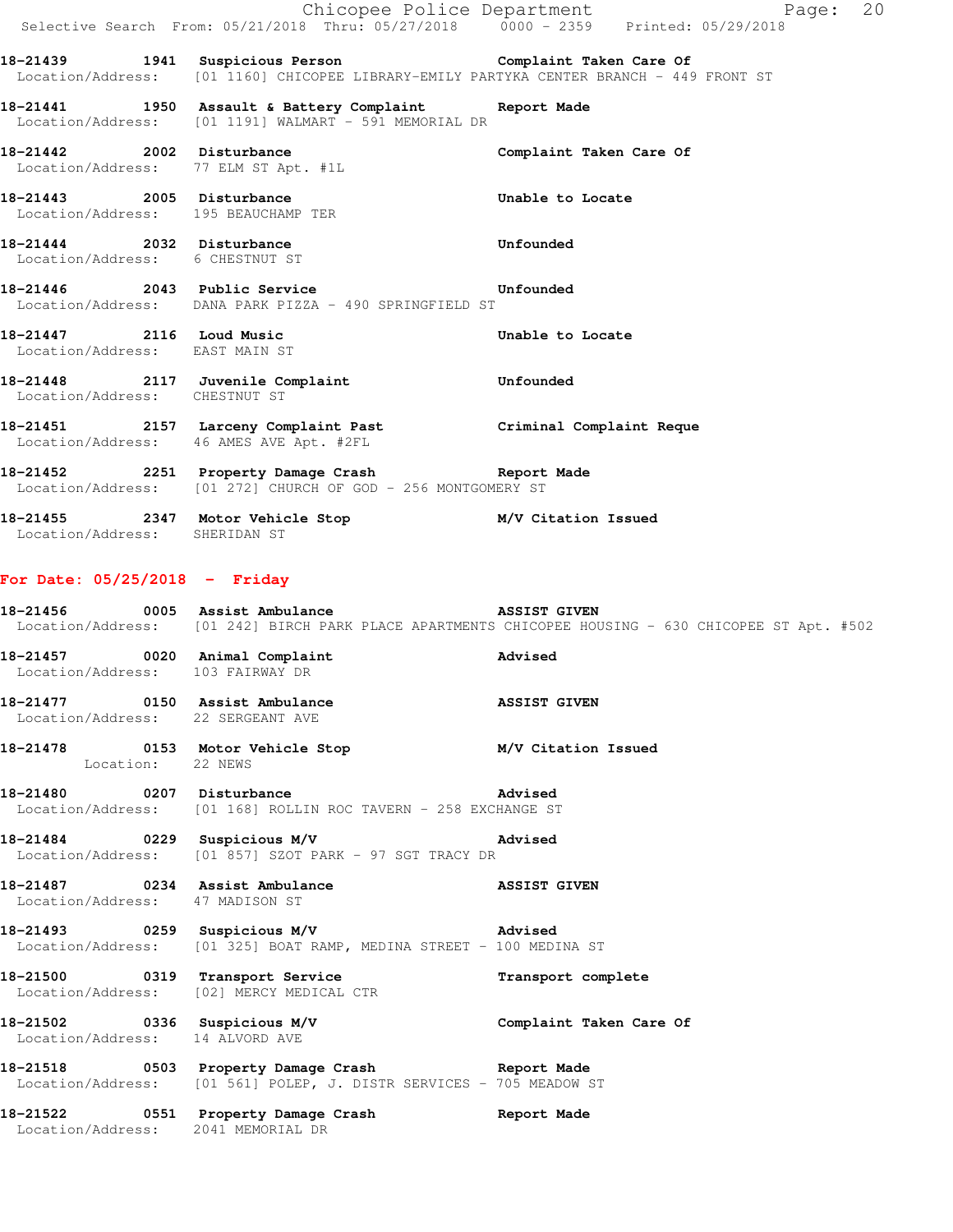|                                                                     | Selective Search From: 05/21/2018 Thru: 05/27/2018 0000 - 2359 Printed: 05/29/2018                                                                 | Chicopee Police Department<br>Page: 20                                                              |
|---------------------------------------------------------------------|----------------------------------------------------------------------------------------------------------------------------------------------------|-----------------------------------------------------------------------------------------------------|
|                                                                     | 18-21439 1941 Suspicious Person Complaint Taken Care Of<br>Location/Address: [01 1160] CHICOPEE LIBRARY-EMILY PARTYKA CENTER BRANCH - 449 FRONT ST |                                                                                                     |
|                                                                     | 18-21441 1950 Assault & Battery Complaint Report Made<br>Location/Address: [01 1191] WALMART - 591 MEMORIAL DR                                     |                                                                                                     |
| Location/Address: 77 ELM ST Apt. #1L                                | 18-21442 2002 Disturbance                                                                                                                          | Complaint Taken Care Of                                                                             |
| Location/Address: 195 BEAUCHAMP TER                                 | 18-21443 2005 Disturbance                                                                                                                          | Unable to Locate                                                                                    |
| 18-21444 2032 Disturbance<br>Location/Address: 6 CHESTNUT ST        |                                                                                                                                                    | Unfounded                                                                                           |
|                                                                     | 18-21446 2043 Public Service <b>18-21446</b> Unfounded<br>Location/Address: DANA PARK PIZZA - 490 SPRINGFIELD ST                                   |                                                                                                     |
| Location/Address: EAST MAIN ST                                      | 18-21447 2116 Loud Music                                                                                                                           | Unable to Locate                                                                                    |
| Location/Address: CHESTNUT ST                                       | 18-21448 2117 Juvenile Complaint                                                                                                                   | Unfounded                                                                                           |
|                                                                     | 18-21451 2157 Larceny Complaint Past Criminal Complaint Reque<br>Location/Address: 46 AMES AVE Apt. #2FL                                           |                                                                                                     |
|                                                                     | 18-21452 2251 Property Damage Crash Report Made<br>Location/Address: [01 272] CHURCH OF GOD - 256 MONTGOMERY ST                                    |                                                                                                     |
| Location/Address: SHERIDAN ST                                       | 18-21455 2347 Motor Vehicle Stop M/V Citation Issued                                                                                               |                                                                                                     |
| For Date: $05/25/2018$ - Friday                                     |                                                                                                                                                    |                                                                                                     |
|                                                                     | 18-21456 0005 Assist Ambulance ASSIST GIVEN                                                                                                        | Location/Address: [01 242] BIRCH PARK PLACE APARTMENTS CHICOPEE HOUSING - 630 CHICOPEE ST Apt. #502 |
| 18-21457 0020 Animal Complaint<br>Location/Address: 103 FAIRWAY DR  |                                                                                                                                                    | Advised                                                                                             |
| 18-21477 0150 Assist Ambulance<br>Location/Address: 22 SERGEANT AVE |                                                                                                                                                    | <b>ASSIST GIVEN</b>                                                                                 |
| Location: 22 NEWS                                                   | 18-21478 		 0153 Motor Vehicle Stop 		 M/V Citation Issued                                                                                         |                                                                                                     |
| 18-21480 0207 Disturbance                                           | Location/Address: [01 168] ROLLIN ROC TAVERN - 258 EXCHANGE ST                                                                                     | <b>Advised</b>                                                                                      |
| 18-21484 0229 Suspicious M/V                                        | <b>Example 2</b> Advised<br>Location/Address: [01 857] SZOT PARK - 97 SGT TRACY DR                                                                 |                                                                                                     |
| 18-21487 0234 Assist Ambulance<br>Location/Address: 47 MADISON ST   |                                                                                                                                                    | <b>ASSIST GIVEN</b>                                                                                 |
| 18-21493 0259 Suspicious M/V                                        |                                                                                                                                                    | Advised                                                                                             |

Location/Address: [01 325] BOAT RAMP, MEDINA STREET - 100 MEDINA ST

**18-21500 0319 Transport Service Transport complete** 

- Location/Address: [02] MERCY MEDICAL CTR **18-21502 0336 Suspicious M/V Complaint Taken Care Of**  Location/Address: 14 ALVORD AVE
- **18-21518 0503 Property Damage Crash Report Made**  Location/Address: [01 561] POLEP, J. DISTR SERVICES - 705 MEADOW ST

**18-21522 0551 Property Damage Crash Report Made**  Location/Address: 2041 MEMORIAL DR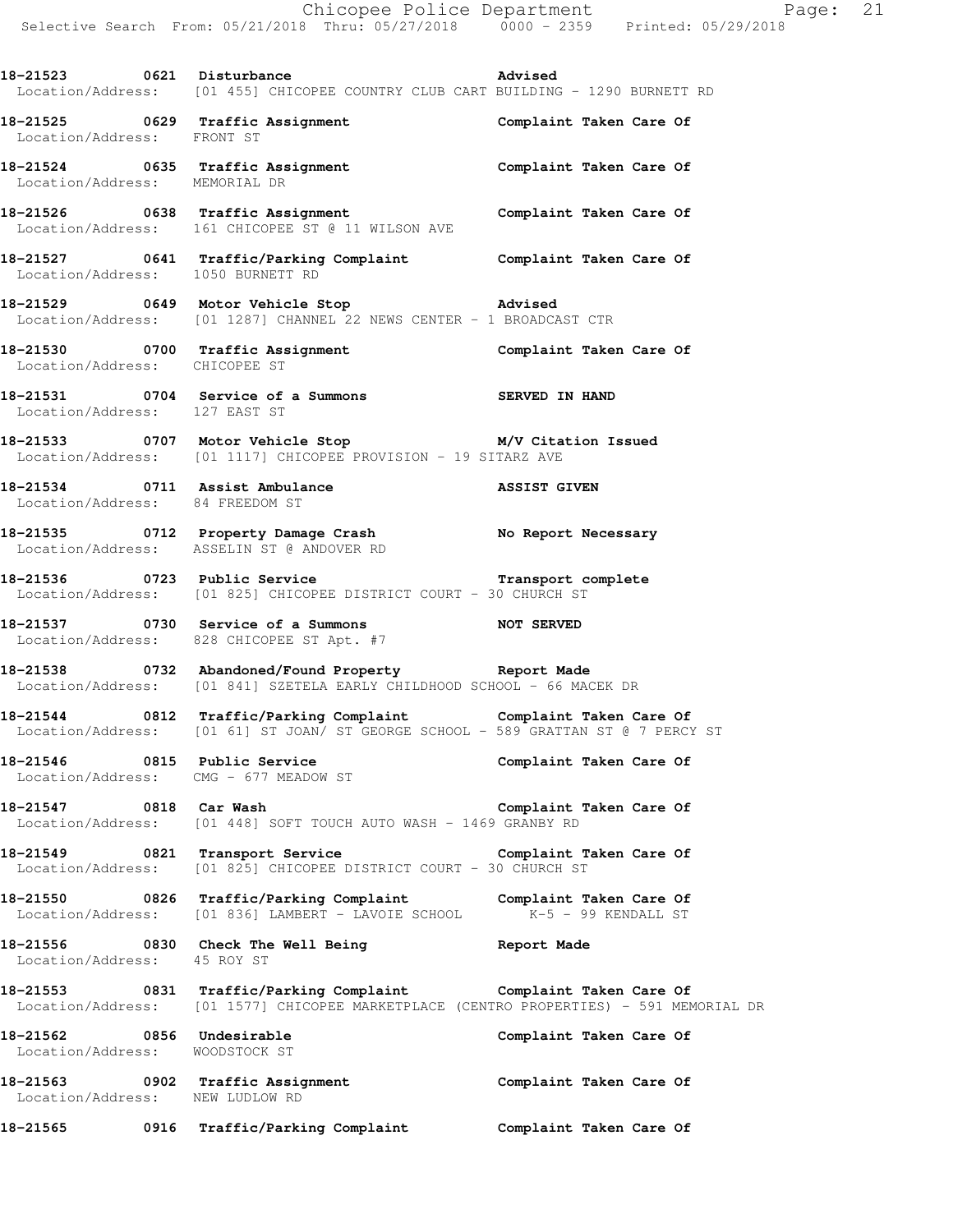**18-21523 0621 Disturbance Advised** 

Location/Address: [01 455] CHICOPEE COUNTRY CLUB CART BUILDING - 1290 BURNETT RD

**18-21525 0629 Traffic Assignment Complaint Taken Care Of**  Location/Address: FRONT ST **18-21524 0635 Traffic Assignment Complaint Taken Care Of**  Location/Address: MEMORIAL DR **18-21526 0638 Traffic Assignment Complaint Taken Care Of**  Location/Address: 161 CHICOPEE ST @ 11 WILSON AVE **18-21527 0641 Traffic/Parking Complaint Complaint Taken Care Of**  Location/Address: 1050 BURNETT RD **18-21529 0649 Motor Vehicle Stop Advised**  Location/Address: [01 1287] CHANNEL 22 NEWS CENTER - 1 BROADCAST CTR **18-21530 0700 Traffic Assignment Complaint Taken Care Of**  Location/Address: CHICOPEE ST **18-21531 0704 Service of a Summons SERVED IN HAND**  Location/Address: 127 EAST ST **18-21533 0707 Motor Vehicle Stop M/V Citation Issued**  Location/Address: [01 1117] CHICOPEE PROVISION - 19 SITARZ AVE **18-21534 0711 Assist Ambulance ASSIST GIVEN**  Location/Address: 84 FREEDOM ST **18-21535 0712 Property Damage Crash No Report Necessary**  Location/Address: ASSELIN ST @ ANDOVER RD **18-21536 0723 Public Service Transport complete**  Location/Address: [01 825] CHICOPEE DISTRICT COURT - 30 CHURCH ST **18-21537 0730 Service of a Summons NOT SERVED**  Location/Address: 828 CHICOPEE ST Apt. #7 **18-21538 0732 Abandoned/Found Property Report Made**  Location/Address: [01 841] SZETELA EARLY CHILDHOOD SCHOOL - 66 MACEK DR **18-21544 0812 Traffic/Parking Complaint Complaint Taken Care Of**  Location/Address: [01 61] ST JOAN/ ST GEORGE SCHOOL - 589 GRATTAN ST @ 7 PERCY ST **18-21546 0815 Public Service Complaint Taken Care Of**  Location/Address: CMG - 677 MEADOW ST **18-21547 0818 Car Wash Complaint Taken Care Of**  Location/Address: [01 448] SOFT TOUCH AUTO WASH - 1469 GRANBY RD **18-21549 0821 Transport Service Complaint Taken Care Of**  Location/Address: [01 825] CHICOPEE DISTRICT COURT - 30 CHURCH ST **18-21550 0826 Traffic/Parking Complaint Complaint Taken Care Of**  Location/Address: [01 836] LAMBERT - LAVOIE SCHOOL K-5 - 99 KENDALL ST **18-21556 0830 Check The Well Being Report Made**  Location/Address: 45 ROY ST **18-21553 0831 Traffic/Parking Complaint Complaint Taken Care Of**  Location/Address: [01 1577] CHICOPEE MARKETPLACE (CENTRO PROPERTIES) - 591 MEMORIAL DR 18-21562 **0856** Undesirable **Complaint Taken Care Of** Location/Address: WOODSTOCK ST

**18-21563 0902 Traffic Assignment Complaint Taken Care Of**  Location/Address: NEW LUDLOW RD

**18-21565 0916 Traffic/Parking Complaint Complaint Taken Care Of**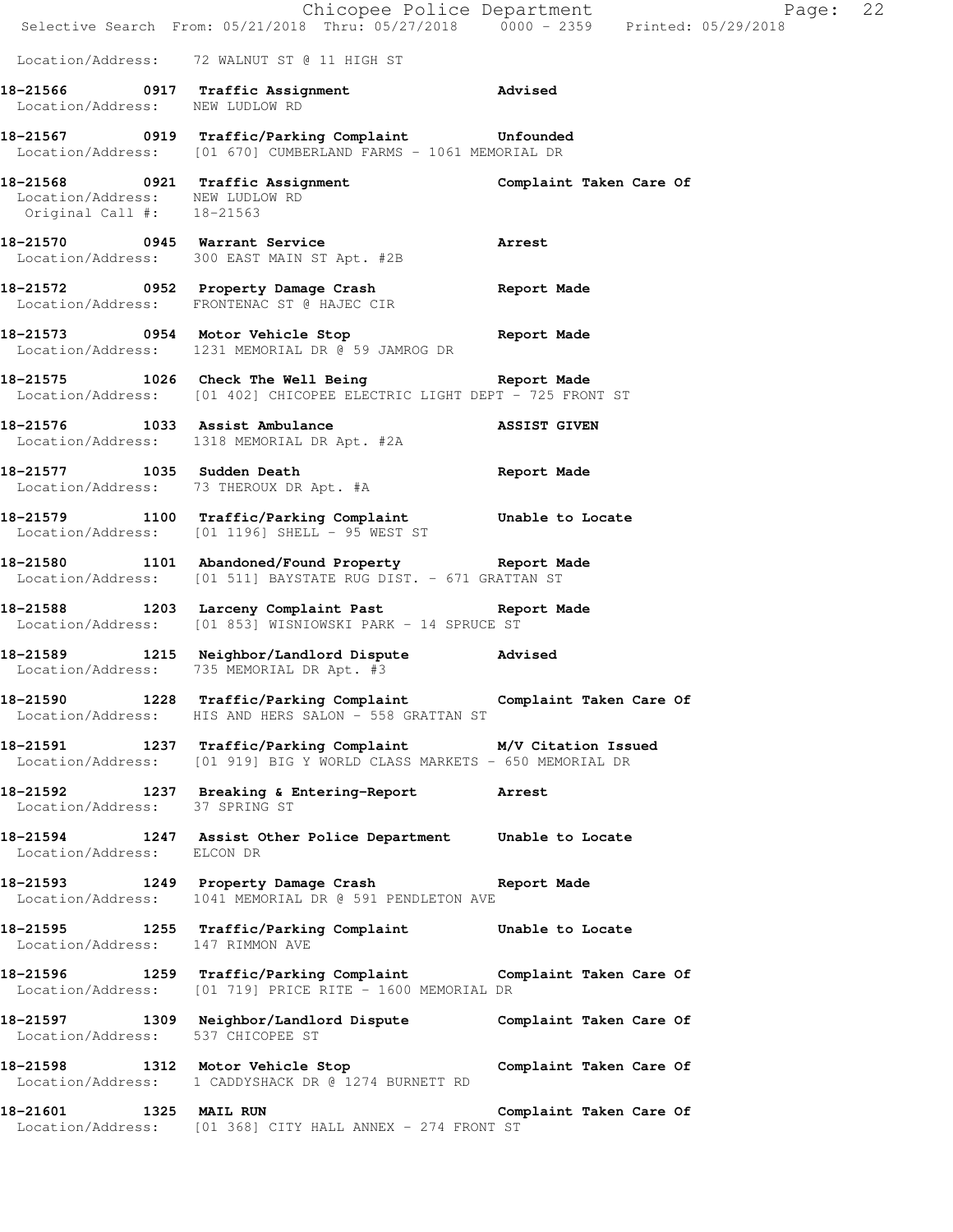|                                                              | Chicopee Police Department<br>Selective Search From: 05/21/2018 Thru: 05/27/2018 0000 - 2359 Printed: 05/29/2018                      | Page: 22                |
|--------------------------------------------------------------|---------------------------------------------------------------------------------------------------------------------------------------|-------------------------|
|                                                              | Location/Address: 72 WALNUT ST @ 11 HIGH ST                                                                                           |                         |
| Location/Address: NEW LUDLOW RD                              | 18-21566 0917 Traffic Assignment Advised                                                                                              |                         |
|                                                              | 18-21567 0919 Traffic/Parking Complaint Unfounded<br>Location/Address: [01 670] CUMBERLAND FARMS - 1061 MEMORIAL DR                   |                         |
| Location/Address: NEW LUDLOW RD<br>Original Call #: 18-21563 | 18-21568 0921 Traffic Assignment Complaint Taken Care Of                                                                              |                         |
|                                                              | 18-21570 0945 Warrant Service<br>Location/Address: 300 EAST MAIN ST Apt. #2B                                                          | <b>Arrest</b>           |
|                                                              | 18-21572 0952 Property Damage Crash<br>Location/Address: FRONTENAC ST @ HAJEC CIR                                                     | Report Made             |
|                                                              | 18-21573 0954 Motor Vehicle Stop 30 Report Made<br>Location/Address: 1231 MEMORIAL DR @ 59 JAMROG DR                                  |                         |
|                                                              | 18-21575 1026 Check The Well Being Seport Made<br>Location/Address: [01 402] CHICOPEE ELECTRIC LIGHT DEPT - 725 FRONT ST              |                         |
|                                                              | 18-21576 1033 Assist Ambulance<br>Location/Address: 1318 MEMORIAL DR Apt. #2A                                                         | <b>ASSIST GIVEN</b>     |
|                                                              | 18-21577 1035 Sudden Death<br>Location/Address: 73 THEROUX DR Apt. #A                                                                 | Report Made             |
|                                                              | 18-21579 1100 Traffic/Parking Complaint Unable to Locate<br>Location/Address: [01 1196] SHELL - 95 WEST ST                            |                         |
|                                                              | 18-21580 1101 Abandoned/Found Property Report Made<br>Location/Address: [01 511] BAYSTATE RUG DIST. - 671 GRATTAN ST                  |                         |
|                                                              | 18-21588 1203 Larceny Complaint Past Report Made<br>Location/Address: [01 853] WISNIOWSKI PARK - 14 SPRUCE ST                         |                         |
|                                                              | 18-21589 1215 Neighbor/Landlord Dispute<br>Location/Address: 735 MEMORIAL DR Apt. #3                                                  | Advised                 |
|                                                              | 18-21590 1228 Traffic/Parking Complaint Complaint Taken Care Of<br>Location/Address: HIS AND HERS SALON - 558 GRATTAN ST              |                         |
|                                                              | 18-21591 1237 Traffic/Parking Complaint M/V Citation Issued<br>Location/Address: [01 919] BIG Y WORLD CLASS MARKETS - 650 MEMORIAL DR |                         |
| Location/Address: 37 SPRING ST                               | 18-21592 1237 Breaking & Entering-Report Arrest                                                                                       |                         |
| Location/Address: ELCON DR                                   | 18-21594 1247 Assist Other Police Department Unable to Locate                                                                         |                         |
|                                                              | 18-21593 1249 Property Damage Crash Report Made<br>Location/Address: 1041 MEMORIAL DR @ 591 PENDLETON AVE                             |                         |
| Location/Address: 147 RIMMON AVE                             | 18-21595 1255 Traffic/Parking Complaint Unable to Locate                                                                              |                         |
|                                                              | 18-21596 1259 Traffic/Parking Complaint Complaint Taken Care Of<br>Location/Address: [01 719] PRICE RITE - 1600 MEMORIAL DR           |                         |
| Location/Address: 537 CHICOPEE ST                            | 18-21597 1309 Neighbor/Landlord Dispute Complaint Taken Care Of                                                                       |                         |
|                                                              | 18-21598 1312 Motor Vehicle Stop Complaint Taken Care Of<br>Location/Address: 1 CADDYSHACK DR @ 1274 BURNETT RD                       |                         |
| 1325 MAIL RUN<br>18-21601                                    | Location/Address: [01 368] CITY HALL ANNEX - 274 FRONT ST                                                                             | Complaint Taken Care Of |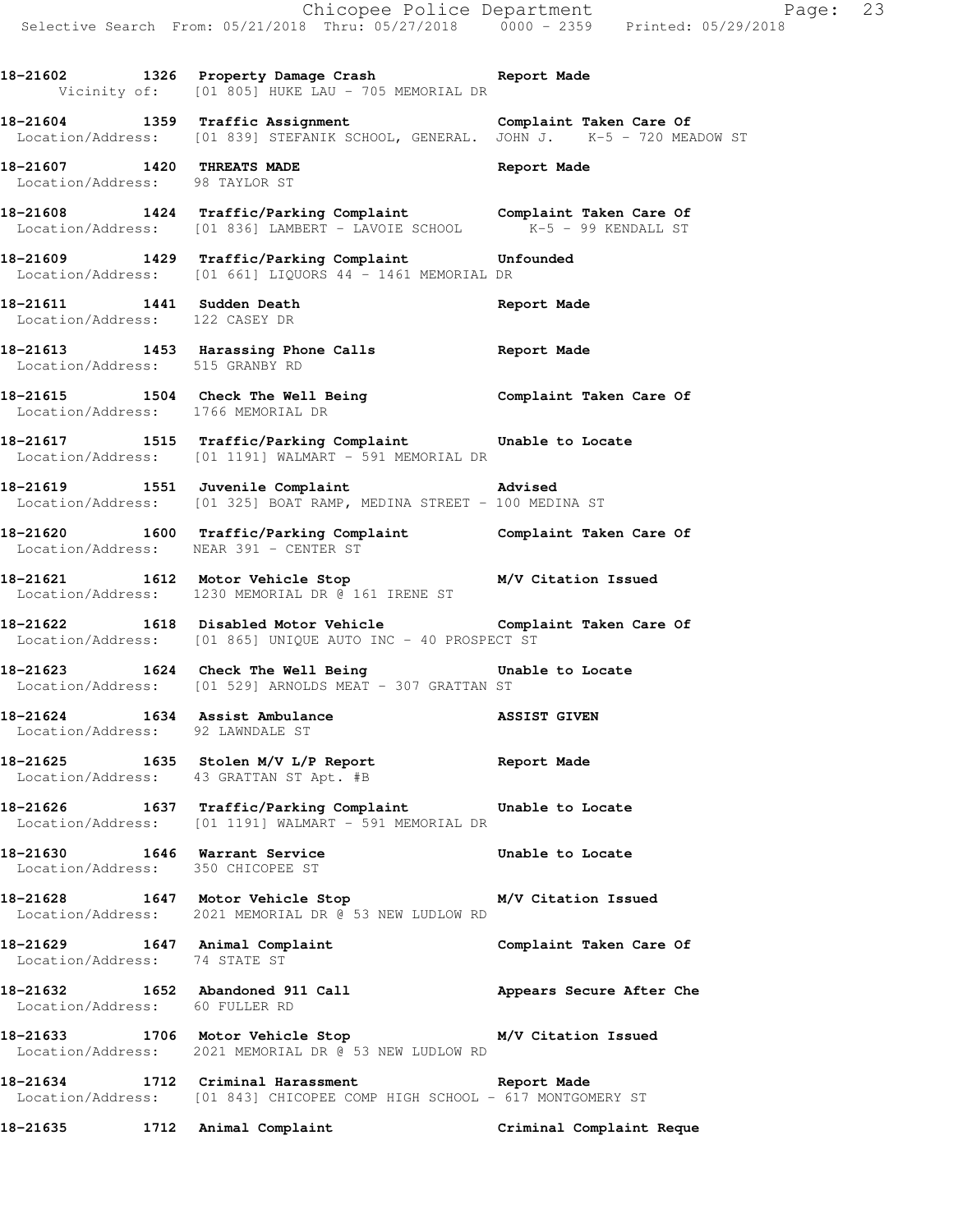**18-21602 1326 Property Damage Crash Report Made**  Vicinity of: [01 805] HUKE LAU - 705 MEMORIAL DR

**18-21604 1359 Traffic Assignment Complaint Taken Care Of**  Location/Address: [01 839] STEFANIK SCHOOL, GENERAL. JOHN J. K-5 - 720 MEADOW ST

**18-21607 1420 THREATS MADE Report Made**  Location/Address: 98 TAYLOR ST

**18-21608 1424 Traffic/Parking Complaint Complaint Taken Care Of**  Location/Address: [01 836] LAMBERT - LAVOIE SCHOOL K-5 - 99 KENDALL ST

**18-21609 1429 Traffic/Parking Complaint Unfounded**  Location/Address: [01 661] LIQUORS 44 - 1461 MEMORIAL DR

**18-21611 1441 Sudden Death Report Made**  Location/Address: 122 CASEY DR

**18-21613 1453 Harassing Phone Calls Report Made**  Location/Address: 515 GRANBY RD

**18-21615 1504 Check The Well Being Complaint Taken Care Of**  Location/Address: 1766 MEMORIAL DR

**18-21617 1515 Traffic/Parking Complaint Unable to Locate**  Location/Address: [01 1191] WALMART - 591 MEMORIAL DR

**18-21619 1551 Juvenile Complaint Advised**  Location/Address: [01 325] BOAT RAMP, MEDINA STREET - 100 MEDINA ST

**18-21620 1600 Traffic/Parking Complaint Complaint Taken Care Of**  Location/Address: NEAR 391 - CENTER ST

**18-21621 1612 Motor Vehicle Stop M/V Citation Issued**  Location/Address: 1230 MEMORIAL DR @ 161 IRENE ST

**18-21622 1618 Disabled Motor Vehicle Complaint Taken Care Of**  Location/Address: [01 865] UNIQUE AUTO INC - 40 PROSPECT ST

**18-21623 1624 Check The Well Being Unable to Locate**  Location/Address: [01 529] ARNOLDS MEAT - 307 GRATTAN ST

**18-21624 1634 Assist Ambulance ASSIST GIVEN**  Location/Address: 92 LAWNDALE ST

**18-21625 1635 Stolen M/V L/P Report Report Made**  Location/Address: 43 GRATTAN ST Apt. #B

**18-21626 1637 Traffic/Parking Complaint Unable to Locate**  Location/Address: [01 1191] WALMART - 591 MEMORIAL DR

**18-21630 1646 Warrant Service Unable to Locate**  Location/Address: 350 CHICOPEE ST

**18-21628 1647 Motor Vehicle Stop M/V Citation Issued**  Location/Address: 2021 MEMORIAL DR @ 53 NEW LUDLOW RD

**18-21629 1647 Animal Complaint Complaint Taken Care Of**  Location/Address: 74 STATE ST

**18-21632 1652 Abandoned 911 Call Appears Secure After Che**  Location/Address: 60 FULLER RD

**18-21633 1706 Motor Vehicle Stop M/V Citation Issued**  Location/Address: 2021 MEMORIAL DR @ 53 NEW LUDLOW RD

**18-21634 1712 Criminal Harassment Report Made**  Location/Address: [01 843] CHICOPEE COMP HIGH SCHOOL - 617 MONTGOMERY ST

**18-21635 1712 Animal Complaint Criminal Complaint Reque**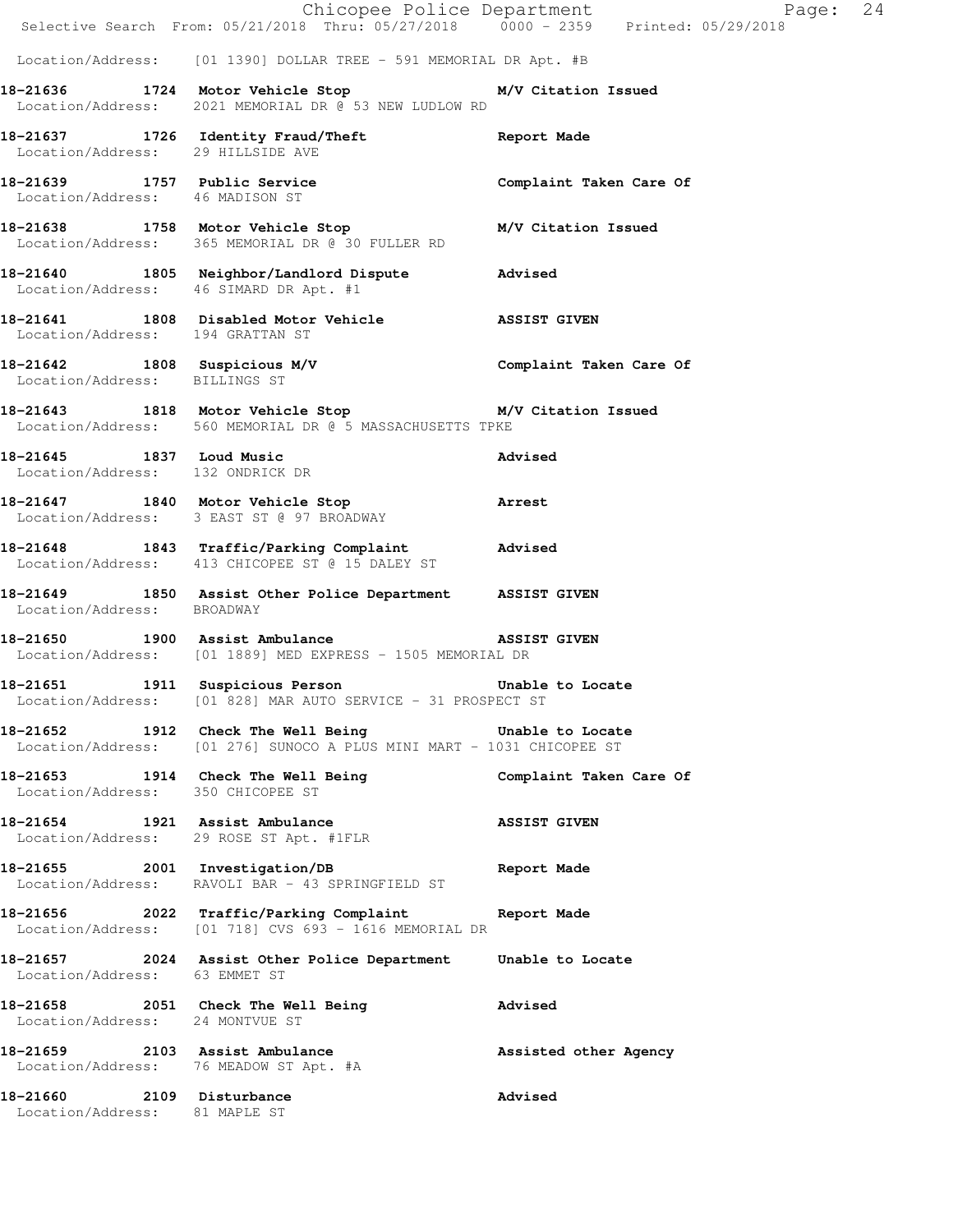|                                                            | E Chicopee Police Department<br>Selective Search From: 05/21/2018 Thru: 05/27/2018 0000 - 2359 Printed: 05/29/2018               | Page: 24              |
|------------------------------------------------------------|----------------------------------------------------------------------------------------------------------------------------------|-----------------------|
|                                                            | Location/Address: [01 1390] DOLLAR TREE - 591 MEMORIAL DR Apt. #B                                                                |                       |
|                                                            | 18-21636 1724 Motor Vehicle Stop<br>Location/Address: 2021 MEMORIAL DR @ 53 NEW LUDLOW RD                                        | M/V Citation Issued   |
| Location/Address: 29 HILLSIDE AVE                          | 18-21637 1726 Identity Fraud/Theft 18-21637                                                                                      |                       |
| Location/Address: 46 MADISON ST                            | 18-21639 1757 Public Service 1988 Complaint Taken Care Of                                                                        |                       |
|                                                            | 18-21638 1758 Motor Vehicle Stop M/V Citation Issued<br>Location/Address: 365 MEMORIAL DR @ 30 FULLER RD                         |                       |
| Location/Address: 46 SIMARD DR Apt. #1                     | 18-21640 1805 Neighbor/Landlord Dispute Advised                                                                                  |                       |
|                                                            | 18-21641 1808 Disabled Motor Vehicle ASSIST GIVEN<br>Location/Address: 194 GRATTAN ST                                            |                       |
| Location/Address: BILLINGS ST                              | 18-21642 1808 Suspicious M/V Complaint Taken Care Of                                                                             |                       |
|                                                            | 18-21643 1818 Motor Vehicle Stop M/V Citation Issued<br>Location/Address: 560 MEMORIAL DR @ 5 MASSACHUSETTS TPKE                 |                       |
| Location/Address: 132 ONDRICK DR                           | 18-21645 1837 Loud Music                                                                                                         | Advised               |
|                                                            | 18-21647 1840 Motor Vehicle Stop 31 Arrest<br>Location/Address: 3 EAST ST @ 97 BROADWAY                                          |                       |
|                                                            | 18-21648 1843 Traffic/Parking Complaint Advised<br>Location/Address: 413 CHICOPEE ST @ 15 DALEY ST                               |                       |
| Location/Address: BROADWAY                                 | 18-21649 1850 Assist Other Police Department ASSIST GIVEN                                                                        |                       |
|                                                            | 18-21650 1900 Assist Ambulance 18 ASSIST GIVEN<br>Location/Address: [01 1889] MED EXPRESS - 1505 MEMORIAL DR                     |                       |
| 18-21651                                                   | 1911 Suspicious Person<br>Location/Address: [01 828] MAR AUTO SERVICE - 31 PROSPECT ST                                           | Unable to Locate      |
|                                                            | 18-21652 1912 Check The Well Being The Unable to Locate<br>Location/Address: [01 276] SUNOCO A PLUS MINI MART - 1031 CHICOPEE ST |                       |
| Location/Address: 350 CHICOPEE ST                          | 18-21653 1914 Check The Well Being Complaint Taken Care Of                                                                       |                       |
|                                                            | 18-21654 1921 Assist Ambulance<br>Location/Address: 29 ROSE ST Apt. #1FLR                                                        | <b>ASSIST GIVEN</b>   |
|                                                            | 18-21655 2001 Investigation/DB<br>Location/Address: RAVOLI BAR - 43 SPRINGFIELD ST                                               | Report Made           |
|                                                            | 18-21656 2022 Traffic/Parking Complaint Report Made<br>Location/Address: [01 718] CVS 693 - 1616 MEMORIAL DR                     |                       |
| Location/Address: 63 EMMET ST                              | 18-21657 2024 Assist Other Police Department Unable to Locate                                                                    |                       |
| Location/Address: 24 MONTVUE ST                            | 18-21658 2051 Check The Well Being                                                                                               | Advised               |
|                                                            | 18-21659 2103 Assist Ambulance<br>Location/Address: 76 MEADOW ST Apt. #A                                                         | Assisted other Agency |
| 18-21660 2109 Disturbance<br>Location/Address: 81 MAPLE ST |                                                                                                                                  | Advised               |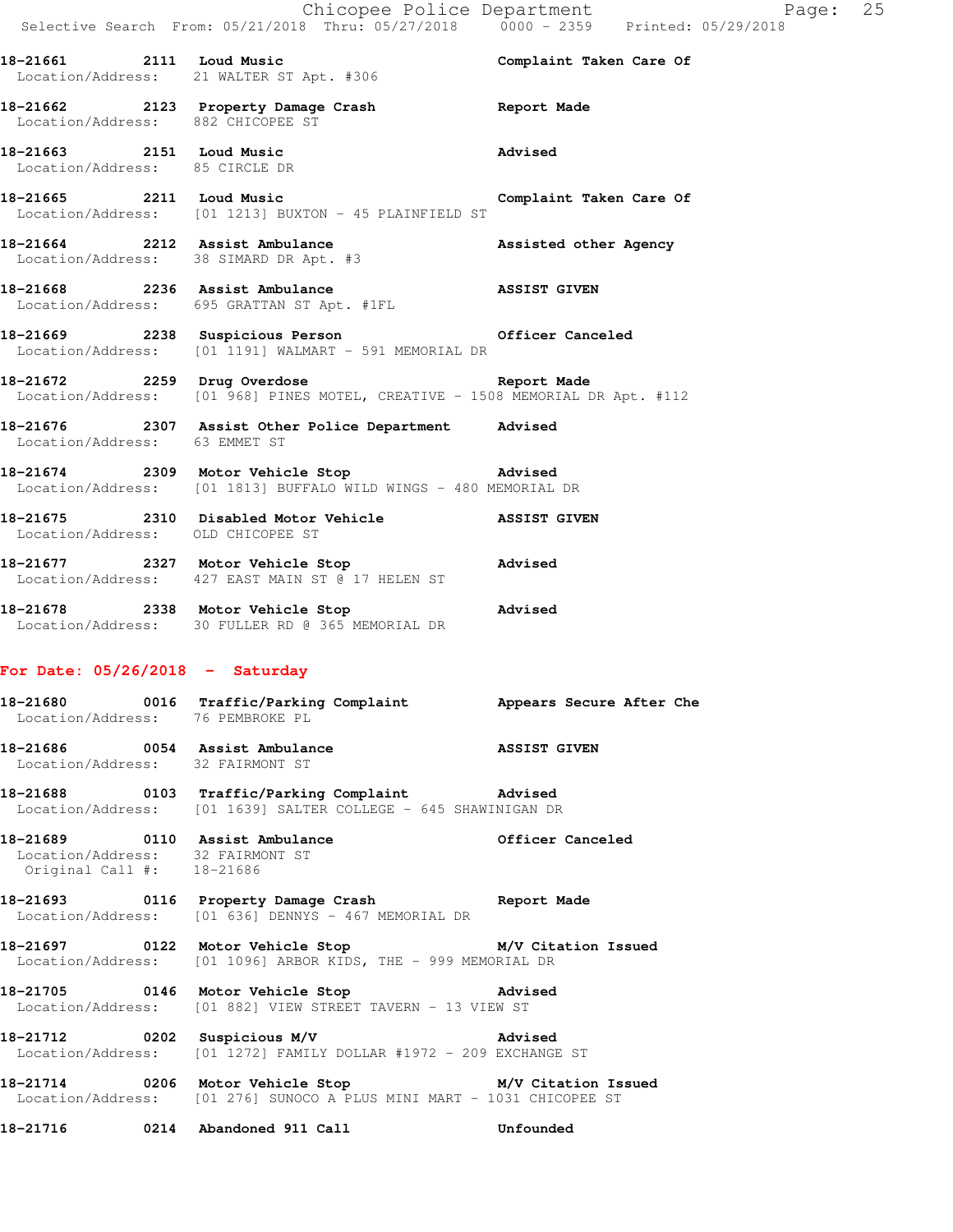Chicopee Police Department Fage: 25 Selective Search From: 05/21/2018 Thru: 05/27/2018 0000 - 2359 Printed: 05/29/2018 **18-21661 2111 Loud Music Complaint Taken Care Of**  Location/Address: 21 WALTER ST Apt. #306 **18-21662 2123 Property Damage Crash Report Made**  Location/Address: 882 CHICOPEE ST **18-21663 2151 Loud Music Advised**  Location/Address: 85 CIRCLE DR **18-21665 2211 Loud Music Complaint Taken Care Of**  Location/Address: [01 1213] BUXTON - 45 PLAINFIELD ST 18-21664 2212 Assist Ambulance **Assisted other Agency Assisted** other Agency Location/Address: 38 SIMARD DR Apt. #3 **18-21668 2236 Assist Ambulance ASSIST GIVEN**  Location/Address: 695 GRATTAN ST Apt. #1FL **18-21669 2238 Suspicious Person Officer Canceled**  Location/Address: [01 1191] WALMART - 591 MEMORIAL DR **18-21672 2259 Drug Overdose Report Made**  Location/Address: [01 968] PINES MOTEL, CREATIVE - 1508 MEMORIAL DR Apt. #112 **18-21676 2307 Assist Other Police Department Advised**  Location/Address: 63 EMMET ST **18-21674 2309 Motor Vehicle Stop Advised**  Location/Address: [01 1813] BUFFALO WILD WINGS - 480 MEMORIAL DR **18-21675 2310 Disabled Motor Vehicle ASSIST GIVEN**  Location/Address: OLD CHICOPEE ST **18-21677 2327 Motor Vehicle Stop Advised**  Location/Address: 427 EAST MAIN ST @ 17 HELEN ST **18-21678 2338 Motor Vehicle Stop Advised**  Location/Address: 30 FULLER RD @ 365 MEMORIAL DR **For Date: 05/26/2018 - Saturday 18-21680 0016 Traffic/Parking Complaint Appears Secure After Che**  Location/Address: 76 PEMBROKE PL **18-21686 0054 Assist Ambulance ASSIST GIVEN**  Location/Address: 32 FAIRMONT ST **18-21688 0103 Traffic/Parking Complaint Advised**  Location/Address: [01 1639] SALTER COLLEGE - 645 SHAWINIGAN DR **18-21689 0110 Assist Ambulance Officer Canceled**  Location/Address: 32 FAIRMONT ST Original Call #: 18-21686 **18-21693 0116 Property Damage Crash Report Made**  Location/Address: [01 636] DENNYS - 467 MEMORIAL DR **18-21697 0122 Motor Vehicle Stop M/V Citation Issued**  Location/Address: [01 1096] ARBOR KIDS, THE - 999 MEMORIAL DR **18-21705 0146 Motor Vehicle Stop Advised**  Location/Address: [01 882] VIEW STREET TAVERN - 13 VIEW ST **18-21712 0202 Suspicious M/V Advised**  Location/Address: [01 1272] FAMILY DOLLAR #1972 - 209 EXCHANGE ST **18-21714 0206 Motor Vehicle Stop M/V Citation Issued**  Location/Address: [01 276] SUNOCO A PLUS MINI MART - 1031 CHICOPEE ST **18-21716 0214 Abandoned 911 Call Unfounded**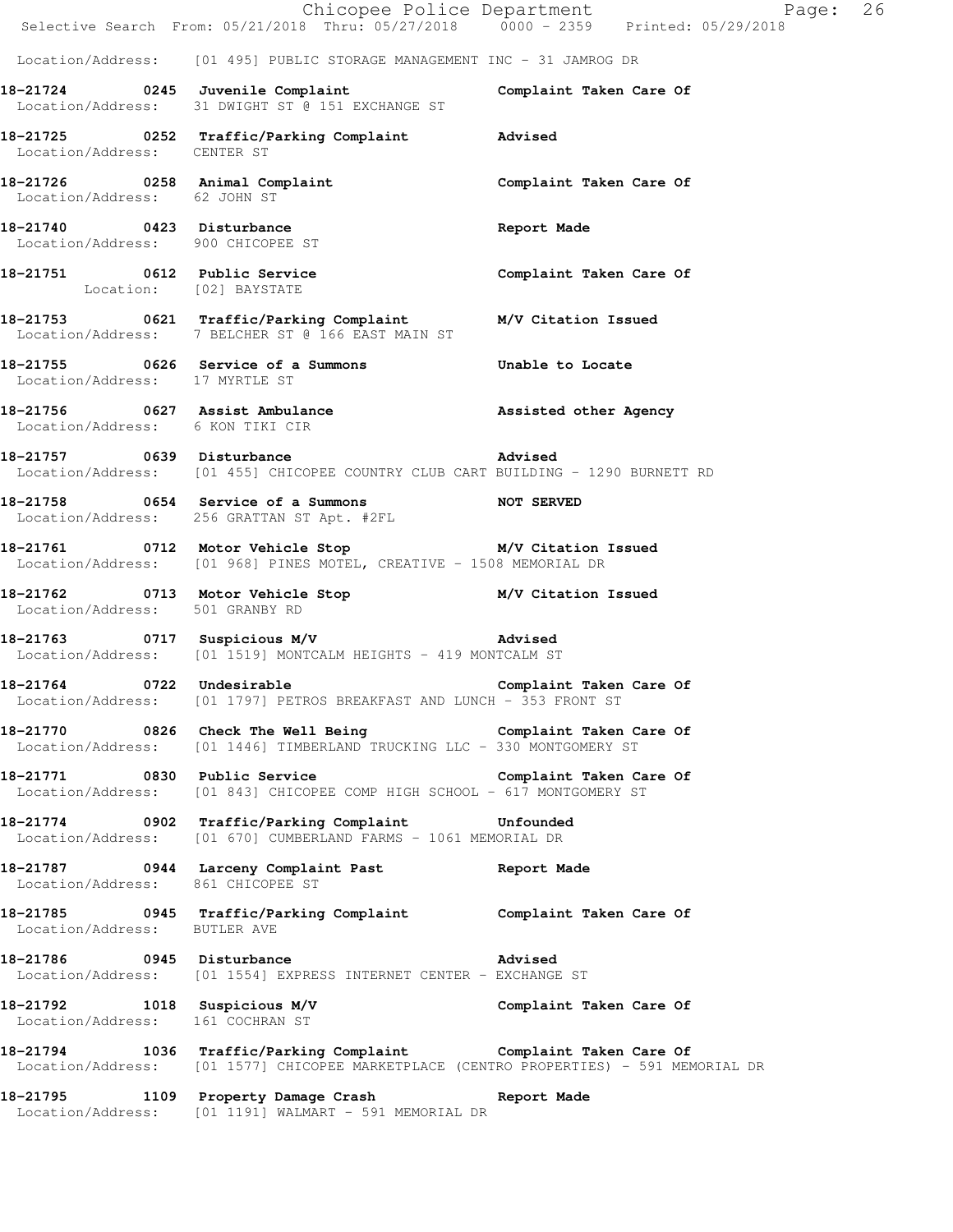|                                   | Chicopee Police Department<br>Selective Search From: 05/21/2018 Thru: 05/27/2018 0000 - 2359 Printed: 05/29/2018                                          | Page: 26                |  |
|-----------------------------------|-----------------------------------------------------------------------------------------------------------------------------------------------------------|-------------------------|--|
|                                   |                                                                                                                                                           |                         |  |
|                                   | Location/Address: [01 495] PUBLIC STORAGE MANAGEMENT INC - 31 JAMROG DR                                                                                   |                         |  |
|                                   | 18-21724 0245 Juvenile Complaint<br>Location/Address: 31 DWIGHT ST @ 151 EXCHANGE ST                                                                      | Complaint Taken Care Of |  |
| Location/Address: CENTER ST       | 18-21725 0252 Traffic/Parking Complaint Advised                                                                                                           |                         |  |
| Location/Address: 62 JOHN ST      | 18-21726   0258   Animal Complaint   Complaint Taken Care Of                                                                                              |                         |  |
| Location/Address: 900 CHICOPEE ST | 18-21740 0423 Disturbance                                                                                                                                 | Report Made             |  |
| Location: [02] BAYSTATE           | 18-21751 0612 Public Service Complaint Taken Care Of                                                                                                      |                         |  |
|                                   | 18-21753 0621 Traffic/Parking Complaint M/V Citation Issued<br>Location/Address: 7 BELCHER ST @ 166 EAST MAIN ST                                          |                         |  |
| Location/Address: 17 MYRTLE ST    | 18-21755 0626 Service of a Summons Unable to Locate                                                                                                       |                         |  |
| Location/Address: 6 KON TIKI CIR  | 18-21756 0627 Assist Ambulance Massisted other Agency                                                                                                     |                         |  |
|                                   | 18-21757 0639 Disturbance<br>Location/Address: [01 455] CHICOPEE COUNTRY CLUB CART BUILDING - 1290 BURNETT RD                                             | Advised                 |  |
|                                   | 18-21758 0654 Service of a Summons NOT SERVED<br>Location/Address: 256 GRATTAN ST Apt. #2FL                                                               |                         |  |
|                                   | 18-21761 0712 Motor Vehicle Stop M/V Citation Issued<br>Location/Address: [01 968] PINES MOTEL, CREATIVE - 1508 MEMORIAL DR                               |                         |  |
| Location/Address: 501 GRANBY RD   | 18-21762 0713 Motor Vehicle Stop M/V Citation Issued                                                                                                      |                         |  |
|                                   | 18-21763 0717 Suspicious M/V 300 Advised<br>Location/Address: [01 1519] MONTCALM HEIGHTS - 419 MONTCALM ST                                                |                         |  |
| 18-21764 0722 Undesirable         | Location/Address: [01 1797] PETROS BREAKFAST AND LUNCH - 353 FRONT ST                                                                                     | Complaint Taken Care Of |  |
|                                   | 18-21770 0826 Check The Well Being Complaint Taken Care Of<br>Location/Address: [01 1446] TIMBERLAND TRUCKING LLC - 330 MONTGOMERY ST                     |                         |  |
|                                   | 18-21771 0830 Public Service Complaint Taken Care Of<br>Location/Address: [01 843] CHICOPEE COMP HIGH SCHOOL - 617 MONTGOMERY ST                          |                         |  |
|                                   | 18-21774 0902 Traffic/Parking Complaint Unfounded<br>Location/Address: [01 670] CUMBERLAND FARMS - 1061 MEMORIAL DR                                       |                         |  |
| Location/Address: 861 CHICOPEE ST | 18-21787 0944 Larceny Complaint Past                                                                                                                      | <b>Report Made</b>      |  |
| Location/Address: BUTLER AVE      | 18-21785 0945 Traffic/Parking Complaint Complaint Taken Care Of                                                                                           |                         |  |
|                                   | 18-21786 0945 Disturbance<br>Location/Address: [01 1554] EXPRESS INTERNET CENTER - EXCHANGE ST                                                            | Advised                 |  |
| Location/Address: 161 COCHRAN ST  | 18-21792 1018 Suspicious M/V Complaint Taken Care Of                                                                                                      |                         |  |
|                                   | 18-21794 1036 Traffic/Parking Complaint Complaint Taken Care Of<br>Location/Address: [01 1577] CHICOPEE MARKETPLACE (CENTRO PROPERTIES) - 591 MEMORIAL DR |                         |  |
|                                   | 18-21795 1109 Property Damage Crash Report Made<br>Location/Address: [01 1191] WALMART - 591 MEMORIAL DR                                                  |                         |  |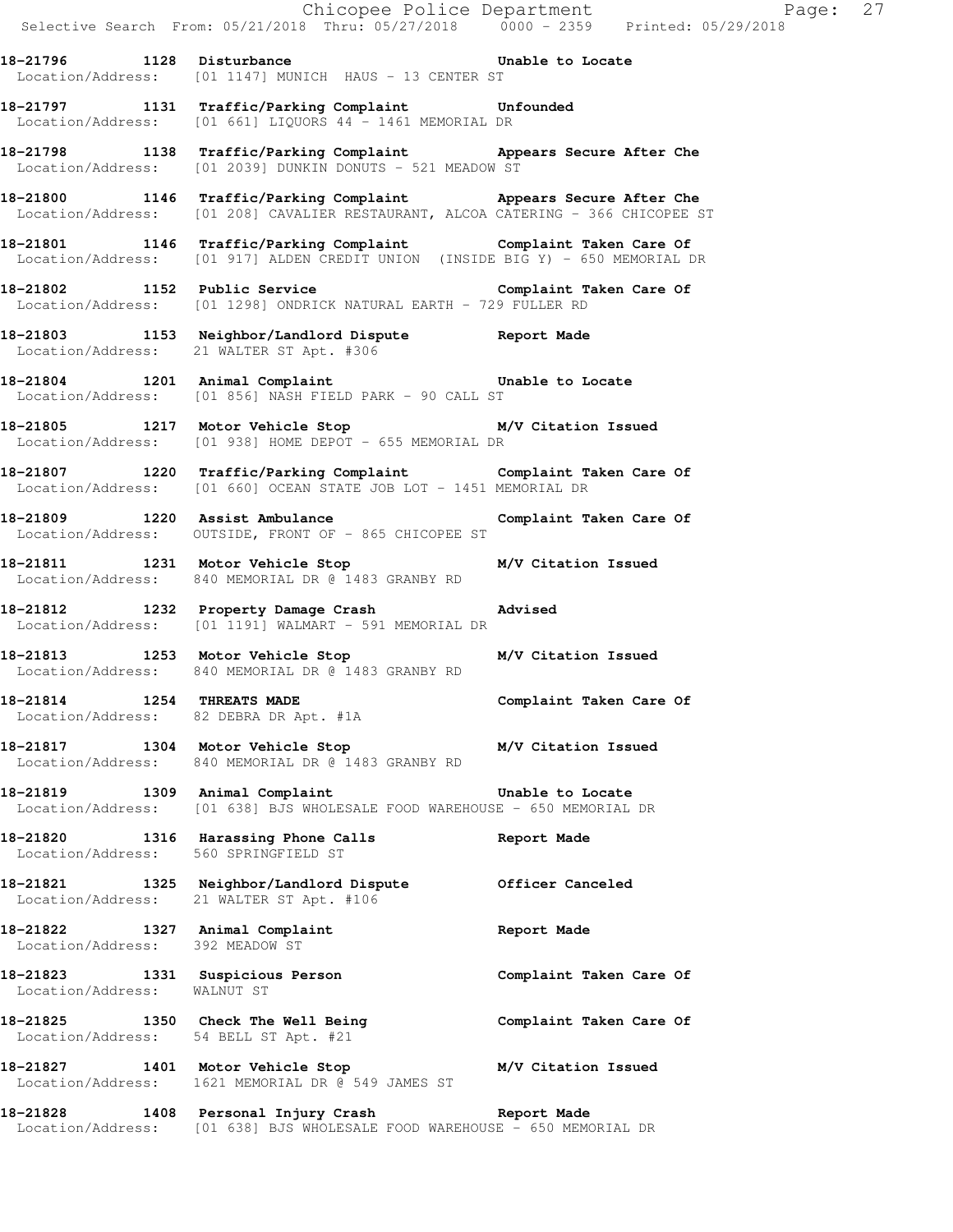|                                       | Selective Search From: 05/21/2018 Thru: 05/27/2018 0000 - 2359 Printed: 05/29/2018                                                                   |                         |
|---------------------------------------|------------------------------------------------------------------------------------------------------------------------------------------------------|-------------------------|
|                                       | 18-21796 1128 Disturbance Unable to Locate<br>Location/Address: [01 1147] MUNICH HAUS - 13 CENTER ST                                                 |                         |
|                                       | 18-21797 1131 Traffic/Parking Complaint Unfounded<br>Location/Address: [01 661] LIQUORS 44 - 1461 MEMORIAL DR                                        |                         |
|                                       | 18-21798 1138 Traffic/Parking Complaint Appears Secure After Che<br>Location/Address: [01 2039] DUNKIN DONUTS - 521 MEADOW ST                        |                         |
|                                       | 18-21800 1146 Traffic/Parking Complaint Appears Secure After Che<br>Location/Address: [01 208] CAVALIER RESTAURANT, ALCOA CATERING - 366 CHICOPEE ST |                         |
|                                       | 18-21801 1146 Traffic/Parking Complaint Complaint Taken Care Of Location/Address: [01 917] ALDEN CREDIT UNION (INSIDE BIG Y) - 650 MEMORIAL DR       |                         |
|                                       | 18-21802 1152 Public Service Complaint Taken Care Of<br>Location/Address: [01 1298] ONDRICK NATURAL EARTH - 729 FULLER RD                            |                         |
|                                       | 18-21803 1153 Neighbor/Landlord Dispute Report Made<br>Location/Address: 21 WALTER ST Apt. #306                                                      |                         |
|                                       | 18-21804 1201 Animal Complaint Consumer Unable to Locate<br>Location/Address: [01 856] NASH FIELD PARK - 90 CALL ST                                  |                         |
|                                       | 18-21805 1217 Motor Vehicle Stop M/V Citation Issued<br>Location/Address: [01 938] HOME DEPOT - 655 MEMORIAL DR                                      |                         |
|                                       | 18-21807 1220 Traffic/Parking Complaint Complaint Taken Care Of Location/Address: [01 660] OCEAN STATE JOB LOT - 1451 MEMORIAL DR                    |                         |
|                                       | 18-21809 1220 Assist Ambulance<br>Location/Address: OUTSIDE, FRONT OF - 865 CHICOPEE ST                                                              | Complaint Taken Care Of |
|                                       | 18-21811 1231 Motor Vehicle Stop M/V Citation Issued<br>Location/Address: 840 MEMORIAL DR @ 1483 GRANBY RD                                           |                         |
|                                       | 18-21812 1232 Property Damage Crash Advised<br>Location/Address: [01 1191] WALMART - 591 MEMORIAL DR                                                 |                         |
|                                       | 18-21813 1253 Motor Vehicle Stop M/V Citation Issued<br>Location/Address: 840 MEMORIAL DR @ 1483 GRANBY RD                                           |                         |
| 18-21814 1254 THREATS MADE            | Location/Address: 82 DEBRA DR Apt. #1A                                                                                                               | Complaint Taken Care Of |
|                                       | 18-21817 1304 Motor Vehicle Stop M/V Citation Issued<br>Location/Address: 840 MEMORIAL DR @ 1483 GRANBY RD                                           |                         |
|                                       | 18-21819 1309 Animal Complaint<br>Location/Address: [01 638] BJS WHOLESALE FOOD WAREHOUSE - 650 MEMORIAL DR                                          | Unable to Locate        |
| Location/Address: 560 SPRINGFIELD ST  | 18-21820 1316 Harassing Phone Calls                                                                                                                  | Report Made             |
|                                       | 18-21821 1325 Neighbor/Landlord Dispute 0fficer Canceled<br>Location/Address: 21 WALTER ST Apt. #106                                                 |                         |
| Location/Address: 392 MEADOW ST       | 18-21822 1327 Animal Complaint                                                                                                                       | Report Made             |
| Location/Address: WALNUT ST           | 18-21823 1331 Suspicious Person                                                                                                                      | Complaint Taken Care Of |
| Location/Address: 54 BELL ST Apt. #21 | 18-21825 1350 Check The Well Being                                                                                                                   | Complaint Taken Care Of |
|                                       | 18-21827 1401 Motor Vehicle Stop M/V Citation Issued<br>Location/Address: 1621 MEMORIAL DR @ 549 JAMES ST                                            |                         |
|                                       | 18-21828 1408 Personal Injury Crash Report Made<br>Location/Address: [01 638] BJS WHOLESALE FOOD WAREHOUSE - 650 MEMORIAL DR                         |                         |

Chicopee Police Department Fage: 27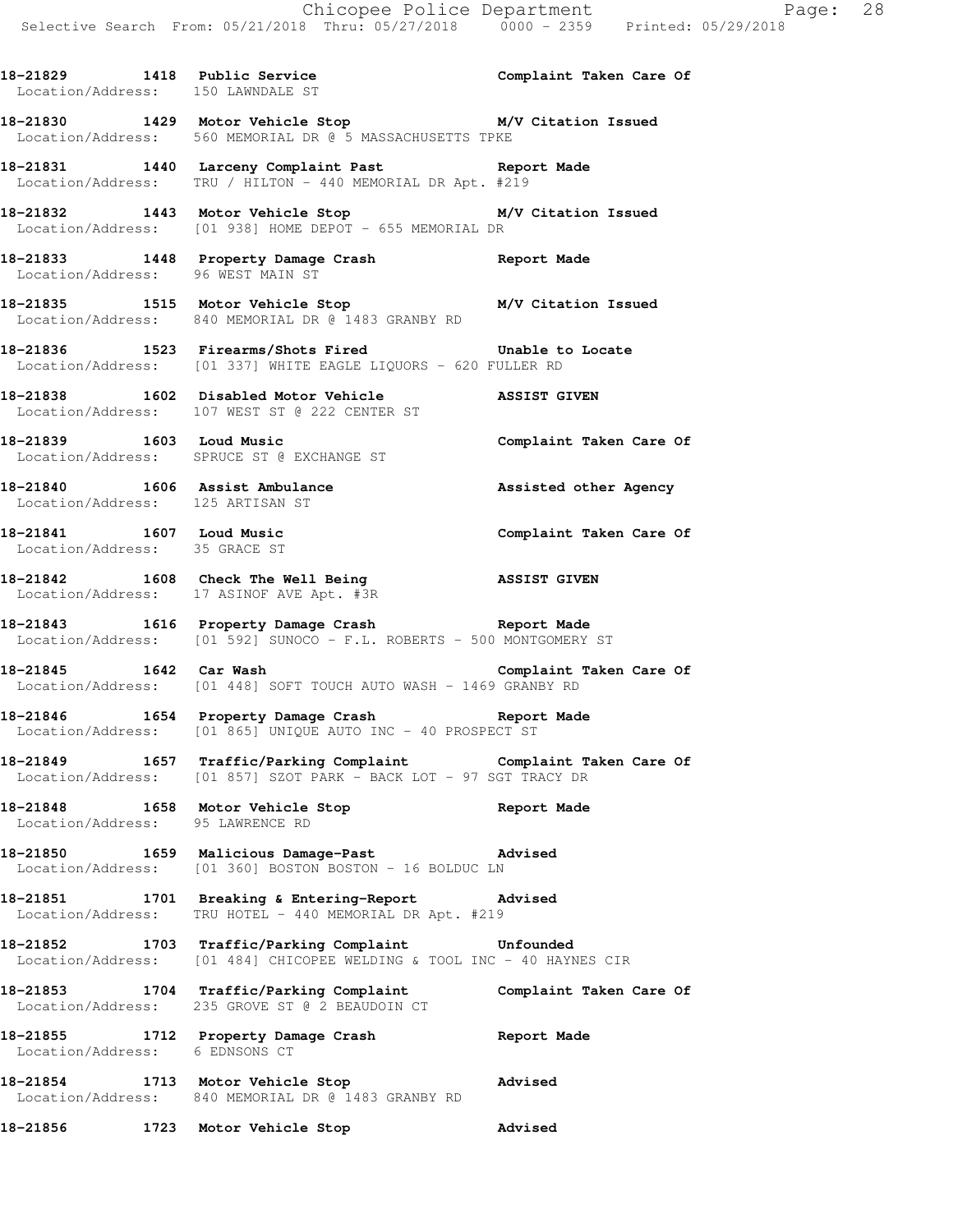18-21829 1418 Public Service **18. Complaint Taken Care Of**  Location/Address: 150 LAWNDALE ST **18-21830 1429 Motor Vehicle Stop M/V Citation Issued**  Location/Address: 560 MEMORIAL DR @ 5 MASSACHUSETTS TPKE **18-21831 1440 Larceny Complaint Past Report Made**  Location/Address: TRU / HILTON - 440 MEMORIAL DR Apt. #219 **18-21832 1443 Motor Vehicle Stop M/V Citation Issued**  Location/Address: [01 938] HOME DEPOT - 655 MEMORIAL DR **18-21833 1448 Property Damage Crash Report Made**  Location/Address: 96 WEST MAIN ST

**18-21835 1515 Motor Vehicle Stop M/V Citation Issued**  Location/Address: 840 MEMORIAL DR @ 1483 GRANBY RD

**18-21836 1523 Firearms/Shots Fired Unable to Locate**  Location/Address: [01 337] WHITE EAGLE LIQUORS - 620 FULLER RD

**18-21838 1602 Disabled Motor Vehicle ASSIST GIVEN**  Location/Address: 107 WEST ST @ 222 CENTER ST

**18-21839 1603 Loud Music Complaint Taken Care Of**  Location/Address: SPRUCE ST @ EXCHANGE ST

18-21840 1606 Assist Ambulance **18-21840** Assisted other Agency Location/Address: 125 ARTISAN ST

**18-21841 1607 Loud Music Complaint Taken Care Of**  Location/Address: 35 GRACE ST

**18-21842 1608 Check The Well Being ASSIST GIVEN**  Location/Address: 17 ASINOF AVE Apt. #3R

**18-21843 1616 Property Damage Crash Report Made**  Location/Address: [01 592] SUNOCO - F.L. ROBERTS - 500 MONTGOMERY ST

**18-21845 1642 Car Wash Complaint Taken Care Of**  Location/Address: [01 448] SOFT TOUCH AUTO WASH - 1469 GRANBY RD

**18-21846 1654 Property Damage Crash Report Made**  Location/Address: [01 865] UNIQUE AUTO INC - 40 PROSPECT ST

**18-21849 1657 Traffic/Parking Complaint Complaint Taken Care Of**  Location/Address: [01 857] SZOT PARK - BACK LOT - 97 SGT TRACY DR

**18-21848 1658 Motor Vehicle Stop Report Made**  Location/Address: 95 LAWRENCE RD

**18-21850 1659 Malicious Damage-Past Advised**  Location/Address: [01 360] BOSTON BOSTON - 16 BOLDUC LN

**18-21851 1701 Breaking & Entering-Report Advised**  Location/Address: TRU HOTEL - 440 MEMORIAL DR Apt. #219

**18-21852 1703 Traffic/Parking Complaint Unfounded**  Location/Address: [01 484] CHICOPEE WELDING & TOOL INC - 40 HAYNES CIR

**18-21853 1704 Traffic/Parking Complaint Complaint Taken Care Of**  Location/Address: 235 GROVE ST @ 2 BEAUDOIN CT

**18-21855 1712 Property Damage Crash Report Made**  Location/Address: 6 EDNSONS CT

**18-21854 1713 Motor Vehicle Stop Advised**  Location/Address: 840 MEMORIAL DR @ 1483 GRANBY RD

**18-21856 1723 Motor Vehicle Stop Advised**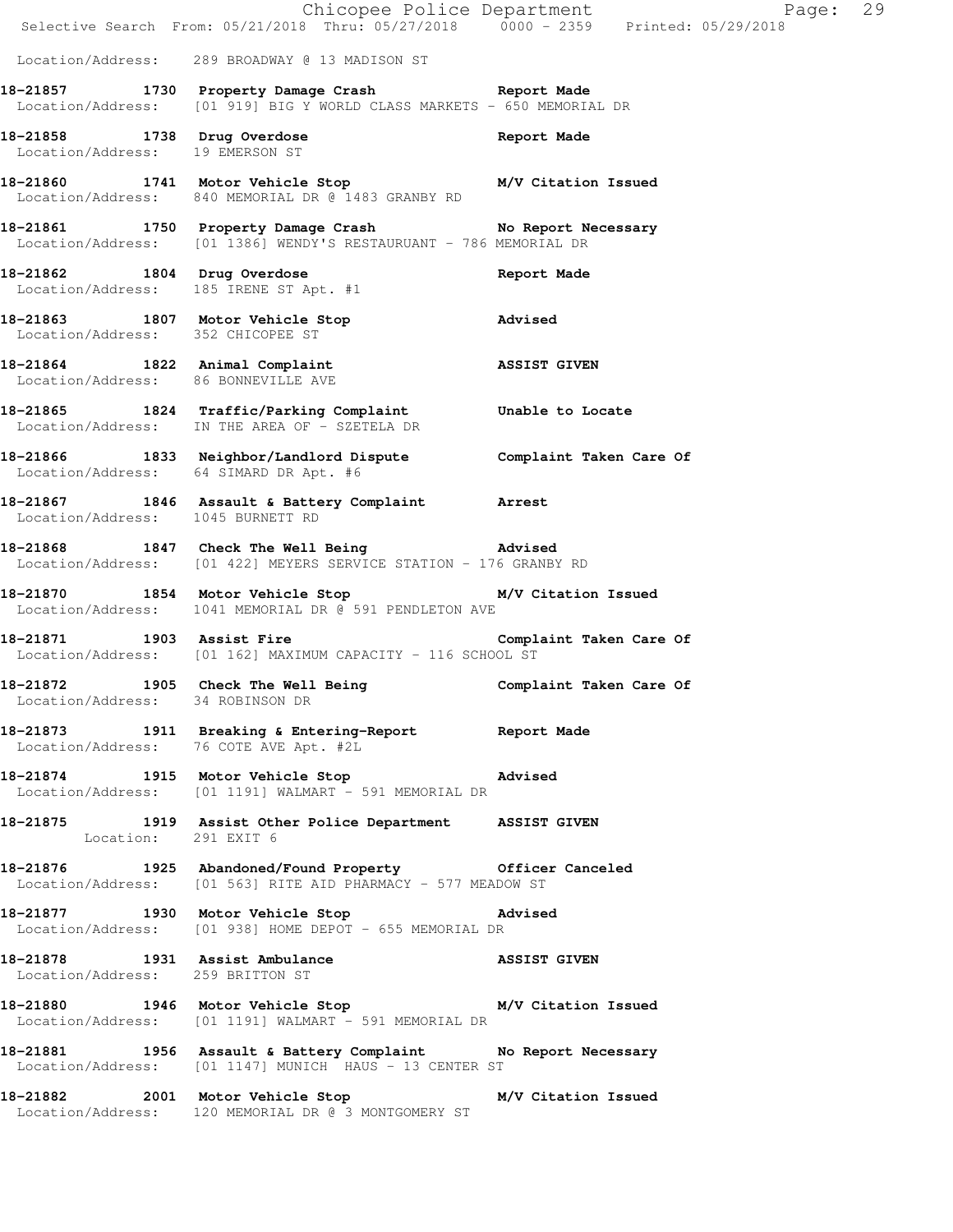|                                        | Chicopee Police Department<br>Selective Search From: 05/21/2018 Thru: 05/27/2018 0000 - 2359 Printed: 05/29/2018             | Page: 29    |  |
|----------------------------------------|------------------------------------------------------------------------------------------------------------------------------|-------------|--|
|                                        | Location/Address: 289 BROADWAY @ 13 MADISON ST                                                                               |             |  |
|                                        | 18-21857 1730 Property Damage Crash Report Made<br>Location/Address: [01 919] BIG Y WORLD CLASS MARKETS - 650 MEMORIAL DR    |             |  |
| Location/Address: 19 EMERSON ST        | 18-21858 1738 Drug Overdose                                                                                                  | Report Made |  |
|                                        | 18-21860 1741 Motor Vehicle Stop M/V Citation Issued<br>Location/Address: 840 MEMORIAL DR @ 1483 GRANBY RD                   |             |  |
|                                        | 18-21861 1750 Property Damage Crash No Report Necessary<br>Location/Address: [01 1386] WENDY'S RESTAURUANT - 786 MEMORIAL DR |             |  |
| 18-21862 1804 Drug Overdose            | Location/Address: 185 IRENE ST Apt. #1                                                                                       | Report Made |  |
|                                        | 18-21863 1807 Motor Vehicle Stop Movised<br>Location/Address: 352 CHICOPEE ST                                                |             |  |
| Location/Address: 86 BONNEVILLE AVE    | 18-21864 1822 Animal Complaint ASSIST GIVEN                                                                                  |             |  |
|                                        | 18-21865 1824 Traffic/Parking Complaint Unable to Locate<br>Location/Address: IN THE AREA OF - SZETELA DR                    |             |  |
| Location/Address: 64 SIMARD DR Apt. #6 | 18-21866 1833 Neighbor/Landlord Dispute Complaint Taken Care Of                                                              |             |  |
| Location/Address: 1045 BURNETT RD      | 18-21867 1846 Assault & Battery Complaint Arrest                                                                             |             |  |
|                                        | 18-21868 1847 Check The Well Being Movised<br>Location/Address: [01 422] MEYERS SERVICE STATION - 176 GRANBY RD              |             |  |
|                                        | 18-21870 1854 Motor Vehicle Stop M/V Citation Issued<br>Location/Address: 1041 MEMORIAL DR @ 591 PENDLETON AVE               |             |  |
|                                        | 18-21871 1903 Assist Fire Complaint Taken Care Of<br>Location/Address: [01 162] MAXIMUM CAPACITY - 116 SCHOOL ST             |             |  |
| Location/Address: 34 ROBINSON DR       | 18-21872 1905 Check The Well Being Complaint Taken Care Of                                                                   |             |  |
| Location/Address: 76 COTE AVE Apt. #2L | 18-21873 1911 Breaking & Entering-Report Neport Made                                                                         |             |  |
|                                        | 18-21874 1915 Motor Vehicle Stop Advised<br>Location/Address: [01 1191] WALMART - 591 MEMORIAL DR                            |             |  |
| Location: 291 EXIT 6                   | 18-21875 1919 Assist Other Police Department ASSIST GIVEN                                                                    |             |  |
|                                        | 18-21876 1925 Abandoned/Found Property 6fficer Canceled<br>Location/Address: [01 563] RITE AID PHARMACY - 577 MEADOW ST      |             |  |
|                                        | 18-21877 1930 Motor Vehicle Stop Movised<br>Location/Address: [01 938] HOME DEPOT - 655 MEMORIAL DR                          |             |  |
| Location/Address: 259 BRITTON ST       | 18-21878 1931 Assist Ambulance ASSIST GIVEN                                                                                  |             |  |
|                                        | 18-21880 1946 Motor Vehicle Stop M/V Citation Issued<br>Location/Address: [01 1191] WALMART - 591 MEMORIAL DR                |             |  |
|                                        | 18-21881 1956 Assault & Battery Complaint No Report Necessary<br>Location/Address: [01 1147] MUNICH HAUS - 13 CENTER ST      |             |  |
|                                        | 18-21882 2001 Motor Vehicle Stop M/V Citation Issued<br>Location/Address: 120 MEMORIAL DR @ 3 MONTGOMERY ST                  |             |  |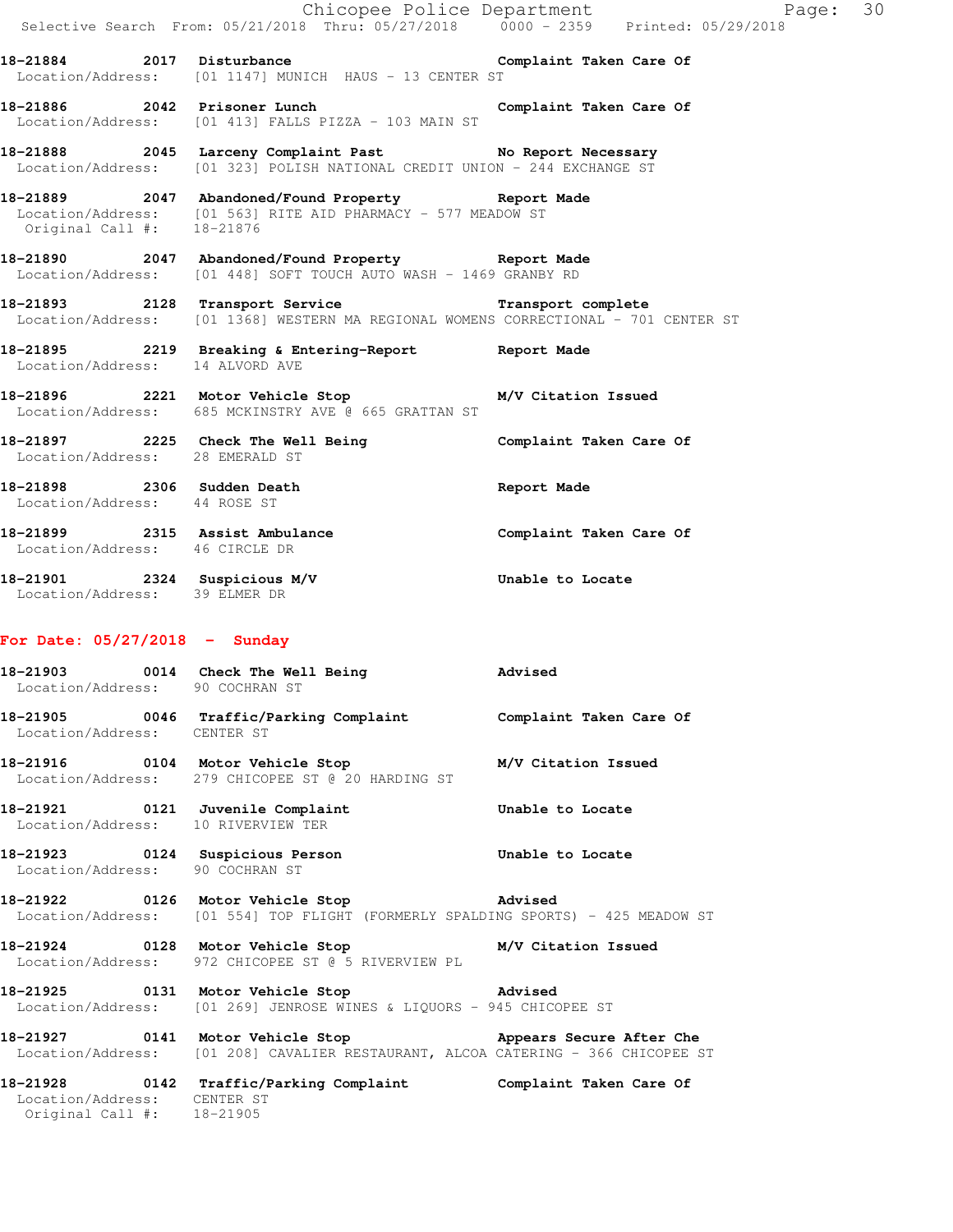|                                                            | Selective Search From: 05/21/2018 Thru: 05/27/2018 0000 - 2359 Printed: 05/29/2018                                                                     |                         |
|------------------------------------------------------------|--------------------------------------------------------------------------------------------------------------------------------------------------------|-------------------------|
|                                                            | 18-21884 2017 Disturbance Complaint Taken Care Of<br>Location/Address: [01 1147] MUNICH HAUS - 13 CENTER ST                                            |                         |
|                                                            | 18-21886 2042 Prisoner Lunch<br>Location/Address: [01 413] FALLS PIZZA - 103 MAIN ST                                                                   | Complaint Taken Care Of |
|                                                            | 18-21888 2045 Larceny Complaint Past No Report Necessary<br>Location/Address: [01 323] POLISH NATIONAL CREDIT UNION - 244 EXCHANGE ST                  |                         |
| Original Call #: 18-21876                                  | 18-21889 2047 Abandoned/Found Property Report Made<br>Location/Address: [01 563] RITE AID PHARMACY - 577 MEADOW ST                                     |                         |
|                                                            | 18-21890 2047 Abandoned/Found Property Report Made<br>Location/Address: [01 448] SOFT TOUCH AUTO WASH - 1469 GRANBY RD                                 |                         |
|                                                            | 18-21893 2128 Transport Service <b>18-18 Transport complete</b><br>Location/Address: [01 1368] WESTERN MA REGIONAL WOMENS CORRECTIONAL - 701 CENTER ST |                         |
|                                                            | 18-21895 2219 Breaking & Entering-Report Report Made<br>Location/Address: 14 ALVORD AVE                                                                |                         |
|                                                            | 18-21896 2221 Motor Vehicle Stop M/V Citation Issued<br>Location/Address: 685 MCKINSTRY AVE @ 665 GRATTAN ST                                           |                         |
| Location/Address: 28 EMERALD ST                            | 18-21897 2225 Check The Well Being Complaint Taken Care Of                                                                                             |                         |
| 18-21898 2306 Sudden Death<br>Location/Address: 44 ROSE ST |                                                                                                                                                        | Report Made             |
| Location/Address: 46 CIRCLE DR                             | -<br>18-21899                2315   Assist Ambulance                         Complaint Taken Care Of                                                   |                         |
| Location/Address: 39 ELMER DR                              | 18-21901 2324 Suspicious M/V Chable to Locate                                                                                                          |                         |
| For Date: $05/27/2018$ - Sunday                            |                                                                                                                                                        |                         |
| Location/Address: 90 COCHRAN ST                            | 18-21903 0014 Check The Well Being 3 Advised                                                                                                           |                         |
| Location/Address: CENTER ST                                | 18-21905 0046 Traffic/Parking Complaint Complaint Taken Care Of                                                                                        |                         |
|                                                            | Location/Address: 279 CHICOPEE ST @ 20 HARDING ST                                                                                                      |                         |
| Location/Address: 10 RIVERVIEW TER                         | 18-21921   0121 Juvenile Complaint    Quebechical Unable to Locate                                                                                     |                         |
| Location/Address: 90 COCHRAN ST                            | 18-21923 		 0124 Suspicious Person 		 Unable to Locate                                                                                                 |                         |
|                                                            | 18-21922 0126 Motor Vehicle Stop 318-21922<br>Location/Address: [01 554] TOP FLIGHT (FORMERLY SPALDING SPORTS) - 425 MEADOW ST                         |                         |
|                                                            | 18-21924 0128 Motor Vehicle Stop M/V Citation Issued<br>Location/Address: 972 CHICOPEE ST @ 5 RIVERVIEW PL                                             |                         |
|                                                            | 18-21925 0131 Motor Vehicle Stop 5 Advised<br>Location/Address: [01 269] JENROSE WINES & LIQUORS - 945 CHICOPEE ST                                     |                         |
|                                                            | 18-21927 0141 Motor Vehicle Stop Mopears Secure After Che<br>Location/Address: [01 208] CAVALIER RESTAURANT, ALCOA CATERING - 366 CHICOPEE ST          |                         |
|                                                            |                                                                                                                                                        |                         |

Chicopee Police Department Page: 30

**18-21928 0142 Traffic/Parking Complaint Complaint Taken Care Of**  Location/Address: CENTER ST Original Call #: 18-21905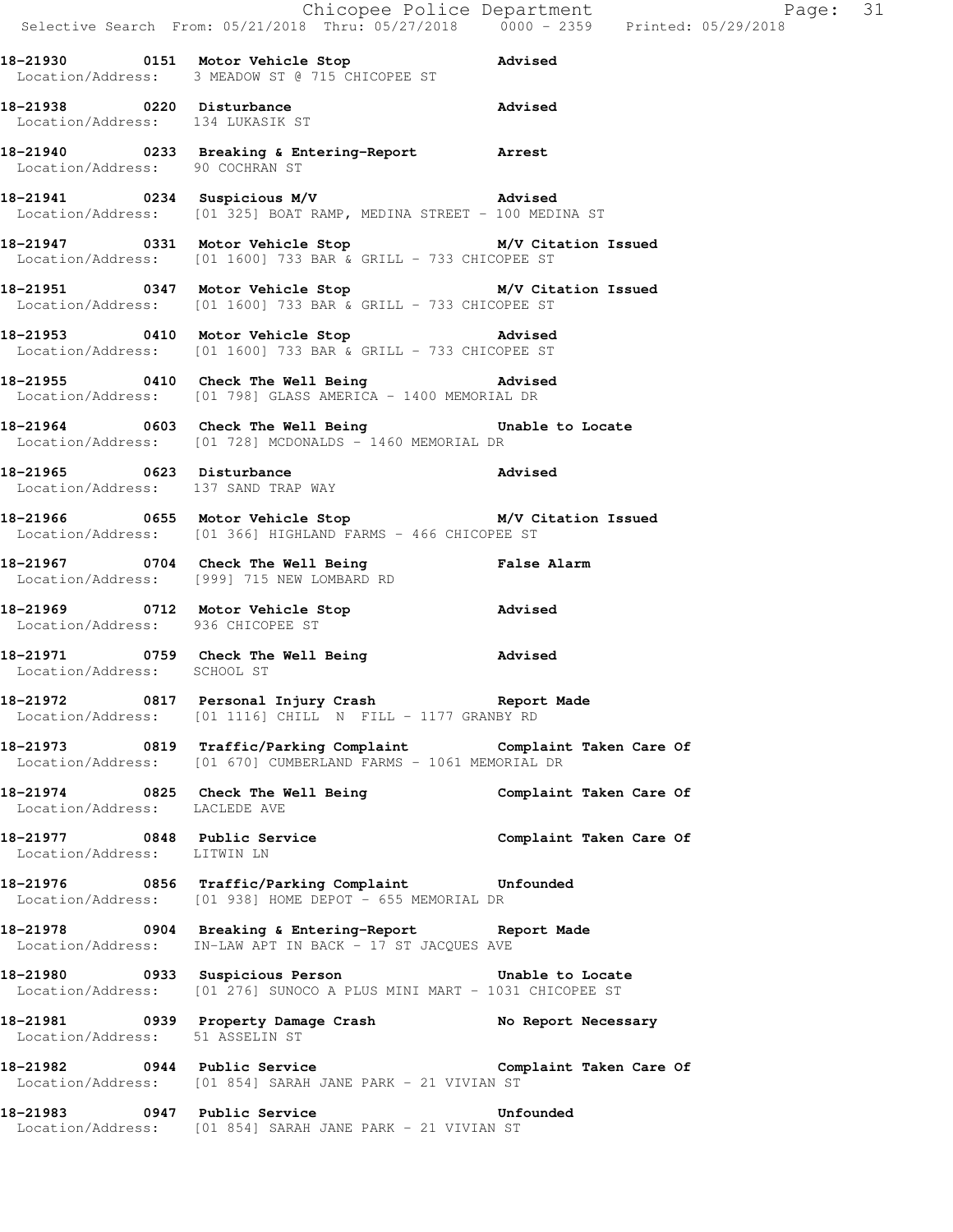|                                   | Chicopee Police Department<br>Selective Search From: 05/21/2018 Thru: 05/27/2018 0000 - 2359 Printed: 05                       |                         |
|-----------------------------------|--------------------------------------------------------------------------------------------------------------------------------|-------------------------|
|                                   | 18-21930   0151 Motor Vehicle Stop   0151 Motor Vehicle Stop<br>Location/Address: 3 MEADOW ST @ 715 CHICOPEE ST                |                         |
|                                   | 18-21938 0220 Disturbance<br>Location/Address: 134 LUKASIK ST                                                                  |                         |
|                                   | 18-21940 0233 Breaking & Entering-Report Arrest<br>Location/Address: 90 COCHRAN ST                                             |                         |
|                                   | 18-21941 0234 Suspicious M/V Advised<br>Location/Address: [01 325] BOAT RAMP, MEDINA STREET - 100 MEDINA ST                    |                         |
|                                   | 18-21947 0331 Motor Vehicle Stop M/V Citation Issued<br>Location/Address: [01 1600] 733 BAR & GRILL - 733 CHICOPEE ST          |                         |
|                                   | 18-21951 0347 Motor Vehicle Stop M/V Citation Issued<br>Location/Address: $[01 1600]$ 733 BAR & GRILL - 733 CHICOPEE ST        |                         |
|                                   | 18-21953 0410 Motor Vehicle Stop Advised<br>Location/Address: [01 1600] 733 BAR & GRILL - 733 CHICOPEE ST                      |                         |
|                                   | 18-21955 0410 Check The Well Being 30 Advised<br>Location/Address: [01 798] GLASS AMERICA - 1400 MEMORIAL DR                   |                         |
|                                   | 18-21964 0603 Check The Well Being 30 Unable to Locate<br>Location/Address: [01 728] MCDONALDS - 1460 MEMORIAL DR              |                         |
|                                   | 18-21965 0623 Disturbance and Madvised<br>Location/Address: 137 SAND TRAP WAY                                                  |                         |
|                                   | 18-21966 0655 Motor Vehicle Stop M/V Citation Issued<br>Location/Address: [01 366] HIGHLAND FARMS - 466 CHICOPEE ST            |                         |
|                                   | 18-21967 0704 Check The Well Being False Alarm<br>Location/Address: [999] 715 NEW LOMBARD RD                                   |                         |
| Location/Address: 936 CHICOPEE ST | 18-21969 0712 Motor Vehicle Stop Advised                                                                                       |                         |
|                                   | 18-21971 0759 Check The Well Being advised<br>Location/Address: SCHOOL ST                                                      |                         |
|                                   | 18-21972 0817 Personal Injury Crash Report Made Location/Address: [01 1116] CHILL N FILL - 1177 GRANBY RD                      |                         |
|                                   | 18-21973 0819 Traffic/Parking Complaint Complaint Taken Care Of Location/Address: [01 670] CUMBERLAND FARMS - 1061 MEMORIAL DR |                         |
| Location/Address: LACLEDE AVE     | 18-21974 0825 Check The Well Being Complaint Taken Care Of                                                                     |                         |
| Location/Address: LITWIN LN       | 18-21977 0848 Public Service Complaint Taken Care Of                                                                           |                         |
|                                   | 18-21976 0856 Traffic/Parking Complaint Unfounded<br>Location/Address: [01 938] HOME DEPOT - 655 MEMORIAL DR                   |                         |
|                                   | 18-21978 0904 Breaking & Entering-Report Report Made<br>Location/Address: IN-LAW APT IN BACK - 17 ST JACQUES AVE               |                         |
|                                   | 18-21980 0933 Suspicious Person<br>Location/Address: [01 276] SUNOCO A PLUS MINI MART - 1031 CHICOPEE ST                       | Unable to Locate        |
| Location/Address: 51 ASSELIN ST   | 18-21981 0939 Property Damage Crash No Report Necessary                                                                        |                         |
| 18-21982 0944 Public Service      | Location/Address: [01 854] SARAH JANE PARK - 21 VIVIAN ST                                                                      | Complaint Taken Care Of |
|                                   | 18-21983 0947 Public Service Unfounded<br>Location/Address: [01 854] SARAH JANE PARK - 21 VIVIAN ST                            |                         |

 $Page: 31$ <br> $0.5/29/2018$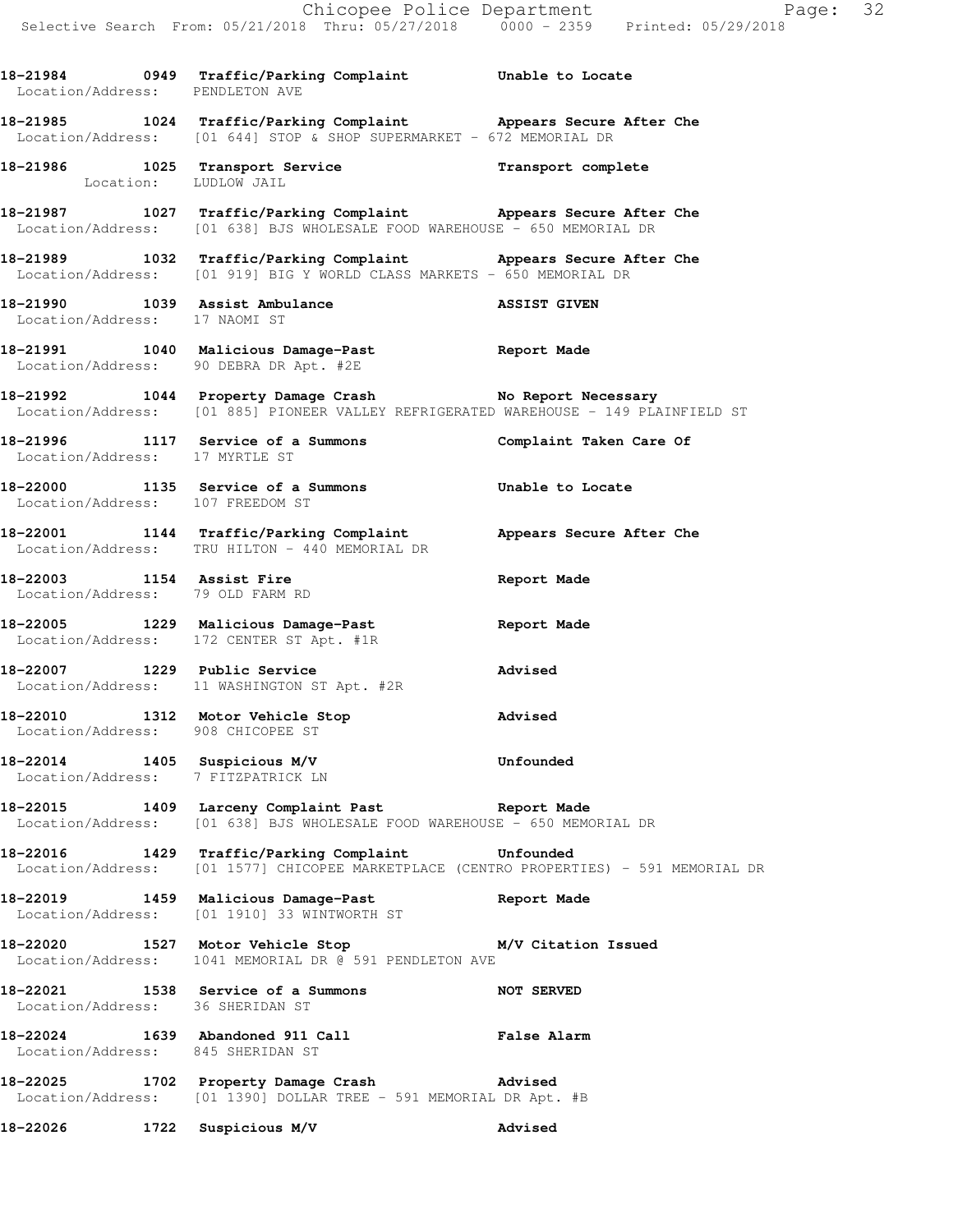**18-21984 0949 Traffic/Parking Complaint Unable to Locate**  Location/Address: PENDLETON AVE **18-21985 1024 Traffic/Parking Complaint Appears Secure After Che**  Location/Address: [01 644] STOP & SHOP SUPERMARKET - 672 MEMORIAL DR **18-21986 1025 Transport Service Transport complete**  Location: LUDLOW JAIL **18-21987 1027 Traffic/Parking Complaint Appears Secure After Che**  Location/Address: [01 638] BJS WHOLESALE FOOD WAREHOUSE - 650 MEMORIAL DR **18-21989 1032 Traffic/Parking Complaint Appears Secure After Che**  Location/Address: [01 919] BIG Y WORLD CLASS MARKETS - 650 MEMORIAL DR **18-21990 1039 Assist Ambulance ASSIST GIVEN**  Location/Address: 17 NAOMI ST **18-21991 1040 Malicious Damage-Past Report Made**  Location/Address: 90 DEBRA DR Apt. #2E **18-21992 1044 Property Damage Crash No Report Necessary**  Location/Address: [01 885] PIONEER VALLEY REFRIGERATED WAREHOUSE - 149 PLAINFIELD ST **18-21996 1117 Service of a Summons Complaint Taken Care Of**  Location/Address: 17 MYRTLE ST **18-22000 1135 Service of a Summons Unable to Locate**  Location/Address: 107 FREEDOM ST **18-22001 1144 Traffic/Parking Complaint Appears Secure After Che**  Location/Address: TRU HILTON - 440 MEMORIAL DR **18-22003 1154 Assist Fire Report Made**  Location/Address: 79 OLD FARM RD **18-22005 1229 Malicious Damage-Past Report Made**  Location/Address: 172 CENTER ST Apt. #1R **18-22007 1229 Public Service Advised**  Location/Address: 11 WASHINGTON ST Apt. #2R **18-22010 1312 Motor Vehicle Stop Advised**  Location/Address: 908 CHICOPEE ST **18-22014 1405 Suspicious M/V Unfounded**  Location/Address: 7 FITZPATRICK LN **18-22015 1409 Larceny Complaint Past Report Made**  Location/Address: [01 638] BJS WHOLESALE FOOD WAREHOUSE - 650 MEMORIAL DR **18-22016 1429 Traffic/Parking Complaint Unfounded**  Location/Address: [01 1577] CHICOPEE MARKETPLACE (CENTRO PROPERTIES) - 591 MEMORIAL DR **18-22019 1459 Malicious Damage-Past Report Made**  Location/Address: [01 1910] 33 WINTWORTH ST **18-22020 1527 Motor Vehicle Stop M/V Citation Issued**  Location/Address: 1041 MEMORIAL DR @ 591 PENDLETON AVE **18-22021 1538 Service of a Summons NOT SERVED**  Location/Address: 36 SHERIDAN ST **18-22024 1639 Abandoned 911 Call False Alarm**  Location/Address: 845 SHERIDAN ST **18-22025 1702 Property Damage Crash Advised**  Location/Address: [01 1390] DOLLAR TREE - 591 MEMORIAL DR Apt. #B

**18-22026 1722 Suspicious M/V Advised**